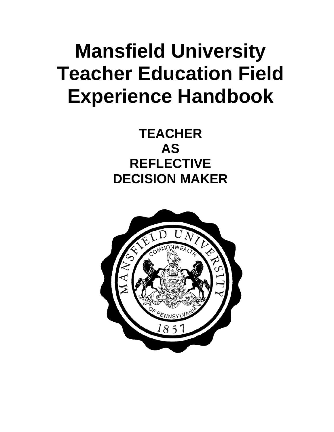# **Mansfield University Teacher Education Field Experience Handbook**

# **TEACHER AS REFLECTIVE DECISION MAKER**

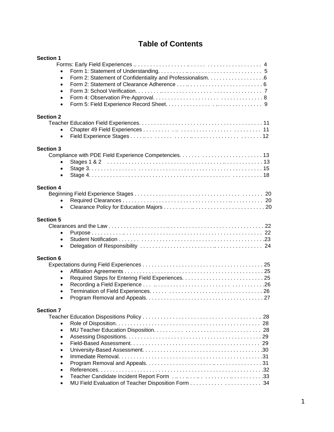# **Table of Contents**

| <b>Section 1</b> |  |
|------------------|--|
|                  |  |
|                  |  |
| $\bullet$        |  |
| $\bullet$        |  |
| $\bullet$        |  |
| $\bullet$        |  |
| $\bullet$        |  |
|                  |  |
| <b>Section 2</b> |  |
|                  |  |
|                  |  |
| $\bullet$        |  |
|                  |  |
| <b>Section 3</b> |  |
|                  |  |
| $\bullet$        |  |
| $\bullet$        |  |
| $\bullet$        |  |
|                  |  |
| <b>Section 4</b> |  |
|                  |  |
| $\bullet$        |  |
| $\bullet$        |  |
|                  |  |
| <b>Section 5</b> |  |
|                  |  |
| $\bullet$        |  |
| $\bullet$        |  |
| $\bullet$        |  |
|                  |  |
| <b>Section 6</b> |  |
|                  |  |
| $\bullet$        |  |
| $\bullet$        |  |
| $\bullet$        |  |
| $\bullet$        |  |
| $\bullet$        |  |
|                  |  |
| <b>Section 7</b> |  |
|                  |  |
|                  |  |
| $\bullet$        |  |
| $\bullet$        |  |
| $\bullet$        |  |
| $\bullet$        |  |
| $\bullet$        |  |
| $\bullet$        |  |
| $\bullet$        |  |
|                  |  |
| $\bullet$        |  |
| $\bullet$        |  |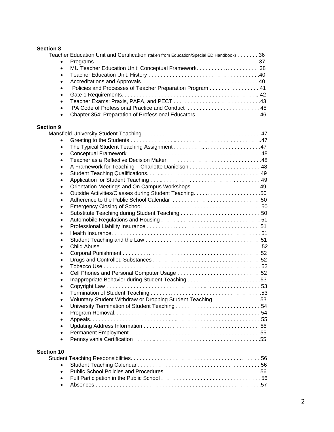# **Section 8**

|                   | Teacher Education Unit and Certification (taken from Education/Special ED Handbook) 36 |  |
|-------------------|----------------------------------------------------------------------------------------|--|
|                   |                                                                                        |  |
| $\bullet$         |                                                                                        |  |
| $\bullet$         |                                                                                        |  |
| $\bullet$         |                                                                                        |  |
| $\bullet$         | Policies and Processes of Teacher Preparation Program 41                               |  |
| $\bullet$         |                                                                                        |  |
| $\bullet$         |                                                                                        |  |
| $\bullet$         | PA Code of Professional Practice and Conduct  45                                       |  |
| $\bullet$         |                                                                                        |  |
|                   |                                                                                        |  |
| <b>Section 9</b>  |                                                                                        |  |
|                   |                                                                                        |  |
| $\bullet$         |                                                                                        |  |
|                   |                                                                                        |  |
| $\bullet$         |                                                                                        |  |
| $\bullet$         |                                                                                        |  |
| $\bullet$         |                                                                                        |  |
| $\bullet$         |                                                                                        |  |
| $\bullet$         |                                                                                        |  |
| $\bullet$         |                                                                                        |  |
| $\bullet$         |                                                                                        |  |
| $\bullet$         |                                                                                        |  |
| $\bullet$         |                                                                                        |  |
| $\bullet$         |                                                                                        |  |
| $\bullet$         |                                                                                        |  |
| $\bullet$         |                                                                                        |  |
| $\bullet$         |                                                                                        |  |
| $\bullet$         |                                                                                        |  |
| $\bullet$         |                                                                                        |  |
| $\bullet$         |                                                                                        |  |
| $\bullet$         |                                                                                        |  |
| $\bullet$         |                                                                                        |  |
| $\bullet$         |                                                                                        |  |
| $\bullet$         |                                                                                        |  |
| $\bullet$         |                                                                                        |  |
| $\bullet$         |                                                                                        |  |
| $\bullet$         | Voluntary Student Withdraw or Dropping Student Teaching. 53                            |  |
| $\bullet$         |                                                                                        |  |
| $\bullet$         |                                                                                        |  |
| $\bullet$         |                                                                                        |  |
| $\bullet$         |                                                                                        |  |
| $\bullet$         |                                                                                        |  |
| $\bullet$         |                                                                                        |  |
| <b>Section 10</b> |                                                                                        |  |
|                   |                                                                                        |  |
| $\bullet$         |                                                                                        |  |
| $\bullet$         |                                                                                        |  |
| $\bullet$         |                                                                                        |  |
|                   |                                                                                        |  |

Absences . . . . . . . . . . . . . . . . . . . . . . . . . . . . . . . . . . . . . . . . . . . . . . . . . . . . . . .57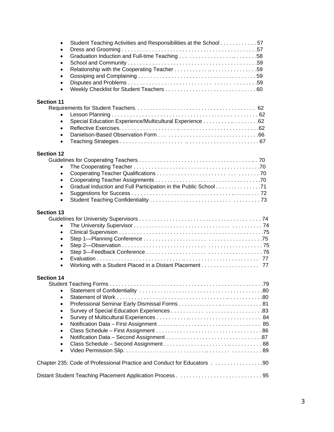| Student Teaching Activities and Responsibilities at the School 57<br>$\bullet$<br>$\bullet$<br>$\bullet$<br>$\bullet$<br>$\bullet$<br>$\bullet$<br>$\bullet$<br>$\bullet$ |  |
|---------------------------------------------------------------------------------------------------------------------------------------------------------------------------|--|
| <b>Section 11</b><br>$\bullet$<br>Special Education Experience/Multicultural Experience 62<br>$\bullet$<br>$\bullet$<br>$\bullet$<br>$\bullet$                            |  |
| <b>Section 12</b><br>$\bullet$<br>$\bullet$<br>$\bullet$<br>$\bullet$<br>$\bullet$<br>$\bullet$                                                                           |  |
| <b>Section 13</b><br>$\bullet$<br>$\bullet$<br>$\bullet$<br>$\bullet$<br>$\bullet$<br>$\bullet$<br>Working with a Student Placed in a Distant Placement 77<br>$\bullet$   |  |
| <b>Section 14</b><br>$\bullet$<br>$\bullet$<br>$\bullet$<br>$\bullet$<br>$\bullet$<br>$\bullet$<br>$\bullet$<br>$\bullet$<br>$\bullet$                                    |  |
| Chapter 235: Code of Professional Practice and Conduct for Educators 90                                                                                                   |  |
|                                                                                                                                                                           |  |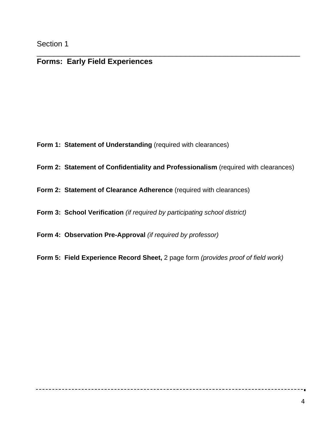# **Forms: Early Field Experiences**

- **Form 1: Statement of Understanding (required with clearances)**
- **Form 2: Statement of Confidentiality and Professionalism** (required with clearances)

\_\_\_\_\_\_\_\_\_\_\_\_\_\_\_\_\_\_\_\_\_\_\_\_\_\_\_\_\_\_\_\_\_\_\_\_\_\_\_\_\_\_\_\_\_\_\_\_\_\_\_\_\_\_\_\_\_\_\_\_\_\_

- **Form 2: Statement of Clearance Adherence** (required with clearances)
- **Form 3: School Verification** *(if required by participating school district)*
- **Form 4: Observation Pre-Approval** *(if required by professor)*
- **Form 5: Field Experience Record Sheet,** 2 page form *(provides proof of field work)*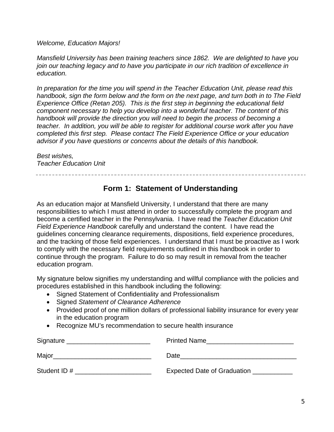*Welcome, Education Majors!* 

*Mansfield University has been training teachers since 1862. We are delighted to have you join our teaching legacy and to have you participate in our rich tradition of excellence in education.* 

*In preparation for the time you will spend in the Teacher Education Unit, please read this handbook, sign the form below and the form on the next page, and turn both in to The Field Experience Office (Retan 205). This is the first step in beginning the educational field component necessary to help you develop into a wonderful teacher. The content of this handbook will provide the direction you will need to begin the process of becoming a teacher. In addition, you will be able to register for additional course work after you have completed this first step. Please contact The Field Experience Office or your education advisor if you have questions or concerns about the details of this handbook.* 

*Best wishes, Teacher Education Unit* 

# **Form 1: Statement of Understanding**

As an education major at Mansfield University, I understand that there are many responsibilities to which I must attend in order to successfully complete the program and become a certified teacher in the Pennsylvania. I have read the *Teacher Education Unit Field Experience Handbook* carefully and understand the content. I have read the guidelines concerning clearance requirements, dispositions, field experience procedures, and the tracking of those field experiences. I understand that I must be proactive as I work to comply with the necessary field requirements outlined in this handbook in order to continue through the program. Failure to do so may result in removal from the teacher education program.

My signature below signifies my understanding and willful compliance with the policies and procedures established in this handbook including the following:

- Signed Statement of Confidentiality and Professionalism
- Signed *Statement of Clearance Adherence*
- Provided proof of one million dollars of professional liability insurance for every year in the education program
- Recognize MU's recommendation to secure health insurance

| Signature   | <b>Printed Name</b>         |
|-------------|-----------------------------|
| Major       | Date                        |
| Student ID# | Expected Date of Graduation |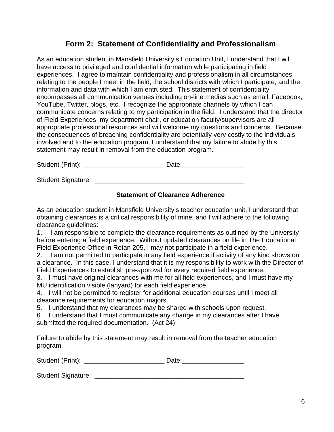# **Form 2: Statement of Confidentiality and Professionalism**

As an education student in Mansfield University's Education Unit, I understand that I will have access to privileged and confidential information while participating in field experiences. I agree to maintain confidentiality and professionalism in all circumstances relating to the people I meet in the field, the school districts with which I participate, and the information and data with which I am entrusted. This statement of confidentiality encompasses all communication venues including on-line medias such as email, Facebook, YouTube, Twitter, blogs, etc. I recognize the appropriate channels by which I can communicate concerns relating to my participation in the field. I understand that the director of Field Experiences, my department chair, or education faculty/supervisors are all appropriate professional resources and will welcome my questions and concerns. Because the consequences of breaching confidentiality are potentially very costly to the individuals involved and to the education program, I understand that my failure to abide by this statement may result in removal from the education program.

Student (Print): \_\_\_\_\_\_\_\_\_\_\_\_\_\_\_\_\_\_\_\_\_\_ Date:\_\_\_\_\_\_\_\_\_\_\_\_\_\_\_\_\_

Student Signature: \_\_\_\_\_\_\_\_\_\_\_\_\_\_\_\_\_\_\_\_\_\_\_\_\_\_\_\_\_\_\_\_\_\_\_\_\_\_\_\_\_

# **Statement of Clearance Adherence**

As an education student in Mansfield University's teacher education unit, I understand that obtaining clearances is a critical responsibility of mine, and I will adhere to the following clearance guidelines:

1. I am responsible to complete the clearance requirements as outlined by the University before entering a field experience. Without updated clearances on file in The Educational Field Experience Office in Retan 205, I may not participate in a field experience.

2. I am not permitted to participate in any field experience if activity of any kind shows on a clearance. In this case, I understand that it is my responsibility to work with the Director of Field Experiences to establish pre-approval for every required field experience.

3. I must have original clearances with me for all field experiences, and I must have my MU identification visible (lanyard) for each field experience.

4. I will not be permitted to register for additional education courses until I meet all clearance requirements for education majors.

5. I understand that my clearances may be shared with schools upon request.

6. I understand that I must communicate any change in my clearances after I have submitted the required documentation. (Act 24)

Failure to abide by this statement may result in removal from the teacher education program.

Student (Print): \_\_\_\_\_\_\_\_\_\_\_\_\_\_\_\_\_\_\_\_\_\_ Date:\_\_\_\_\_\_\_\_\_\_\_\_\_\_\_\_\_

Student Signature: \_\_\_\_\_\_\_\_\_\_\_\_\_\_\_\_\_\_\_\_\_\_\_\_\_\_\_\_\_\_\_\_\_\_\_\_\_\_\_\_\_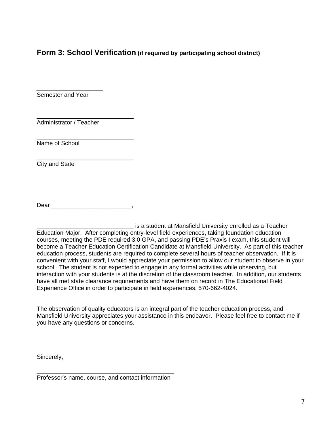# **Form 3: School Verification (if required by participating school district)**

Semester and Year

*\_\_\_\_\_\_\_\_\_\_\_\_\_\_\_\_\_\_\_\_* 

\_\_\_\_\_\_\_\_\_\_\_\_\_\_\_\_\_\_\_\_\_\_\_\_\_\_\_\_\_ Administrator / Teacher

\_\_\_\_\_\_\_\_\_\_\_\_\_\_\_\_\_\_\_\_\_\_\_\_\_\_\_\_\_ Name of School

City and State

Dear \_\_\_\_\_\_\_\_\_\_\_\_\_\_\_\_\_\_\_\_\_\_\_\_,

\_\_\_\_\_\_\_\_\_\_\_\_\_\_\_\_\_\_\_\_\_\_\_\_\_\_\_\_\_

\_\_\_\_\_\_\_\_\_\_\_\_\_\_\_\_\_\_\_\_\_\_\_\_\_\_\_\_\_ is a student at Mansfield University enrolled as a Teacher Education Major. After completing entry-level field experiences, taking foundation education courses, meeting the PDE required 3.0 GPA, and passing PDE's Praxis I exam, this student will become a Teacher Education Certification Candidate at Mansfield University. As part of this teacher education process, students are required to complete several hours of teacher observation. If it is convenient with your staff, I would appreciate your permission to allow our student to observe in your school. The student is not expected to engage in any formal activities while observing, but interaction with your students is at the discretion of the classroom teacher. In addition, our students have all met state clearance requirements and have them on record in The Educational Field Experience Office in order to participate in field experiences, 570-662-4024.

The observation of quality educators is an integral part of the teacher education process, and Mansfield University appreciates your assistance in this endeavor. Please feel free to contact me if you have any questions or concerns.

Sincerely,

\_\_\_\_\_\_\_\_\_\_\_\_\_\_\_\_\_\_\_\_\_\_\_\_\_\_\_\_\_\_\_\_\_\_\_\_\_\_\_\_\_ Professor's name, course, and contact information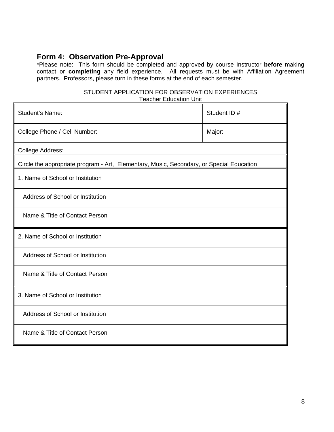# **Form 4: Observation Pre-Approval**

\*Please note: This form should be completed and approved by course Instructor **before** making contact or **completing** any field experience. All requests must be with Affiliation Agreement partners. Professors, please turn in these forms at the end of each semester.

#### STUDENT APPLICATION FOR OBSERVATION EXPERIENCES Teacher Education Unit

| <b>Student's Name:</b>                                                                   | Student ID # |
|------------------------------------------------------------------------------------------|--------------|
| College Phone / Cell Number:                                                             | Major:       |
| College Address:                                                                         |              |
| Circle the appropriate program - Art, Elementary, Music, Secondary, or Special Education |              |
| 1. Name of School or Institution                                                         |              |
| Address of School or Institution                                                         |              |
| Name & Title of Contact Person                                                           |              |
| 2. Name of School or Institution                                                         |              |
| Address of School or Institution                                                         |              |
| Name & Title of Contact Person                                                           |              |
| 3. Name of School or Institution                                                         |              |
| Address of School or Institution                                                         |              |
| Name & Title of Contact Person                                                           |              |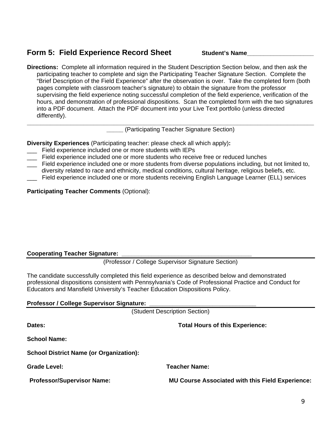# **Form 5: Field Experience Record Sheet Student's Name**

**Directions:** Complete all information required in the Student Description Section below, and then ask the participating teacher to complete and sign the Participating Teacher Signature Section. Complete the "Brief Description of the Field Experience" after the observation is over. Take the completed form (both pages complete with classroom teacher's signature) to obtain the signature from the professor supervising the field experience noting successful completion of the field experience, verification of the hours, and demonstration of professional dispositions. Scan the completed form with the two signatures into a PDF document. Attach the PDF document into your Live Text portfolio (unless directed differently). **\_\_\_\_\_\_\_\_\_\_\_\_\_\_\_\_\_\_\_\_\_\_\_\_\_\_\_\_\_\_\_\_\_\_\_\_\_\_\_\_\_\_\_\_\_\_\_\_\_\_\_\_\_\_\_\_\_\_\_\_\_\_\_\_\_\_\_\_\_\_\_\_\_\_\_\_\_\_\_\_\_\_\_\_\_\_**

**\_\_\_\_\_** (Participating Teacher Signature Section)

**Diversity Experiences** (Participating teacher: please check all which apply)**:** 

- \_\_\_Field experience included one or more students with IEPs
- \_\_\_ Field experience included one or more students who receive free or reduced lunches
- \_\_\_ Field experience included one or more students from diverse populations including, but not limited to, diversity related to race and ethnicity, medical conditions, cultural heritage, religious beliefs, etc. Field experience included one or more students receiving English Language Learner (ELL) services

**Participating Teacher Comments** (Optional):

# **Cooperating Teacher Signature:**

(Professor / College Supervisor Signature Section)

The candidate successfully completed this field experience as described below and demonstrated professional dispositions consistent with Pennsylvania's Code of Professional Practice and Conduct for Educators and Mansfield University's Teacher Education Dispositions Policy.

# **Professor / College Supervisor Signature:**

(Student Description Section)

| Dates:                                         | <b>Total Hours of this Experience:</b>                  |
|------------------------------------------------|---------------------------------------------------------|
| <b>School Name:</b>                            |                                                         |
| <b>School District Name (or Organization):</b> |                                                         |
| <b>Grade Level:</b>                            | <b>Teacher Name:</b>                                    |
| <b>Professor/Supervisor Name:</b>              | <b>MU Course Associated with this Field Experience:</b> |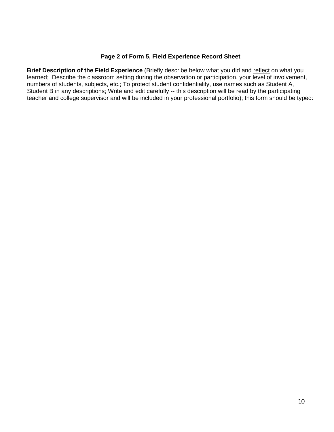#### **Page 2 of Form 5, Field Experience Record Sheet**

**Brief Description of the Field Experience** (Briefly describe below what you did and reflect on what you learned; Describe the classroom setting during the observation or participation, your level of involvement, numbers of students, subjects, etc.; To protect student confidentiality, use names such as Student A, Student B in any descriptions; Write and edit carefully -- this description will be read by the participating teacher and college supervisor and will be included in your professional portfolio); this form should be typed: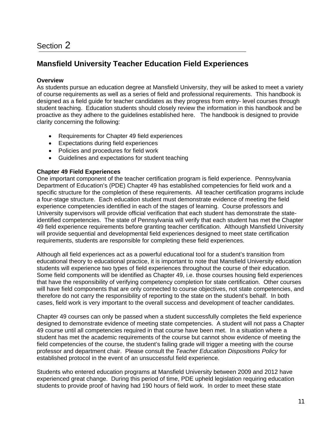# **Mansfield University Teacher Education Field Experiences**

# **Overview**

As students pursue an education degree at Mansfield University, they will be asked to meet a variety of course requirements as well as a series of field and professional requirements. This handbook is designed as a field guide for teacher candidates as they progress from entry- level courses through student teaching. Education students should closely review the information in this handbook and be proactive as they adhere to the guidelines established here. The handbook is designed to provide clarity concerning the following:

- Requirements for Chapter 49 field experiences
- Expectations during field experiences
- Policies and procedures for field work
- Guidelines and expectations for student teaching

### **Chapter 49 Field Experiences**

One important component of the teacher certification program is field experience. Pennsylvania Department of Education's (PDE) Chapter 49 has established competencies for field work and a specific structure for the completion of these requirements. All teacher certification programs include a four-stage structure. Each education student must demonstrate evidence of meeting the field experience competencies identified in each of the stages of learning. Course professors and University supervisors will provide official verification that each student has demonstrate the stateidentified competencies. The state of Pennsylvania will verify that each student has met the Chapter 49 field experience requirements before granting teacher certification. Although Mansfield University will provide sequential and developmental field experiences designed to meet state certification requirements, students are responsible for completing these field experiences.

Although all field experiences act as a powerful educational tool for a student's transition from educational theory to educational practice, it is important to note that Mansfield University education students will experience two types of field experiences throughout the course of their education. Some field components will be identified as Chapter 49, i.e. those courses housing field experiences that have the responsibility of verifying competency completion for state certification. Other courses will have field components that are only connected to course objectives, not state competencies, and therefore do not carry the responsibility of reporting to the state on the student's behalf. In both cases, field work is very important to the overall success and development of teacher candidates.

Chapter 49 courses can only be passed when a student successfully completes the field experience designed to demonstrate evidence of meeting state competencies. A student will not pass a Chapter 49 course until all competencies required in that course have been met. In a situation where a student has met the academic requirements of the course but cannot show evidence of meeting the field competencies of the course, the student's failing grade will trigger a meeting with the course professor and department chair. Please consult the *Teacher Education Dispositions Policy* for established protocol in the event of an unsuccessful field experience.

Students who entered education programs at Mansfield University between 2009 and 2012 have experienced great change. During this period of time, PDE upheld legislation requiring education students to provide proof of having had 190 hours of field work. In order to meet these state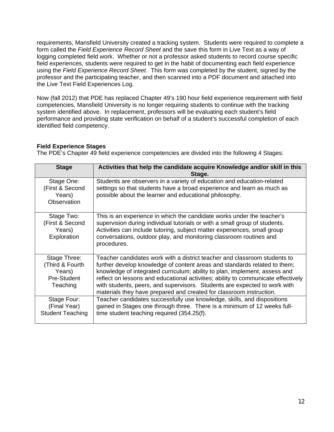requirements, Mansfield University created a tracking system. Students were required to complete a form called the *Field Experience Record Sheet* and the save this form in Live Text as a way of logging completed field work. Whether or not a professor asked students to record course specific field experiences, students were required to get in the habit of documenting each field experience using the *Field Experience Record Sheet*. This form was completed by the student, signed by the professor and the participating teacher, and then scanned into a PDF document and attached into the Live Text Field Experiences Log.

Now (fall 2012) that PDE has replaced Chapter 49's 190 hour field experience requirement with field competencies, Mansfield University is no longer requiring students to continue with the tracking system identified above. In replacement, professors will be evaluating each student's field performance and providing state verification on behalf of a student's successful completion of each identified field competency.

# **Field Experience Stages**

The PDE's Chapter 49 field experience competencies are divided into the following 4 Stages:

| <b>Stage</b>                                                         | Activities that help the candidate acquire Knowledge and/or skill in this<br>Stage.                                                                                                                                                                                                                                                                                                                                                                                           |
|----------------------------------------------------------------------|-------------------------------------------------------------------------------------------------------------------------------------------------------------------------------------------------------------------------------------------------------------------------------------------------------------------------------------------------------------------------------------------------------------------------------------------------------------------------------|
| Stage One:<br>(First & Second<br>Years)<br>Observation               | Students are observers in a variety of education and education-related<br>settings so that students have a broad experience and learn as much as<br>possible about the learner and educational philosophy.                                                                                                                                                                                                                                                                    |
| Stage Two:<br>(First & Second<br>Years)<br>Exploration               | This is an experience in which the candidate works under the teacher's<br>supervision during individual tutorials or with a small group of students.<br>Activities can include tutoring, subject matter experiences, small group<br>conversations, outdoor play, and monitoring classroom routines and<br>procedures.                                                                                                                                                         |
| Stage Three:<br>(Third & Fourth<br>Years)<br>Pre-Student<br>Teaching | Teacher candidates work with a district teacher and classroom students to<br>further develop knowledge of content areas and standards related to them;<br>knowledge of integrated curriculum; ability to plan, implement, assess and<br>reflect on lessons and educational activities; ability to communicate effectively<br>with students, peers, and supervisors. Students are expected to work with<br>materials they have prepared and created for classroom instruction. |
| Stage Four:<br>(Final Year)<br><b>Student Teaching</b>               | Teacher candidates successfully use knowledge, skills, and dispositions<br>gained in Stages one through three. There is a minimum of 12 weeks full-<br>time student teaching required (354.25(f).                                                                                                                                                                                                                                                                             |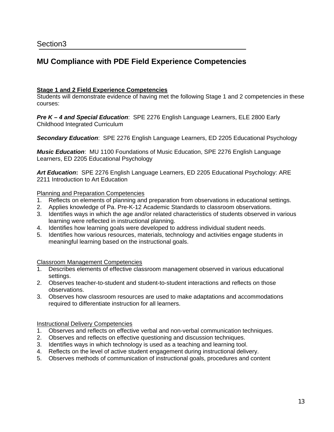# **MU Compliance with PDE Field Experience Competencies**

### **Stage 1 and 2 Field Experience Competencies**

Students will demonstrate evidence of having met the following Stage 1 and 2 competencies in these courses:

*Pre K – 4 and Special Education*: SPE 2276 English Language Learners, ELE 2800 Early Childhood Integrated Curriculum

*Secondary Education*: SPE 2276 English Language Learners, ED 2205 Educational Psychology

*Music Education*: MU 1100 Foundations of Music Education, SPE 2276 English Language Learners, ED 2205 Educational Psychology

*Art Education***:** SPE 2276 English Language Learners, ED 2205 Educational Psychology: ARE 2211 Introduction to Art Education

#### Planning and Preparation Competencies

- 1. Reflects on elements of planning and preparation from observations in educational settings.
- 2. Applies knowledge of Pa. Pre-K-12 Academic Standards to classroom observations.
- 3. Identifies ways in which the age and/or related characteristics of students observed in various learning were reflected in instructional planning.
- 4. Identifies how learning goals were developed to address individual student needs.
- 5. Identifies how various resources, materials, technology and activities engage students in meaningful learning based on the instructional goals.

#### Classroom Management Competencies

- Describes elements of effective classroom management observed in various educational settings.
- 2. Observes teacher-to-student and student-to-student interactions and reflects on those observations.
- 3. Observes how classroom resources are used to make adaptations and accommodations required to differentiate instruction for all learners.

#### Instructional Delivery Competencies

- 1. Observes and reflects on effective verbal and non-verbal communication techniques.
- 2. Observes and reflects on effective questioning and discussion techniques.
- 3. Identifies ways in which technology is used as a teaching and learning tool.
- 4. Reflects on the level of active student engagement during instructional delivery.
- 5. Observes methods of communication of instructional goals, procedures and content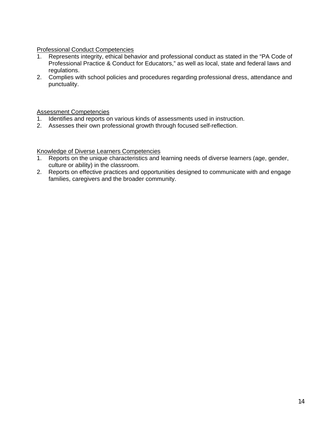# Professional Conduct Competencies

- 1. Represents integrity, ethical behavior and professional conduct as stated in the "PA Code of Professional Practice & Conduct for Educators," as well as local, state and federal laws and regulations.
- 2. Complies with school policies and procedures regarding professional dress, attendance and punctuality.

# Assessment Competencies

- 1. Identifies and reports on various kinds of assessments used in instruction.
- 2. Assesses their own professional growth through focused self-reflection.

# Knowledge of Diverse Learners Competencies

- 1. Reports on the unique characteristics and learning needs of diverse learners (age, gender, culture or ability) in the classroom.
- 2. Reports on effective practices and opportunities designed to communicate with and engage families, caregivers and the broader community.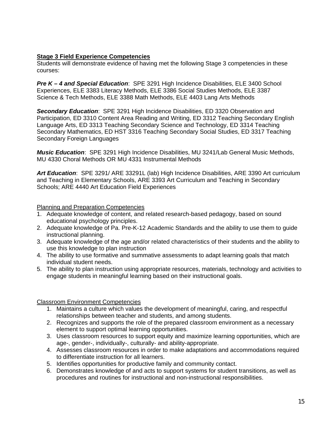# **Stage 3 Field Experience Competencies**

Students will demonstrate evidence of having met the following Stage 3 competencies in these courses:

*Pre K – 4 and Special Education*: SPE 3291 High Incidence Disabilities, ELE 3400 School Experiences, ELE 3383 Literacy Methods, ELE 3386 Social Studies Methods, ELE 3387 Science & Tech Methods, ELE 3388 Math Methods, ELE 4403 Lang Arts Methods

*Secondary Education*: SPE 3291 High Incidence Disabilities, ED 3320 Observation and Participation, ED 3310 Content Area Reading and Writing, ED 3312 Teaching Secondary English Language Arts, ED 3313 Teaching Secondary Science and Technology, ED 3314 Teaching Secondary Mathematics, ED HST 3316 Teaching Secondary Social Studies, ED 3317 Teaching Secondary Foreign Languages

*Music Education*: SPE 3291 High Incidence Disabilities, MU 3241/Lab General Music Methods, MU 4330 Choral Methods OR MU 4331 Instrumental Methods

*Art Education*: SPE 3291/ ARE 33291L (lab) High Incidence Disabilities, ARE 3390 Art curriculum and Teaching in Elementary Schools, ARE 3393 Art Curriculum and Teaching in Secondary Schools; ARE 4440 Art Education Field Experiences

Planning and Preparation Competencies

- 1. Adequate knowledge of content, and related research-based pedagogy, based on sound educational psychology principles.
- 2. Adequate knowledge of Pa. Pre-K-12 Academic Standards and the ability to use them to guide instructional planning.
- 3. Adequate knowledge of the age and/or related characteristics of their students and the ability to use this knowledge to plan instruction
- 4. The ability to use formative and summative assessments to adapt learning goals that match individual student needs.
- 5. The ability to plan instruction using appropriate resources, materials, technology and activities to engage students in meaningful learning based on their instructional goals.

Classroom Environment Competencies

- 1. Maintains a culture which values the development of meaningful, caring, and respectful relationships between teacher and students, and among students.
- 2. Recognizes and supports the role of the prepared classroom environment as a necessary element to support optimal learning opportunities.
- 3. Uses classroom resources to support equity and maximize learning opportunities, which are age-, gender-, individually-, culturally- and ability-appropriate.
- 4. Assesses classroom resources in order to make adaptations and accommodations required to differentiate instruction for all learners.
- 5. Identifies opportunities for productive family and community contact.
- 6. Demonstrates knowledge of and acts to support systems for student transitions, as well as procedures and routines for instructional and non-instructional responsibilities.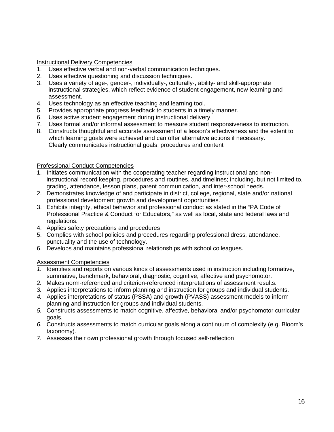Instructional Delivery Competencies

- 1. Uses effective verbal and non-verbal communication techniques.
- 2. Uses effective questioning and discussion techniques.
- 3. Uses a variety of age-, gender-, individually-, culturally-, ability- and skill-appropriate instructional strategies, which reflect evidence of student engagement, new learning and assessment.
- 4. Uses technology as an effective teaching and learning tool.
- 5. Provides appropriate progress feedback to students in a timely manner.
- 6. Uses active student engagement during instructional delivery.
- 7. Uses formal and/or informal assessment to measure student responsiveness to instruction.
- 8. Constructs thoughtful and accurate assessment of a lesson's effectiveness and the extent to which learning goals were achieved and can offer alternative actions if necessary. Clearly communicates instructional goals, procedures and content

### Professional Conduct Competencies

- 1. Initiates communication with the cooperating teacher regarding instructional and noninstructional record keeping, procedures and routines, and timelines; including, but not limited to, grading, attendance, lesson plans, parent communication, and inter-school needs.
- 2. Demonstrates knowledge of and participate in district, college, regional, state and/or national professional development growth and development opportunities.
- 3. Exhibits integrity, ethical behavior and professional conduct as stated in the "PA Code of Professional Practice & Conduct for Educators," as well as local, state and federal laws and regulations.
- 4. Applies safety precautions and procedures
- 5. Complies with school policies and procedures regarding professional dress, attendance, punctuality and the use of technology.
- 6. Develops and maintains professional relationships with school colleagues.

# Assessment Competencies

- *1.* Identifies and reports on various kinds of assessments used in instruction including formative, summative, benchmark, behavioral, diagnostic, cognitive, affective and psychomotor.
- *2.* Makes norm-referenced and criterion-referenced interpretations of assessment results.
- *3.* Applies interpretations to inform planning and instruction for groups and individual students.
- *4.* Applies interpretations of status (PSSA) and growth (PVASS) assessment models to inform planning and instruction for groups and individual students.
- *5.* Constructs assessments to match cognitive, affective, behavioral and/or psychomotor curricular goals.
- *6.* Constructs assessments to match curricular goals along a continuum of complexity (e.g. Bloom's taxonomy).
- *7.* Assesses their own professional growth through focused self-reflection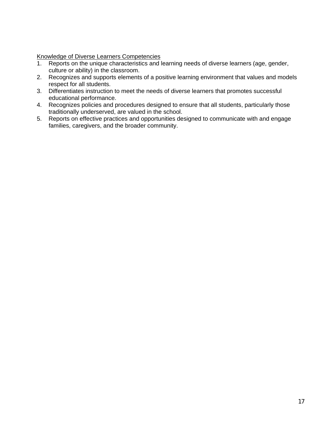Knowledge of Diverse Learners Competencies

- 1. Reports on the unique characteristics and learning needs of diverse learners (age, gender, culture or ability) in the classroom.
- 2. Recognizes and supports elements of a positive learning environment that values and models respect for all students.
- 3. Differentiates instruction to meet the needs of diverse learners that promotes successful educational performance.
- 4. Recognizes policies and procedures designed to ensure that all students, particularly those traditionally underserved, are valued in the school.
- 5. Reports on effective practices and opportunities designed to communicate with and engage families, caregivers, and the broader community.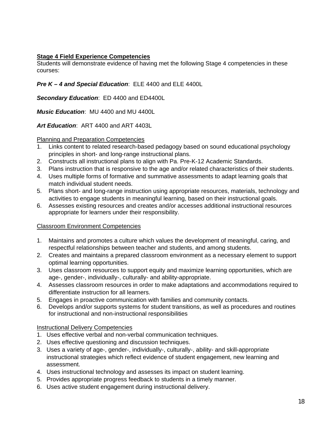# **Stage 4 Field Experience Competencies**

Students will demonstrate evidence of having met the following Stage 4 competencies in these courses:

# *Pre K – 4 and Special Education*: ELE 4400 and ELE 4400L

*Secondary Education*: ED 4400 and ED4400L

*Music Education*: MU 4400 and MU 4400L

*Art Education*: ART 4400 and ART 4403L

### Planning and Preparation Competencies

- 1. Links content to related research-based pedagogy based on sound educational psychology principles in short- and long-range instructional plans.
- 2. Constructs all instructional plans to align with Pa. Pre-K-12 Academic Standards.
- 3. Plans instruction that is responsive to the age and/or related characteristics of their students.
- 4. Uses multiple forms of formative and summative assessments to adapt learning goals that match individual student needs.
- 5. Plans short- and long-range instruction using appropriate resources, materials, technology and activities to engage students in meaningful learning, based on their instructional goals.
- 6. Assesses existing resources and creates and/or accesses additional instructional resources appropriate for learners under their responsibility.

# Classroom Environment Competencies

- 1. Maintains and promotes a culture which values the development of meaningful, caring, and respectful relationships between teacher and students, and among students.
- 2. Creates and maintains a prepared classroom environment as a necessary element to support optimal learning opportunities.
- 3. Uses classroom resources to support equity and maximize learning opportunities, which are age-, gender-, individually-, culturally- and ability-appropriate.
- 4. Assesses classroom resources in order to make adaptations and accommodations required to differentiate instruction for all learners.
- 5. Engages in proactive communication with families and community contacts.
- 6. Develops and/or supports systems for student transitions, as well as procedures and routines for instructional and non-instructional responsibilities

# Instructional Delivery Competencies

- 1. Uses effective verbal and non-verbal communication techniques.
- 2. Uses effective questioning and discussion techniques.
- 3. Uses a variety of age-, gender-, individually-, culturally-, ability- and skill-appropriate instructional strategies which reflect evidence of student engagement, new learning and assessment.
- 4. Uses instructional technology and assesses its impact on student learning.
- 5. Provides appropriate progress feedback to students in a timely manner.
- 6. Uses active student engagement during instructional delivery.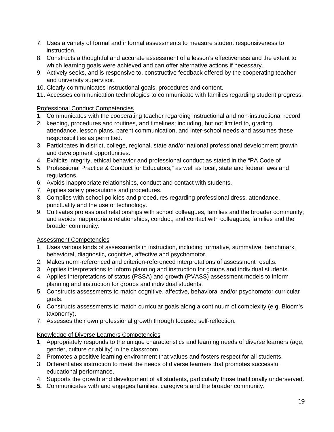- 7. Uses a variety of formal and informal assessments to measure student responsiveness to instruction.
- 8. Constructs a thoughtful and accurate assessment of a lesson's effectiveness and the extent to which learning goals were achieved and can offer alternative actions if necessary.
- 9. Actively seeks, and is responsive to, constructive feedback offered by the cooperating teacher and university supervisor.
- 10. Clearly communicates instructional goals, procedures and content.
- 11. Accesses communication technologies to communicate with families regarding student progress.

# Professional Conduct Competencies

- 1. Communicates with the cooperating teacher regarding instructional and non-instructional record
- 2. keeping, procedures and routines, and timelines; including, but not limited to, grading, attendance, lesson plans, parent communication, and inter-school needs and assumes these responsibilities as permitted.
- 3. Participates in district, college, regional, state and/or national professional development growth and development opportunities.
- 4. Exhibits integrity, ethical behavior and professional conduct as stated in the "PA Code of
- 5. Professional Practice & Conduct for Educators," as well as local, state and federal laws and regulations.
- 6. Avoids inappropriate relationships, conduct and contact with students.
- 7. Applies safety precautions and procedures.
- 8. Complies with school policies and procedures regarding professional dress, attendance, punctuality and the use of technology.
- 9. Cultivates professional relationships with school colleagues, families and the broader community; and avoids inappropriate relationships, conduct, and contact with colleagues, families and the broader community.

# Assessment Competencies

- 1. Uses various kinds of assessments in instruction, including formative, summative, benchmark, behavioral, diagnostic, cognitive, affective and psychomotor.
- 2. Makes norm-referenced and criterion-referenced interpretations of assessment results.
- 3. Applies interpretations to inform planning and instruction for groups and individual students.
- 4. Applies interpretations of status (PSSA) and growth (PVASS) assessment models to inform planning and instruction for groups and individual students.
- 5. Constructs assessments to match cognitive, affective, behavioral and/or psychomotor curricular goals.
- 6. Constructs assessments to match curricular goals along a continuum of complexity (e.g. Bloom's taxonomy).
- 7. Assesses their own professional growth through focused self-reflection.

# Knowledge of Diverse Learners Competencies

- 1. Appropriately responds to the unique characteristics and learning needs of diverse learners (age, gender, culture or ability) in the classroom.
- 2. Promotes a positive learning environment that values and fosters respect for all students.
- 3. Differentiates instruction to meet the needs of diverse learners that promotes successful educational performance.
- 4. Supports the growth and development of all students, particularly those traditionally underserved.
- **5.** Communicates with and engages families, caregivers and the broader community.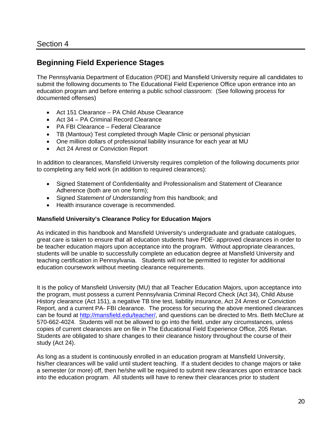# **Beginning Field Experience Stages**

The Pennsylvania Department of Education (PDE) and Mansfield University require all candidates to submit the following documents to The Educational Field Experience Office upon entrance into an education program and before entering a public school classroom: (See following process for documented offenses)

- Act 151 Clearance PA Child Abuse Clearance
- Act 34 PA Criminal Record Clearance
- PA FBI Clearance Federal Clearance
- TB (Mantoux) Test completed through Maple Clinic or personal physician
- One million dollars of professional liability insurance for each year at MU
- Act 24 Arrest or Conviction Report

In addition to clearances, Mansfield University requires completion of the following documents prior to completing any field work (in addition to required clearances):

- Signed Statement of Confidentiality and Professionalism and Statement of Clearance Adherence (both are on one form);
- Signed *Statement of Understanding* from this handbook; and
- Health insurance coverage is recommended.

### **Mansfield University's Clearance Policy for Education Majors**

As indicated in this handbook and Mansfield University's undergraduate and graduate catalogues, great care is taken to ensure that all education students have PDE- approved clearances in order to be teacher education majors upon acceptance into the program. Without appropriate clearances, students will be unable to successfully complete an education degree at Mansfield University and teaching certification in Pennsylvania. Students will not be permitted to register for additional education coursework without meeting clearance requirements.

It is the policy of Mansfield University (MU) that all Teacher Education Majors, upon acceptance into the program, must possess a current Pennsylvania Criminal Record Check (Act 34), Child Abuse History clearance (Act 151), a negative TB tine test, liability insurance, Act 24 Arrest or Conviction Report, and a current PA- FBI clearance. The process for securing the above mentioned clearances can be found at http://mansfield.edu/teacher/, and questions can be directed to Mrs. Beth McClure at 570-662-4024. Students will not be allowed to go into the field, under any circumstances, unless copies of current clearances are on file in The Educational Field Experience Office, 205 Retan. Students are obligated to share changes to their clearance history throughout the course of their study (Act 24).

As long as a student is continuously enrolled in an education program at Mansfield University, his/her clearances will be valid until student teaching. If a student decides to change majors or take a semester (or more) off, then he/she will be required to submit new clearances upon entrance back into the education program. All students will have to renew their clearances prior to student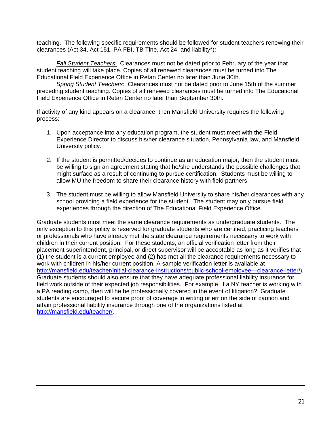teaching. The following specific requirements should be followed for student teachers renewing their clearances (Act 34, Act 151, PA FBI, TB Tine, Act 24, and liability\*):

*Fall Student Teachers*: Clearances must not be dated prior to February of the year that student teaching will take place. Copies of all renewed clearances must be turned into The Educational Field Experience Office in Retan Center no later than June 30th.

*Spring Student Teachers*: Clearances must not be dated prior to June 15th of the summer preceding student teaching. Copies of all renewed clearances must be turned into The Educational Field Experience Office in Retan Center no later than September 30th.

If activity of any kind appears on a clearance, then Mansfield University requires the following process:

- 1. Upon acceptance into any education program, the student must meet with the Field Experience Director to discuss his/her clearance situation, Pennsylvania law, and Mansfield University policy.
- 2. If the student is permitted/decides to continue as an education major, then the student must be willing to sign an agreement stating that he/she understands the possible challenges that might surface as a result of continuing to pursue certification. Students must be willing to allow MU the freedom to share their clearance history with field partners.
- 3. The student must be willing to allow Mansfield University to share his/her clearances with any school providing a field experience for the student. The student may only pursue field experiences through the direction of The Educational Field Experience Office.

Graduate students must meet the same clearance requirements as undergraduate students. The only exception to this policy is reserved for graduate students who are certified, practicing teachers or professionals who have already met the state clearance requirements necessary to work with children in their current position. For these students, an official verification letter from their placement superintendent, principal, or direct supervisor will be acceptable as long as it verifies that (1) the student is a current employee and (2) has met all the clearance requirements necessary to work with children in his/her current position. A sample verification letter is available at http://mansfield.edu/teacher/initial-clearance-instructions/public-school-employee---clearance-letter/). Graduate students should also ensure that they have adequate professional liability insurance for field work outside of their expected job responsibilities. For example, if a NY teacher is working with a PA reading camp, then will he be professionally covered in the event of litigation? Graduate students are encouraged to secure proof of coverage in writing or err on the side of caution and attain professional liability insurance through one of the organizations listed at http://mansfield.edu/teacher/.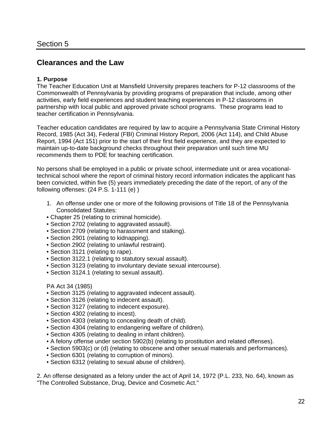# **Clearances and the Law**

#### **1. Purpose**

The Teacher Education Unit at Mansfield University prepares teachers for P-12 classrooms of the Commonwealth of Pennsylvania by providing programs of preparation that include, among other activities, early field experiences and student teaching experiences in P-12 classrooms in partnership with local public and approved private school programs. These programs lead to teacher certification in Pennsylvania.

Teacher education candidates are required by law to acquire a Pennsylvania State Criminal History Record, 1985 (Act 34), Federal (FBI) Criminal History Report, 2006 (Act 114), and Child Abuse Report, 1994 (Act 151) prior to the start of their first field experience, and they are expected to maintain up-to-date background checks throughout their preparation until such time MU recommends them to PDE for teaching certification.

No persons shall be employed in a public or private school, intermediate unit or area vocationaltechnical school where the report of criminal history record information indicates the applicant has been convicted, within five (5) years immediately preceding the date of the report, of any of the following offenses: (24 P.S. 1-111 (e) )

- 1. An offense under one or more of the following provisions of Title 18 of the Pennsylvania Consolidated Statutes:
- Chapter 25 (relating to criminal homicide).
- Section 2702 (relating to aggravated assault).
- Section 2709 (relating to harassment and stalking).
- Section 2901 (relating to kidnapping).
- Section 2902 (relating to unlawful restraint).
- Section 3121 (relating to rape).
- Section 3122.1 (relating to statutory sexual assault).
- Section 3123 (relating to involuntary deviate sexual intercourse).
- Section 3124.1 (relating to sexual assault).

#### PA Act 34 (1985)

- Section 3125 (relating to aggravated indecent assault).
- Section 3126 (relating to indecent assault).
- Section 3127 (relating to indecent exposure).
- Section 4302 (relating to incest).
- Section 4303 (relating to concealing death of child).
- Section 4304 (relating to endangering welfare of children).
- Section 4305 (relating to dealing in infant children).
- A felony offense under section 5902(b) (relating to prostitution and related offenses).
- Section 5903(c) or (d) (relating to obscene and other sexual materials and performances).
- Section 6301 (relating to corruption of minors).
- Section 6312 (relating to sexual abuse of children).

2. An offense designated as a felony under the act of April 14, 1972 (P.L. 233, No. 64), known as "The Controlled Substance, Drug, Device and Cosmetic Act."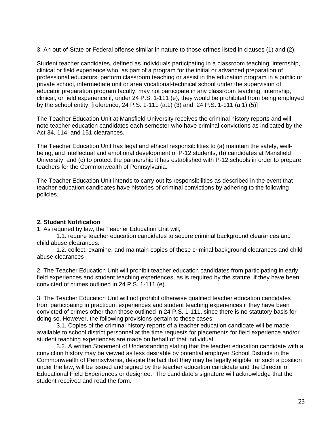3. An out-of-State or Federal offense similar in nature to those crimes listed in clauses (1) and (2).

Student teacher candidates, defined as individuals participating in a classroom teaching, internship, clinical or field experience who, as part of a program for the initial or advanced preparation of professional educators, perform classroom teaching or assist in the education program in a public or private school, intermediate unit or area vocational-technical school under the supervision of educator preparation program faculty, may not participate in any classroom teaching, internship, clinical, or field experience if, under 24 P.S. 1-111 (e), they would be prohibited from being employed by the school entity. [reference, 24 P.S. 1-111 (a.1) (3) and 24 P.S. 1-111 (a.1) (5)]

The Teacher Education Unit at Mansfield University receives the criminal history reports and will note teacher education candidates each semester who have criminal convictions as indicated by the Act 34, 114, and 151 clearances.

The Teacher Education Unit has legal and ethical responsibilities to (a) maintain the safety, wellbeing, and intellectual and emotional development of P-12 students, (b) candidates at Mansfield University, and (c) to protect the partnership it has established with P-12 schools in order to prepare teachers for the Commonwealth of Pennsylvania.

The Teacher Education Unit intends to carry out its responsibilities as described in the event that teacher education candidates have histories of criminal convictions by adhering to the following policies.

### **2. Student Notification**

1. As required by law, the Teacher Education Unit will,

1.1. require teacher education candidates to secure criminal background clearances and child abuse clearances.

1.2. collect, examine, and maintain copies of these criminal background clearances and child abuse clearances

2. The Teacher Education Unit will prohibit teacher education candidates from participating in early field experiences and student teaching experiences, as is required by the statute, if they have been convicted of crimes outlined in 24 P.S. 1-111 (e).

3. The Teacher Education Unit will not prohibit otherwise qualified teacher education candidates from participating in practicum experiences and student teaching experiences if they have been convicted of crimes other than those outlined in 24 P.S. 1-111, since there is no statutory basis for doing so. However, the following provisions pertain to these cases:

3.1. Copies of the criminal history reports of a teacher education candidate will be made available to school district personnel at the time requests for placements for field experience and/or student teaching experiences are made on behalf of that individual.

3.2. A written Statement of Understanding stating that the teacher education candidate with a conviction history may be viewed as less desirable by potential employer School Districts in the Commonwealth of Pennsylvania, despite the fact that they may be legally eligible for such a position under the law, will be issued and signed by the teacher education candidate and the Director of Educational Field Experiences or designee. The candidate's signature will acknowledge that the student received and read the form.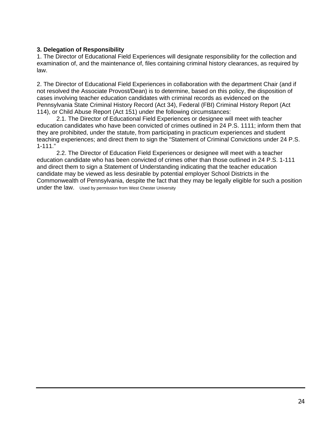# **3. Delegation of Responsibility**

1. The Director of Educational Field Experiences will designate responsibility for the collection and examination of, and the maintenance of, files containing criminal history clearances, as required by law.

2. The Director of Educational Field Experiences in collaboration with the department Chair (and if not resolved the Associate Provost/Dean) is to determine, based on this policy, the disposition of cases involving teacher education candidates with criminal records as evidenced on the Pennsylvania State Criminal History Record (Act 34), Federal (FBI) Criminal History Report (Act 114), or Child Abuse Report (Act 151) under the following circumstances:

2.1. The Director of Educational Field Experiences or designee will meet with teacher education candidates who have been convicted of crimes outlined in 24 P.S. 1111; inform them that they are prohibited, under the statute, from participating in practicum experiences and student teaching experiences; and direct them to sign the "Statement of Criminal Convictions under 24 P.S. 1-111."

2.2. The Director of Education Field Experiences or designee will meet with a teacher education candidate who has been convicted of crimes other than those outlined in 24 P.S. 1-111 and direct them to sign a Statement of Understanding indicating that the teacher education candidate may be viewed as less desirable by potential employer School Districts in the Commonwealth of Pennsylvania, despite the fact that they may be legally eligible for such a position under the law. Used by permission from West Chester University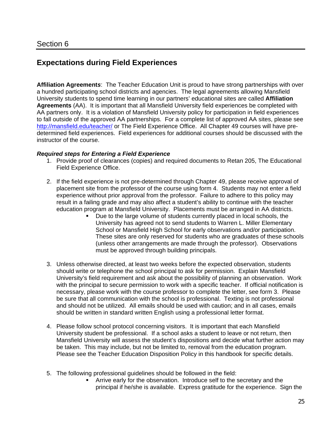# **Expectations during Field Experiences**

**Affiliation Agreement***s*: The Teacher Education Unit is proud to have strong partnerships with over a hundred participating school districts and agencies. The legal agreements allowing Mansfield University students to spend time learning in our partners' educational sites are called **Affiliation Agreements** (AA). It is important that all Mansfield University field experiences be completed with AA partners only. It is a violation of Mansfield University policy for participation in field experiences to fall outside of the approved AA partnerships. For a complete list of approved AA sites, please see http://mansfield.edu/teacher/ or The Field Experience Office. All Chapter 49 courses will have predetermined field experiences. Field experiences for additional courses should be discussed with the instructor of the course.

#### *Required steps for Entering a Field Experience*

- 1. Provide proof of clearances (copies) and required documents to Retan 205, The Educational Field Experience Office.
- 2. If the field experience is not pre-determined through Chapter 49, please receive approval of placement site from the professor of the course using form 4. Students may not enter a field experience without prior approval from the professor. Failure to adhere to this policy may result in a failing grade and may also affect a student's ability to continue with the teacher education program at Mansfield University. Placements must be arranged in AA districts.
	- Due to the large volume of students currently placed in local schools, the University has agreed not to send students to Warren L. Miller Elementary School or Mansfield High School for early observations and/or participation. These sites are only reserved for students who are graduates of these schools (unless other arrangements are made through the professor). Observations must be approved through building principals.
- 3. Unless otherwise directed, at least two weeks before the expected observation, students should write or telephone the school principal to ask for permission. Explain Mansfield University's field requirement and ask about the possibility of planning an observation. Work with the principal to secure permission to work with a specific teacher. If official notification is necessary, please work with the course professor to complete the letter, see form 3. Please be sure that all communication with the school is professional. Texting is not professional and should not be utilized. All emails should be used with caution; and in all cases, emails should be written in standard written English using a professional letter format.
- 4. Please follow school protocol concerning visitors. It is important that each Mansfield University student be professional. If a school asks a student to leave or not return, then Mansfield University will assess the student's dispositions and decide what further action may be taken. This may include, but not be limited to, removal from the education program. Please see the Teacher Education Disposition Policy in this handbook for specific details.
- 5. The following professional guidelines should be followed in the field:
	- Arrive early for the observation. Introduce self to the secretary and the principal if he/she is available. Express gratitude for the experience. Sign the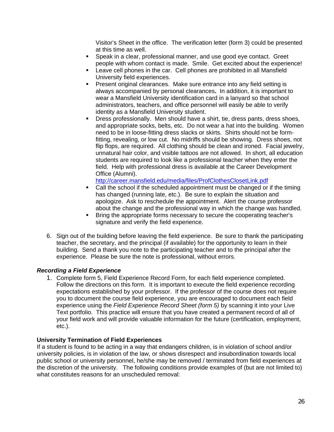Visitor's Sheet in the office. The verification letter (form 3) could be presented at this time as well.

- Speak in a clear, professional manner, and use good eye contact. Greet people with whom contact is made. Smile. Get excited about the experience!
- Leave cell phones in the car. Cell phones are prohibited in all Mansfield University field experiences.
- **Present original clearances. Make sure entrance into any field setting is** always accompanied by personal clearances**.** In addition, it is important to wear a Mansfield University identification card in a lanyard so that school administrators, teachers, and office personnel will easily be able to verify identity as a Mansfield University student.
- Dress professionally. Men should have a shirt, tie, dress pants, dress shoes, and appropriate socks, belts, etc. Do not wear a hat into the building. Women need to be in loose-fitting dress slacks or skirts. Shirts should not be formfitting, revealing, or low cut. No midriffs should be showing. Dress shoes, not flip flops, are required. All clothing should be clean and ironed. Facial jewelry, unnatural hair color, and visible tattoos are not allowed. In short, all education students are required to look like a professional teacher when they enter the field. Help with professional dress is available at the Career Development Office (Alumni).

http://career.mansfield.edu/media/files/ProfClothesClosetLink.pdf

- Call the school if the scheduled appointment must be changed or if the timing has changed (running late, etc.). Be sure to explain the situation and apologize. Ask to reschedule the appointment. Alert the course professor about the change and the professional way in which the change was handled.
- **Bring the appropriate forms necessary to secure the cooperating teacher's** signature and verify the field experience.
- 6. Sign out of the building before leaving the field experience. Be sure to thank the participating teacher, the secretary, and the principal (if available) for the opportunity to learn in their building. Send a thank you note to the participating teacher and to the principal after the experience. Please be sure the note is professional, without errors.

### *Recording a Field Experience*

1. Complete form 5, Field Experience Record Form, for each field experience completed. Follow the directions on this form. It is important to execute the field experience recording expectations established by your professor. If the professor of the course does not require you to document the course field experience, you are encouraged to document each field experience using the *Field Experience Record Sheet (form 5)* by scanning it into your Live Text portfolio. This practice will ensure that you have created a permanent record of all of your field work and will provide valuable information for the future (certification, employment, etc.).

### **University Termination of Field Experiences**

If a student is found to be acting in a way that endangers children, is in violation of school and/or university policies, is in violation of the law, or shows disrespect and insubordination towards local public school or university personnel, he/she may be removed / terminated from field experiences at the discretion of the university. The following conditions provide examples of (but are not limited to) what constitutes reasons for an unscheduled removal: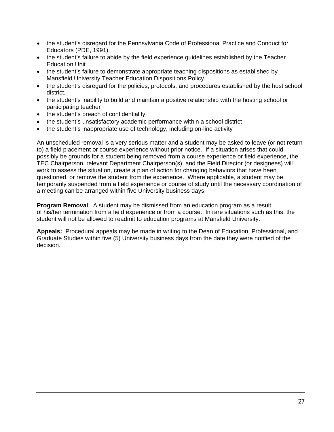- the student's disregard for the Pennsylvania Code of Professional Practice and Conduct for Educators (PDE, 1991),
- the student's failure to abide by the field experience guidelines established by the Teacher Education Unit
- the student's failure to demonstrate appropriate teaching dispositions as established by Mansfield University Teacher Education Dispositions Policy,
- the student's disregard for the policies, protocols, and procedures established by the host school district,
- the student's inability to build and maintain a positive relationship with the hosting school or participating teacher
- the student's breach of confidentiality
- the student's unsatisfactory academic performance within a school district
- the student's inappropriate use of technology, including on-line activity

An unscheduled removal is a very serious matter and a student may be asked to leave (or not return to) a field placement or course experience without prior notice. If a situation arises that could possibly be grounds for a student being removed from a course experience or field experience, the TEC Chairperson, relevant Department Chairperson(s), and the Field Director (or designees) will work to assess the situation, create a plan of action for changing behaviors that have been questioned, or remove the student from the experience. Where applicable, a student may be temporarily suspended from a field experience or course of study until the necessary coordination of a meeting can be arranged within five University business days.

**Program Removal**: A student may be dismissed from an education program as a result of his/her termination from a field experience or from a course. In rare situations such as this, the student will not be allowed to readmit to education programs at Mansfield University.

**Appeals:** Procedural appeals may be made in writing to the Dean of Education, Professional, and Graduate Studies within five (5) University business days from the date they were notified of the decision.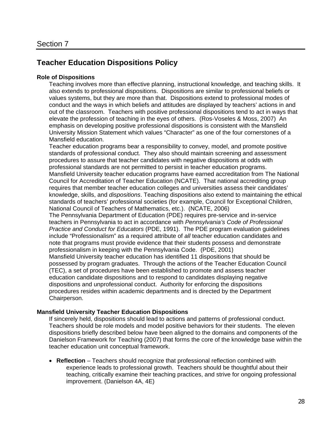# **Teacher Education Dispositions Policy**

### **Role of Dispositions**

Teaching involves more than effective planning, instructional knowledge, and teaching skills. It also extends to professional dispositions. Dispositions are similar to professional beliefs or values systems, but they are more than that. Dispositions extend to professional modes of conduct and the ways in which beliefs and attitudes are displayed by teachers' actions in and out of the classroom. Teachers with positive professional dispositions tend to act in ways that elevate the profession of teaching in the eyes of others. (Ros-Voseles & Moss, 2007) An emphasis on developing positive professional dispositions is consistent with the Mansfield University Mission Statement which values "Character" as one of the four cornerstones of a Mansfield education.

Teacher education programs bear a responsibility to convey, model, and promote positive standards of professional conduct. They also should maintain screening and assessment procedures to assure that teacher candidates with negative dispositions at odds with professional standards are not permitted to persist in teacher education programs. Mansfield University teacher education programs have earned accreditation from The National Council for Accreditation of Teacher Education (NCATE). That national accrediting group requires that member teacher education colleges and universities assess their candidates' knowledge, skills, and *dispositions*. Teaching dispositions also extend to maintaining the ethical standards of teachers' professional societies (for example, Council for Exceptional Children, National Council of Teachers of Mathematics, etc.). (NCATE, 2006)

The Pennsylvania Department of Education (PDE) requires pre-service and in-service teachers in Pennsylvania to act in accordance with *Pennsylvania's Code of Professional Practice and Conduct for Educators* (PDE, 1991). The PDE program evaluation guidelines include "Professionalism" as a required attribute of *all* teacher education candidates and note that programs must provide evidence that their students possess and demonstrate professionalism in keeping with the Pennsylvania Code. (PDE, 2001)

Mansfield University teacher education has identified 11 dispositions that should be possessed by program graduates. Through the actions of the Teacher Education Council (TEC), a set of procedures have been established to promote and assess teacher education candidate dispositions and to respond to candidates displaying negative dispositions and unprofessional conduct. Authority for enforcing the dispositions procedures resides within academic departments and is directed by the Department Chairperson.

### **Mansfield University Teacher Education Dispositions**

If sincerely held, dispositions should lead to actions and patterns of professional conduct. Teachers should be role models and model positive behaviors for their students. The eleven dispositions briefly described below have been aligned to the domains and components of the Danielson Framework for Teaching (2007) that forms the core of the knowledge base within the teacher education unit conceptual framework.

 **Reflection** – Teachers should recognize that professional reflection combined with experience leads to professional growth. Teachers should be thoughtful about their teaching, critically examine their teaching practices, and strive for ongoing professional improvement. (Danielson 4A, 4E)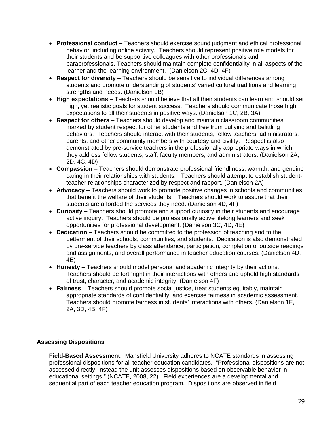- **Professional conduct**  Teachers should exercise sound judgment and ethical professional behavior, including online activity. Teachers should represent positive role models for their students and be supportive colleagues with other professionals and paraprofessionals. Teachers should maintain complete confidentiality in all aspects of the learner and the learning environment. (Danielson 2C, 4D, 4F)
- **Respect for diversity** Teachers should be sensitive to individual differences among students and promote understanding of students' varied cultural traditions and learning strengths and needs. (Danielson 1B)
- **High expectations** Teachers should believe that all their students can learn and should set high, yet realistic goals for student success. Teachers should communicate those high expectations to all their students in positive ways. (Danielson 1C, 2B, 3A)
- **Respect for others** Teachers should develop and maintain classroom communities marked by student respect for other students and free from bullying and belittling behaviors. Teachers should interact with their students, fellow teachers, administrators, parents, and other community members with courtesy and civility. Respect is also demonstrated by pre-service teachers in the professionally appropriate ways in which they address fellow students, staff, faculty members, and administrators. (Danielson 2A, 2D, 4C, 4D)
- **Compassion** Teachers should demonstrate professional friendliness, warmth, and genuine caring in their relationships with students. Teachers should attempt to establish studentteacher relationships characterized by respect and rapport. (Danielson 2A)
- **Advocacy** Teachers should work to promote positive changes in schools and communities that benefit the welfare of their students. Teachers should work to assure that their students are afforded the services they need. (Danielson 4D, 4F)
- **Curiosity** Teachers should promote and support curiosity in their students and encourage active inquiry. Teachers should be professionally active lifelong learners and seek opportunities for professional development. (Danielson 3C, 4D, 4E)
- **Dedication** Teachers should be committed to the profession of teaching and to the betterment of their schools, communities, and students. Dedication is also demonstrated by pre-service teachers by class attendance, participation, completion of outside readings and assignments, and overall performance in teacher education courses. (Danielson 4D, 4E)
- **Honesty**  Teachers should model personal and academic integrity by their actions. Teachers should be forthright in their interactions with others and uphold high standards of trust, character, and academic integrity. (Danielson 4F)
- **Fairness** Teachers should promote social justice, treat students equitably, maintain appropriate standards of confidentiality, and exercise fairness in academic assessment. Teachers should promote fairness in students' interactions with others. (Danielson 1F, 2A, 3D, 4B, 4F)

# **Assessing Dispositions**

**Field-Based Assessment**: Mansfield University adheres to NCATE standards in assessing professional dispositions for all teacher education candidates. "Professional dispositions are not assessed directly; instead the unit assesses dispositions based on observable behavior in educational settings." (NCATE, 2008, 22) Field experiences are a developmental and sequential part of each teacher education program. Dispositions are observed in field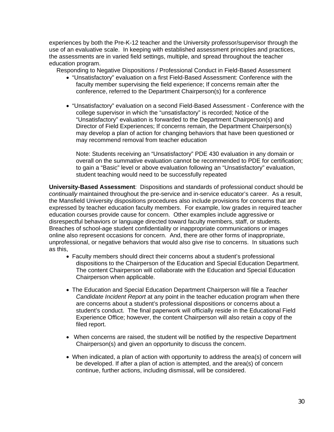experiences by both the Pre-K-12 teacher and the University professor/supervisor through the use of an evaluative scale. In keeping with established assessment principles and practices, the assessments are in varied field settings, multiple, and spread throughout the teacher education program.

Responding to Negative Dispositions / Professional Conduct in Field-Based Assessment

- "Unsatisfactory" evaluation on a first Field-Based Assessment: Conference with the faculty member supervising the field experience; If concerns remain after the conference, referred to the Department Chairperson(s) for a conference
- "Unsatisfactory" evaluation on a second Field-Based Assessment Conference with the college supervisor in which the "unsatisfactory" is recorded; Notice of the "Unsatisfactory" evaluation is forwarded to the Department Chairperson(s) and Director of Field Experiences; If concerns remain, the Department Chairperson(s) may develop a plan of action for changing behaviors that have been questioned or may recommend removal from teacher education

Note: Students receiving an "Unsatisfactory" PDE 430 evaluation in any domain or overall on the summative evaluation cannot be recommended to PDE for certification; to gain a "Basic" level or above evaluation following an "Unsatisfactory" evaluation, student teaching would need to be successfully repeated

**University-Based Assessment**: Dispositions and standards of professional conduct should be *continually* maintained throughout the pre-service and in-service educator's career. As a result, the Mansfield University dispositions procedures also include provisions for concerns that are expressed by teacher education faculty members. For example, low grades in required teacher education courses provide cause for concern. Other examples include aggressive or disrespectful behaviors or language directed toward faculty members, staff, or students. Breaches of school-age student confidentiality or inappropriate communications or images online also represent occasions for concern. And, there are other forms of inappropriate, unprofessional, or negative behaviors that would also give rise to concerns. In situations such as this,

- Faculty members should direct their concerns about a student's professional dispositions to the Chairperson of the Education and Special Education Department. The content Chairperson will collaborate with the Education and Special Education Chairperson when applicable.
- The Education and Special Education Department Chairperson will file a *Teacher Candidate Incident Report* at any point in the teacher education program when there are concerns about a student's professional dispositions or concerns about a student's conduct. The final paperwork will officially reside in the Educational Field Experience Office; however, the content Chairperson will also retain a copy of the filed report.
- When concerns are raised, the student will be notified by the respective Department Chairperson(s) and given an opportunity to discuss the concern.
- When indicated, a plan of action with opportunity to address the area(s) of concern will be developed. If after a plan of action is attempted, and the area(s) of concern continue, further actions, including dismissal, will be considered.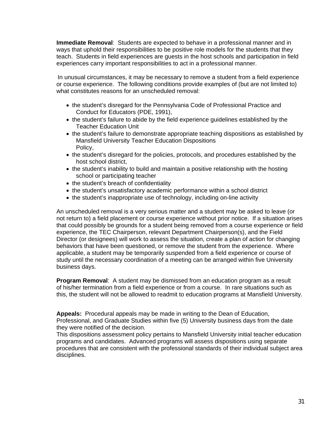**Immediate Removal**: Students are expected to behave in a professional manner and in ways that uphold their responsibilities to be positive role models for the students that they teach. Students in field experiences are guests in the host schools and participation in field experiences carry important responsibilities to act in a professional manner.

In unusual circumstances, it may be necessary to remove a student from a field experience or course experience. The following conditions provide examples of (but are not limited to) what constitutes reasons for an unscheduled removal:

- the student's disregard for the Pennsylvania Code of Professional Practice and Conduct for Educators (PDE, 1991),
- the student's failure to abide by the field experience guidelines established by the Teacher Education Unit
- the student's failure to demonstrate appropriate teaching dispositions as established by Mansfield University Teacher Education Dispositions Policy,
- the student's disregard for the policies, protocols, and procedures established by the host school district,
- the student's inability to build and maintain a positive relationship with the hosting school or participating teacher
- the student's breach of confidentiality
- the student's unsatisfactory academic performance within a school district
- the student's inappropriate use of technology, including on-line activity

An unscheduled removal is a very serious matter and a student may be asked to leave (or not return to) a field placement or course experience without prior notice. If a situation arises that could possibly be grounds for a student being removed from a course experience or field experience, the TEC Chairperson, relevant Department Chairperson(s), and the Field Director (or designees) will work to assess the situation, create a plan of action for changing behaviors that have been questioned, or remove the student from the experience. Where applicable, a student may be temporarily suspended from a field experience or course of study until the necessary coordination of a meeting can be arranged within five University business days.

**Program Removal**: A student may be dismissed from an education program as a result of his/her termination from a field experience or from a course. In rare situations such as this, the student will not be allowed to readmit to education programs at Mansfield University.

**Appeals:** Procedural appeals may be made in writing to the Dean of Education, Professional, and Graduate Studies within five (5) University business days from the date they were notified of the decision.

This dispositions assessment policy pertains to Mansfield University initial teacher education programs and candidates. Advanced programs will assess dispositions using separate procedures that are consistent with the professional standards of their individual subject area disciplines.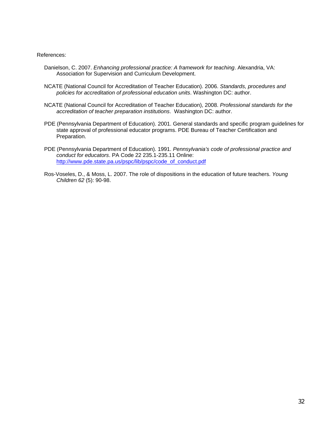#### References:

- Danielson, C. 2007. *Enhancing professional practice: A framework for teaching*. Alexandria, VA: Association for Supervision and Curriculum Development.
- NCATE (National Council for Accreditation of Teacher Education). 2006. *Standards, procedures and policies for accreditation of professional education units*. Washington DC: author.
- NCATE (National Council for Accreditation of Teacher Education), 2008. *Professional standards for the accreditation of teacher preparation institutions*. Washington DC: author.
- PDE (Pennsylvania Department of Education). 2001. General standards and specific program guidelines for state approval of professional educator programs. PDE Bureau of Teacher Certification and Preparation.
- PDE (Pennsylvania Department of Education). 1991. *Pennsylvania's code of professional practice and conduct for educators*. PA Code 22 235.1-235.11 Online: http://www.pde.state.pa.us/pspc/lib/pspc/code\_of\_conduct.pdf
- Ros-Voseles, D., & Moss, L. 2007. The role of dispositions in the education of future teachers. *Young Children 62* (5): 90-98.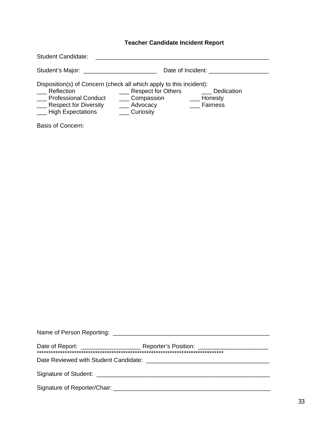# **Teacher Candidate Incident Report**

| <b>Student Candidate:</b>                                                                                                                                               |                                                                        |                                   |
|-------------------------------------------------------------------------------------------------------------------------------------------------------------------------|------------------------------------------------------------------------|-----------------------------------|
| Student's Major:                                                                                                                                                        | Date of Incident:                                                      |                                   |
| Disposition(s) of Concern (check all which apply to this incident):<br>Reflection<br><b>Professional Conduct</b><br><b>Respect for Diversity</b><br>- High Expectations | <b>Respect for Others</b><br>_ Compassion<br>___ Advocacy<br>Curiosity | Dedication<br>Honesty<br>Fairness |

Basis of Concern: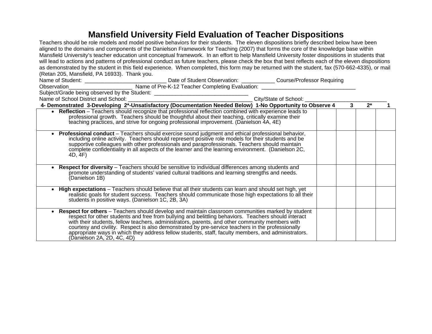# **Mansfield University Field Evaluation of Teacher Dispositions**

| Teachers should be role models and model positive behaviors for their students. The eleven dispositions briefly described below have been                                                                                         |  |  |   |       |  |
|-----------------------------------------------------------------------------------------------------------------------------------------------------------------------------------------------------------------------------------|--|--|---|-------|--|
| aligned to the domains and components of the Danielson Framework for Teaching (2007) that forms the core of the knowledge base within                                                                                             |  |  |   |       |  |
| Mansfield University's teacher education unit conceptual framework. In an effort to help Mansfield University foster dispositions in students that                                                                                |  |  |   |       |  |
| will lead to actions and patterns of professional conduct as future teachers, please check the box that best reflects each of the eleven dispositions                                                                             |  |  |   |       |  |
| as demonstrated by the student in this field experience. When completed, this form may be returned with the student, fax (570-662-4335), or mail                                                                                  |  |  |   |       |  |
| (Retan 205, Mansfield, PA 16933). Thank you.                                                                                                                                                                                      |  |  |   |       |  |
| Name of Student: ___________________________________Date of Student Observation: _____________Course/Professor Requiring<br>Observation_____________________________Name of Pre-K-12 Teacher Completing Evaluation: _____________ |  |  |   |       |  |
|                                                                                                                                                                                                                                   |  |  |   |       |  |
|                                                                                                                                                                                                                                   |  |  |   |       |  |
|                                                                                                                                                                                                                                   |  |  |   |       |  |
| 4- Demonstrated 3-Developing 2*-Unsatisfactory (Documentation Needed Below) 1-No Opportunity to Observe 4                                                                                                                         |  |  | 3 | $2^*$ |  |
| • Reflection – Teachers should recognize that professional reflection combined with experience leads to                                                                                                                           |  |  |   |       |  |
| professional growth. Teachers should be thoughtful about their teaching, critically examine their                                                                                                                                 |  |  |   |       |  |
| teaching practices, and strive for ongoing professional improvement. (Danielson 4A, 4E)                                                                                                                                           |  |  |   |       |  |
| • Professional conduct – Teachers should exercise sound judgment and ethical professional behavior,                                                                                                                               |  |  |   |       |  |
| including online activity. Teachers should represent positive role models for their students and be                                                                                                                               |  |  |   |       |  |
| supportive colleagues with other professionals and paraprofessionals. Teachers should maintain                                                                                                                                    |  |  |   |       |  |
| complete confidentiality in all aspects of the learner and the learning environment. (Danielson 2C,<br>4D, 4F)                                                                                                                    |  |  |   |       |  |
|                                                                                                                                                                                                                                   |  |  |   |       |  |
| Respect for diversity - Teachers should be sensitive to individual differences among students and                                                                                                                                 |  |  |   |       |  |
| promote understanding of students' varied cultural traditions and learning strengths and needs.                                                                                                                                   |  |  |   |       |  |
| (Danielson 1B)                                                                                                                                                                                                                    |  |  |   |       |  |
| High expectations - Teachers should believe that all their students can learn and should set high, yet                                                                                                                            |  |  |   |       |  |
| realistic goals for student success. Teachers should communicate those high expectations to all their                                                                                                                             |  |  |   |       |  |
| students in positive ways. (Danielson 1C, 2B, 3A)                                                                                                                                                                                 |  |  |   |       |  |
|                                                                                                                                                                                                                                   |  |  |   |       |  |
| <b>Respect for others</b> – Teachers should develop and maintain classroom communities marked by student                                                                                                                          |  |  |   |       |  |
| respect for other students and free from bullying and belittling behaviors. Teachers should interact<br>with their students, fellow teachers, administrators, parents, and other community members with                           |  |  |   |       |  |
| courtesy and civility. Respect is also demonstrated by pre-service teachers in the professionally                                                                                                                                 |  |  |   |       |  |
| appropriate ways in which they address fellow students, staff, faculty members, and administrators.                                                                                                                               |  |  |   |       |  |
| (Danielson 2A, 2D, 4C, 4D)                                                                                                                                                                                                        |  |  |   |       |  |
|                                                                                                                                                                                                                                   |  |  |   |       |  |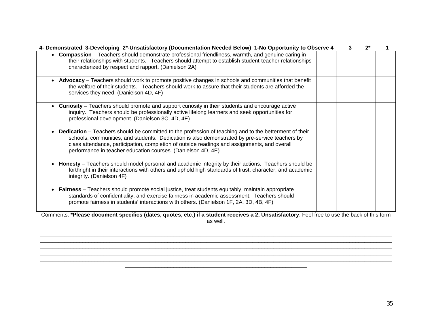| 4- Demonstrated 3-Developing 2*-Unsatisfactory (Documentation Needed Below) 1-No Opportunity to Observe 4                                                                                                                                                                                                                                                                | 3 | $2^{\star}$ |  |
|--------------------------------------------------------------------------------------------------------------------------------------------------------------------------------------------------------------------------------------------------------------------------------------------------------------------------------------------------------------------------|---|-------------|--|
| • Compassion - Teachers should demonstrate professional friendliness, warmth, and genuine caring in<br>their relationships with students. Teachers should attempt to establish student-teacher relationships<br>characterized by respect and rapport. (Danielson 2A)                                                                                                     |   |             |  |
| Advocacy - Teachers should work to promote positive changes in schools and communities that benefit<br>$\bullet$<br>the welfare of their students. Teachers should work to assure that their students are afforded the<br>services they need. (Danielson 4D, 4F)                                                                                                         |   |             |  |
| <b>Curiosity</b> – Teachers should promote and support curiosity in their students and encourage active<br>inquiry. Teachers should be professionally active lifelong learners and seek opportunities for<br>professional development. (Danielson 3C, 4D, 4E)                                                                                                            |   |             |  |
| Dedication - Teachers should be committed to the profession of teaching and to the betterment of their<br>schools, communities, and students. Dedication is also demonstrated by pre-service teachers by<br>class attendance, participation, completion of outside readings and assignments, and overall<br>performance in teacher education courses. (Danielson 4D, 4E) |   |             |  |
| Honesty - Teachers should model personal and academic integrity by their actions. Teachers should be<br>forthright in their interactions with others and uphold high standards of trust, character, and academic<br>integrity. (Danielson 4F)                                                                                                                            |   |             |  |
| Fairness - Teachers should promote social justice, treat students equitably, maintain appropriate<br>standards of confidentiality, and exercise fairness in academic assessment. Teachers should<br>promote fairness in students' interactions with others. (Danielson 1F, 2A, 3D, 4B, 4F)                                                                               |   |             |  |
| Comments: *Please document specifics (dates, quotes, etc.) if a student receives a 2, Unsatisfactory. Feel free to use the back of this form<br>as well.                                                                                                                                                                                                                 |   |             |  |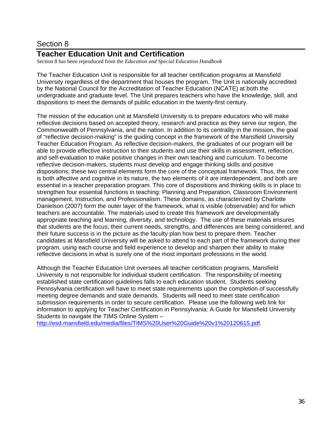# Section 8

# **Teacher Education Unit and Certification**

Section 8 has been reproduced from the *Education and Special Education Handbook*

The Teacher Education Unit is responsible for all teacher certification programs at Mansfield University regardless of the department that houses the program. The Unit is nationally accredited by the National Council for the Accreditation of Teacher Education (NCATE) at both the undergraduate and graduate level. The Unit prepares teachers who have the knowledge, skill, and dispositions to meet the demands of public education in the twenty-first century.

The mission of the education unit at Mansfield University is to prepare educators who will make reflective decisions based on accepted theory, research and practice as they serve our region, the Commonwealth of Pennsylvania, and the nation. In addition to its centrality in the mission, the goal of "reflective decision-making" is the guiding concept in the framework of the Mansfield University Teacher Education Program. As reflective decision-makers, the graduates of our program will be able to provide effective instruction to their students and use their skills in assessment, reflection, and self-evaluation to make positive changes in their own teaching and curriculum. To become reflective decision-makers, students must develop and engage thinking skills and positive dispositions; these two central elements form the core of the conceptual framework. Thus, the core is both affective and cognitive in its nature, the two elements of it are interdependent, and both are essential in a teacher preparation program. This core of dispositions and thinking skills is in place to strengthen four essential functions in teaching: Planning and Preparation, Classroom Environment management, Instruction, and Professionalism. These domains, as characterized by Charlotte Danielson (2007) form the outer layer of the framework, what is visible (observable) and for which teachers are accountable. The materials used to create this framework are developmentally appropriate teaching and learning, diversity, and technology. The use of these materials ensures that students are the focus; their current needs, strengths, and differences are being considered; and their future success is in the picture as the faculty plan how best to prepare them. Teacher candidates at Mansfield University will be asked to attend to each part of the framework during their program, using each course and field experience to develop and sharpen their ability to make reflective decisions in what is surely one of the most important professions in the world.

Although the Teacher Education Unit oversees all teacher certification programs, Mansfield University is not responsible for individual student certification. The responsibility of meeting established state certification guidelines falls to each education student. Students seeking Pennsylvania certification will have to meet state requirements upon the completion of successfully meeting degree demands and state demands. Students will need to meet state certification submission requirements in order to secure certification. Please use the following web link for information to applying for Teacher Certification in Pennsylvania: A Guide for Mansfield University Students to navigate the TIMS Online System –

http://esd.mansfield.edu/media/files/TIMS%20User%20Guide%20v1%20120615.pdf.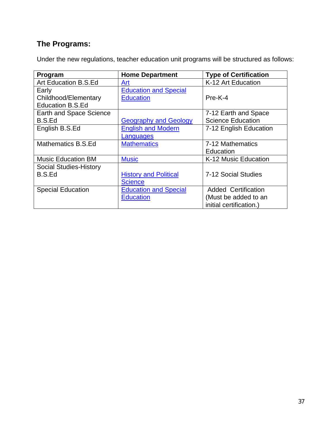# **The Programs:**

Under the new regulations, teacher education unit programs will be structured as follows:

| Program                       | <b>Home Department</b>       | <b>Type of Certification</b> |
|-------------------------------|------------------------------|------------------------------|
| Art Education B.S.Ed          | Art                          | K-12 Art Education           |
| Early                         | <b>Education and Special</b> |                              |
| Childhood/Elementary          | <b>Education</b>             | Pre-K-4                      |
| <b>Education B.S.Ed</b>       |                              |                              |
| Earth and Space Science       |                              | 7-12 Earth and Space         |
| <b>B.S.Ed</b>                 | <b>Geography and Geology</b> | <b>Science Education</b>     |
| English B.S.Ed                | <b>English and Modern</b>    | 7-12 English Education       |
|                               | Languages                    |                              |
| Mathematics B.S.Ed            | <b>Mathematics</b>           | 7-12 Mathematics             |
|                               |                              | Education                    |
| <b>Music Education BM</b>     | <b>Music</b>                 | K-12 Music Education         |
| <b>Social Studies-History</b> |                              |                              |
| B.S.Ed                        | <b>History and Political</b> | 7-12 Social Studies          |
|                               | <b>Science</b>               |                              |
| <b>Special Education</b>      | <b>Education and Special</b> | <b>Added Certification</b>   |
|                               | <b>Education</b>             | (Must be added to an         |
|                               |                              | initial certification.)      |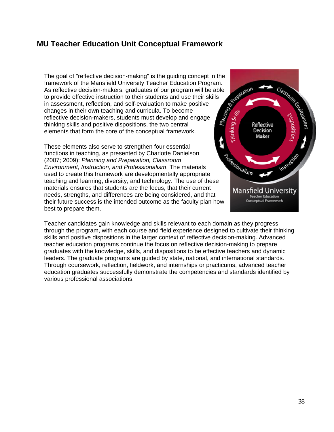# **MU Teacher Education Unit Conceptual Framework**

The goal of "reflective decision-making" is the guiding concept in the framework of the Mansfield University Teacher Education Program. As reflective decision-makers, graduates of our program will be able<br>to provide effective instruction to their students and use their skills.<br>in assessment, reflection, and self and their students and use their skills. to provide effective instruction to their students and use their skills in assessment, reflection, and self-evaluation to make positive changes in their own teaching and curricula. To become reflective decision-makers, students must develop and engage thinking skills and positive dispositions, the two central elements that form the core of the conceptual framework.

These elements also serve to strengthen four essential functions in teaching, as presented by Charlotte Danielson (2007; 2009): *Planning and Preparation, Classroom Environment, Instruction, and Professionalism*. The materials used to create this framework are developmentally appropriate teaching and learning, diversity, and technology. The use of these materials ensures that students are the focus, that their current needs, strengths, and differences are being considered, and that their future success is the intended outcome as the faculty plan how best to prepare them.



Teacher candidates gain knowledge and skills relevant to each domain as they progress through the program, with each course and field experience designed to cultivate their thinking skills and positive dispositions in the larger context of reflective decision-making. Advanced teacher education programs continue the focus on reflective decision-making to prepare graduates with the knowledge, skills, and dispositions to be effective teachers and dynamic leaders. The graduate programs are guided by state, national, and international standards. Through coursework, reflection, fieldwork, and internships or practicums, advanced teacher education graduates successfully demonstrate the competencies and standards identified by various professional associations.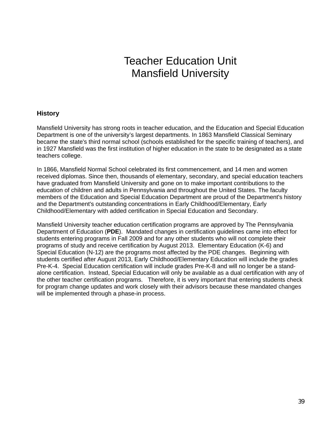# Teacher Education Unit Mansfield University

## **History**

Mansfield University has strong roots in teacher education, and the Education and Special Education Department is one of the university's largest departments. In 1863 Mansfield Classical Seminary became the state's third normal school (schools established for the specific training of teachers), and in 1927 Mansfield was the first institution of higher education in the state to be designated as a state teachers college.

In 1866, Mansfield Normal School celebrated its first commencement, and 14 men and women received diplomas. Since then, thousands of elementary, secondary, and special education teachers have graduated from Mansfield University and gone on to make important contributions to the education of children and adults in Pennsylvania and throughout the United States. The faculty members of the Education and Special Education Department are proud of the Department's history and the Department's outstanding concentrations in Early Childhood/Elementary, Early Childhood/Elementary with added certification in Special Education and Secondary.

Mansfield University teacher education certification programs are approved by The Pennsylvania Department of Education (**PDE**). Mandated changes in certification guidelines came into effect for students entering programs in Fall 2009 and for any other students who will not complete their programs of study and receive certification by August 2013. Elementary Education (K-6) and Special Education (N-12) are the programs most affected by the PDE changes. Beginning with students certified after August 2013, Early Childhood/Elementary Education will include the grades Pre-K-4. Special Education certification will include grades Pre-K-8 and will no longer be a standalone certification. Instead, Special Education will only be available as a dual certification with any of the other teacher certification programs. Therefore, it is very important that entering students check for program change updates and work closely with their advisors because these mandated changes will be implemented through a phase-in process.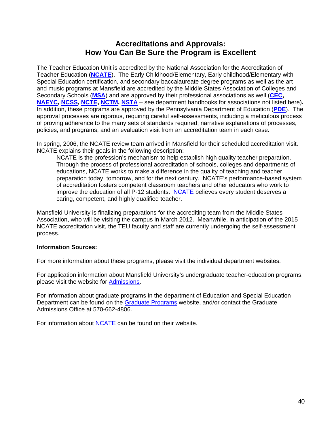# **Accreditations and Approvals: How You Can Be Sure the Program is Excellent**

The Teacher Education Unit is accredited by the National Association for the Accreditation of Teacher Education (**NCATE**). The Early Childhood/Elementary, Early childhood/Elementary with Special Education certification, and secondary baccalaureate degree programs as well as the art and music programs at Mansfield are accredited by the Middle States Association of Colleges and Secondary Schools (**MSA**) and are approved by their professional associations as well (**CEC, NAEYC, NCSS, NCTE, NCTM, NSTA** – see department handbooks for associations not listed here)**.**  In addition, these programs are approved by the Pennsylvania Department of Education (**PDE**). The approval processes are rigorous, requiring careful self-assessments, including a meticulous process of proving adherence to the many sets of standards required; narrative explanations of processes, policies, and programs; and an evaluation visit from an accreditation team in each case.

In spring, 2006, the NCATE review team arrived in Mansfield for their scheduled accreditation visit. NCATE explains their goals in the following description:

NCATE is the profession's mechanism to help establish high quality teacher preparation. Through the process of professional accreditation of schools, colleges and departments of educations, NCATE works to make a difference in the quality of teaching and teacher preparation today, tomorrow, and for the next century. NCATE's performance-based system of accreditation fosters competent classroom teachers and other educators who work to improve the education of all P-12 students. NCATE believes every student deserves a caring, competent, and highly qualified teacher.

Mansfield University is finalizing preparations for the accrediting team from the Middle States Association, who will be visiting the campus in March 2012. Meanwhile, in anticipation of the 2015 NCATE accreditation visit, the TEU faculty and staff are currently undergoing the self-assessment process.

#### **Information Sources:**

For more information about these programs, please visit the individual department websites.

For application information about Mansfield University's undergraduate teacher-education programs, please visit the website for Admissions.

For information about graduate programs in the department of Education and Special Education Department can be found on the Graduate Programs website, and/or contact the Graduate Admissions Office at 570-662-4806.

For information about **NCATE** can be found on their website.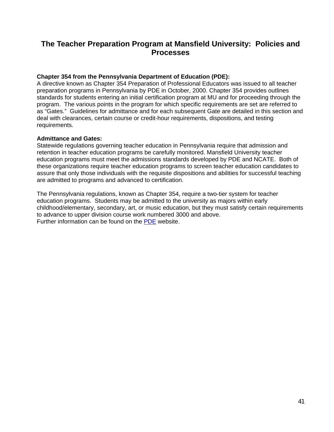# **The Teacher Preparation Program at Mansfield University: Policies and Processes**

#### **Chapter 354 from the Pennsylvania Department of Education (PDE):**

A directive known as Chapter 354 Preparation of Professional Educators was issued to all teacher preparation programs in Pennsylvania by PDE in October, 2000. Chapter 354 provides outlines standards for students entering an initial certification program at MU and for proceeding through the program. The various points in the program for which specific requirements are set are referred to as "Gates." Guidelines for admittance and for each subsequent Gate are detailed in this section and deal with clearances, certain course or credit-hour requirements, dispositions, and testing requirements.

#### **Admittance and Gates:**

Statewide regulations governing teacher education in Pennsylvania require that admission and retention in teacher education programs be carefully monitored. Mansfield University teacher education programs must meet the admissions standards developed by PDE and NCATE. Both of these organizations require teacher education programs to screen teacher education candidates to assure that only those individuals with the requisite dispositions and abilities for successful teaching are admitted to programs and advanced to certification.

The Pennsylvania regulations, known as Chapter 354, require a two-tier system for teacher education programs. Students may be admitted to the university as majors within early childhood/elementary, secondary, art, or music education, but they must satisfy certain requirements to advance to upper division course work numbered 3000 and above. Further information can be found on the PDE website.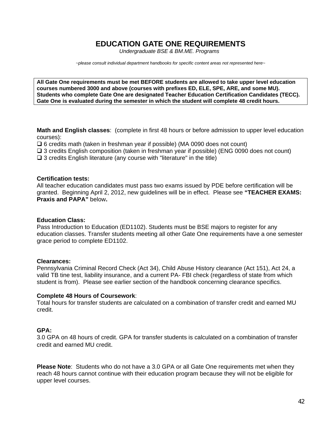# **EDUCATION GATE ONE REQUIREMENTS**

*Undergraduate BSE & BM.ME. Programs* 

*~please consult individual department handbooks for specific content areas not represented here~* 

**All Gate One requirements must be met BEFORE students are allowed to take upper level education courses numbered 3000 and above (courses with prefixes ED, ELE, SPE, ARE, and some MU). Students who complete Gate One are designated Teacher Education Certification Candidates (TECC). Gate One is evaluated during the semester in which the student will complete 48 credit hours.** 

**Math and English classes**: (complete in first 48 hours or before admission to upper level education courses):

 $\square$  6 credits math (taken in freshman year if possible) (MA 0090 does not count)

- $\square$  3 credits English composition (taken in freshman year if possible) (ENG 0090 does not count)
- $\square$  3 credits English literature (any course with "literature" in the title)

#### **Certification tests:**

All teacher education candidates must pass two exams issued by PDE before certification will be granted. Beginning April 2, 2012, new guidelines will be in effect. Please see **"TEACHER EXAMS: Praxis and PAPA"** below**.**

#### **Education Class:**

Pass Introduction to Education (ED1102). Students must be BSE majors to register for any education classes. Transfer students meeting all other Gate One requirements have a one semester grace period to complete ED1102.

#### **Clearances:**

Pennsylvania Criminal Record Check (Act 34), Child Abuse History clearance (Act 151), Act 24, a valid TB tine test, liability insurance, and a current PA- FBI check (regardless of state from which student is from). Please see earlier section of the handbook concerning clearance specifics.

#### **Complete 48 Hours of Coursework**:

Total hours for transfer students are calculated on a combination of transfer credit and earned MU credit.

#### **GPA:**

3.0 GPA on 48 hours of credit. GPA for transfer students is calculated on a combination of transfer credit and earned MU credit.

**Please Note**: Students who do not have a 3.0 GPA or all Gate One requirements met when they reach 48 hours cannot continue with their education program because they will not be eligible for upper level courses.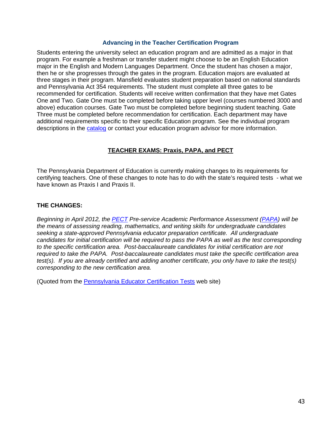#### **Advancing in the Teacher Certification Program**

Students entering the university select an education program and are admitted as a major in that program. For example a freshman or transfer student might choose to be an English Education major in the English and Modern Languages Department. Once the student has chosen a major, then he or she progresses through the gates in the program. Education majors are evaluated at three stages in their program. Mansfield evaluates student preparation based on national standards and Pennsylvania Act 354 requirements. The student must complete all three gates to be recommended for certification. Students will receive written confirmation that they have met Gates One and Two. Gate One must be completed before taking upper level (courses numbered 3000 and above) education courses. Gate Two must be completed before beginning student teaching. Gate Three must be completed before recommendation for certification. Each department may have additional requirements specific to their specific Education program. See the individual program descriptions in the catalog or contact your education program advisor for more information.

## **TEACHER EXAMS: Praxis, PAPA, and PECT**

The Pennsylvania Department of Education is currently making changes to its requirements for certifying teachers. One of these changes to note has to do with the state's required tests - what we have known as Praxis I and Praxis II.

#### **THE CHANGES:**

*Beginning in April 2012, the PECT Pre-service Academic Performance Assessment (PAPA) will be the means of assessing reading, mathematics, and writing skills for undergraduate candidates seeking a state-approved Pennsylvania educator preparation certificate. All undergraduate candidates for initial certification will be required to pass the PAPA as well as the test corresponding to the specific certification area. Post-baccalaureate candidates for initial certification are not required to take the PAPA. Post-baccalaureate candidates must take the specific certification area test(s). If you are already certified and adding another certificate, you only have to take the test(s) corresponding to the new certification area.* 

(Quoted from the Pennsylvania Educator Certification Tests web site)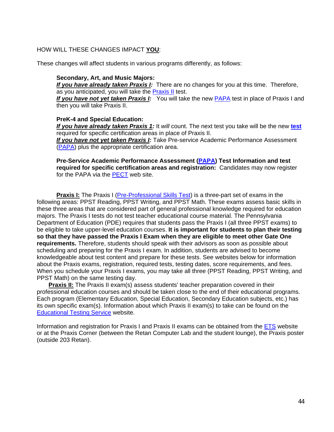#### HOW WILL THESE CHANGES IMPACT **YOU**:

These changes will affect students in various programs differently, as follows:

#### **Secondary, Art, and Music Majors:**

*If you have already taken Praxis I:* There are no changes for you at this time. Therefore, as you anticipated, you will take the Praxis II test.

*If you have not yet taken Praxis I:* You will take the new PAPA test in place of Praxis I and then you will take Praxis II.

#### **PreK-4 and Special Education:**

*If you have already taken Praxis 1:* It *will* count. The next test you take will be the new **test** required for specific certification areas in place of Praxis II.

*If you have not yet taken Praxis I:* Take Pre-service Academic Performance Assessment (PAPA) plus the appropriate certification area.

**Pre-Service Academic Performance Assessment (PAPA) Test Information and test required for specific certification areas and registration:** Candidates may now register for the PAPA via the PECT web site.

**Praxis I:** The Praxis I (Pre-Professional Skills Test) is a three-part set of exams in the following areas: PPST Reading, PPST Writing, and PPST Math. These exams assess basic skills in these three areas that are considered part of general professional knowledge required for education majors. The Praxis I tests do not test teacher educational course material. The Pennsylvania Department of Education (PDE) requires that students pass the Praxis I (all three PPST exams) to be eligible to take upper-level education courses. **It is important for students to plan their testing so that they have passed the Praxis I Exam when they are eligible to meet other Gate One requirements.** Therefore, students should speak with their advisors as soon as possible about scheduling and preparing for the Praxis I exam. In addition, students are advised to become knowledgeable about test content and prepare for these tests. See websites below for information about the Praxis exams, registration, required tests, testing dates, score requirements, and fees. When you schedule your Praxis I exams, you may take all three (PPST Reading, PPST Writing, and PPST Math) on the same testing day.

**Praxis II:** The Praxis II exam(s) assess students' teacher preparation covered in their professional education courses and should be taken close to the end of their educational programs. Each program (Elementary Education, Special Education, Secondary Education subjects, etc.) has its own specific exam(s). Information about which Praxis II exam(s) to take can be found on the Educational Testing Service website.

Information and registration for Praxis I and Praxis II exams can be obtained from the ETS website or at the Praxis Corner (between the Retan Computer Lab and the student lounge), the Praxis poster (outside 203 Retan).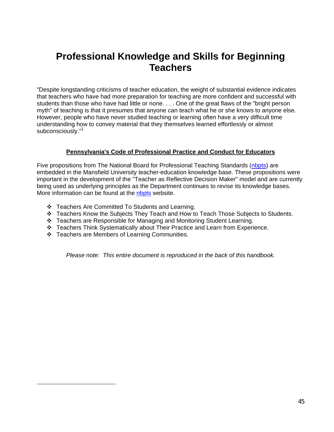# **Professional Knowledge and Skills for Beginning Teachers**

"Despite longstanding criticisms of teacher education, the weight of substantial evidence indicates that teachers who have had more preparation for teaching are more confident and successful with students than those who have had little or none. . . . One of the great flaws of the "bright person myth" of teaching is that it presumes that anyone can teach what he or she knows to anyone else. However, people who have never studied teaching or learning often have a very difficult time understanding how to convey material that they themselves learned effortlessly or almost subconsciously."<sup>1</sup>

#### **Pennsylvania's Code of Professional Practice and Conduct for Educators**

Five propositions from The National Board for Professional Teaching Standards (nbpts) are embedded in the Mansfield University teacher-education knowledge base. These propositions were important in the development of the "Teacher as Reflective Decision Maker" model and are currently being used as underlying principles as the Department continues to revise its knowledge bases. More information can be found at the nbpts website.

- Teachers Are Committed To Students and Learning.
- Teachers Know the Subjects They Teach and How to Teach Those Subjects to Students.
- Teachers are Responsible for Managing and Monitoring Student Learning.
- Teachers Think Systematically about Their Practice and Learn from Experience.
- Teachers are Members of Learning Communities.

 $\overline{a}$ 

*Please note: This entire document is reproduced in the back of this handbook.*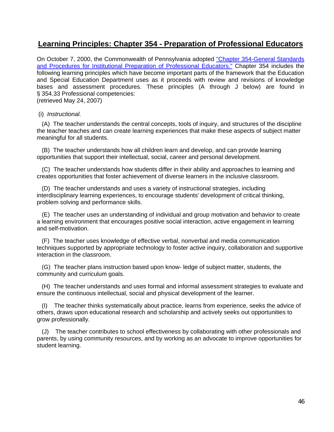# **Learning Principles: Chapter 354 - Preparation of Professional Educators**

On October 7, 2000, the Commonwealth of Pennsylvania adopted "Chapter 354-General Standards and Procedures for Institutional Preparation of Professional Educators." Chapter 354 includes the following learning principles which have become important parts of the framework that the Education and Special Education Department uses as it proceeds with review and revisions of knowledge bases and assessment procedures. These principles (A through J below) are found in § 354.33 Professional competencies:

(retrieved May 24, 2007)

#### (i) *Instructional.*

 (A) The teacher understands the central concepts, tools of inquiry, and structures of the discipline the teacher teaches and can create learning experiences that make these aspects of subject matter meaningful for all students.

 (B) The teacher understands how all children learn and develop, and can provide learning opportunities that support their intellectual, social, career and personal development.

 (C) The teacher understands how students differ in their ability and approaches to learning and creates opportunities that foster achievement of diverse learners in the inclusive classroom.

 (D) The teacher understands and uses a variety of instructional strategies, including interdisciplinary learning experiences, to encourage students' development of critical thinking, problem solving and performance skills.

 (E) The teacher uses an understanding of individual and group motivation and behavior to create a learning environment that encourages positive social interaction, active engagement in learning and self-motivation.

 (F) The teacher uses knowledge of effective verbal, nonverbal and media communication techniques supported by appropriate technology to foster active inquiry, collaboration and supportive interaction in the classroom.

 (G) The teacher plans instruction based upon know- ledge of subject matter, students, the community and curriculum goals.

 (H) The teacher understands and uses formal and informal assessment strategies to evaluate and ensure the continuous intellectual, social and physical development of the learner.

 (I) The teacher thinks systematically about practice, learns from experience, seeks the advice of others, draws upon educational research and scholarship and actively seeks out opportunities to grow professionally.

 (J) The teacher contributes to school effectiveness by collaborating with other professionals and parents, by using community resources, and by working as an advocate to improve opportunities for student learning.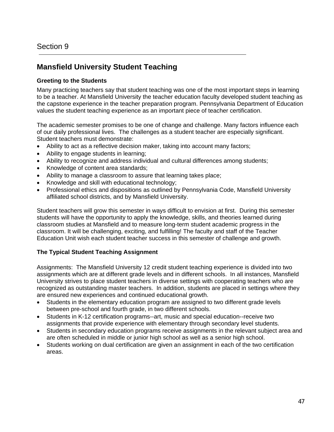# **Mansfield University Student Teaching**

#### **Greeting to the Students**

Many practicing teachers say that student teaching was one of the most important steps in learning to be a teacher. At Mansfield University the teacher education faculty developed student teaching as the capstone experience in the teacher preparation program. Pennsylvania Department of Education values the student teaching experience as an important piece of teacher certification.

The academic semester promises to be one of change and challenge. Many factors influence each of our daily professional lives. The challenges as a student teacher are especially significant. Student teachers must demonstrate:

- Ability to act as a reflective decision maker, taking into account many factors;
- Ability to engage students in learning;
- Ability to recognize and address individual and cultural differences among students;
- Knowledge of content area standards;
- Ability to manage a classroom to assure that learning takes place;
- Knowledge and skill with educational technology;
- Professional ethics and dispositions as outlined by Pennsylvania Code, Mansfield University affiliated school districts, and by Mansfield University.

Student teachers will grow this semester in ways difficult to envision at first. During this semester students will have the opportunity to apply the knowledge, skills, and theories learned during classroom studies at Mansfield and to measure long-term student academic progress in the classroom. It will be challenging, exciting, and fulfilling! The faculty and staff of the Teacher Education Unit wish each student teacher success in this semester of challenge and growth.

## **The Typical Student Teaching Assignment**

Assignments: The Mansfield University 12 credit student teaching experience is divided into two assignments which are at different grade levels and in different schools. In all instances, Mansfield University strives to place student teachers in diverse settings with cooperating teachers who are recognized as outstanding master teachers. In addition, students are placed in settings where they are ensured new experiences and continued educational growth.

- Students in the elementary education program are assigned to two different grade levels between pre-school and fourth grade, in two different schools.
- Students in K-12 certification programs--art, music and special education--receive two assignments that provide experience with elementary through secondary level students.
- Students in secondary education programs receive assignments in the relevant subject area and are often scheduled in middle or junior high school as well as a senior high school.
- Students working on dual certification are given an assignment in each of the two certification areas.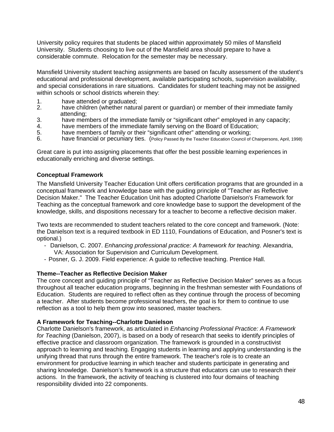University policy requires that students be placed within approximately 50 miles of Mansfield University. Students choosing to live out of the Mansfield area should prepare to have a considerable commute. Relocation for the semester may be necessary.

Mansfield University student teaching assignments are based on faculty assessment of the student's educational and professional development, available participating schools, supervision availability, and special considerations in rare situations. Candidates for student teaching may not be assigned within schools or school districts wherein they:

- 1. have attended or graduated;<br>2. have children (whether natur
- have children (whether natural parent or guardian) or member of their immediate family attending;
- 3. have members of the immediate family or "significant other" employed in any capacity;
- 4. have members of the immediate family serving on the Board of Education;
- 5. have members of family or their "significant other" attending or working;
- 6. have financial or pecuniary ties. (Policy Passed By the Teacher Education Council of Chairpersons, April, 1998)

Great care is put into assigning placements that offer the best possible learning experiences in educationally enriching and diverse settings.

#### **Conceptual Framework**

The Mansfield University Teacher Education Unit offers certification programs that are grounded in a conceptual framework and knowledge base with the guiding principle of "Teacher as Reflective Decision Maker." The Teacher Education Unit has adopted Charlotte Danielson's Framework for Teaching as the conceptual framework and core knowledge base to support the development of the knowledge, skills, and dispositions necessary for a teacher to become a reflective decision maker.

Two texts are recommended to student teachers related to the core concept and framework. (Note: the Danielson text is a required textbook in ED 1110, Foundations of Education, and Posner's text is optional.)

- Danielson, C. 2007. *Enhancing professional practice: A framework for teaching*. Alexandria, VA: Association for Supervision and Curriculum Development.
- Posner, G. J. 2009. Field experience: A guide to reflective teaching. Prentice Hall.

#### **Theme--Teacher as Reflective Decision Maker**

The core concept and guiding principle of "Teacher as Reflective Decision Maker" serves as a focus throughout all teacher education programs, beginning in the freshman semester with Foundations of Education. Students are required to reflect often as they continue through the process of becoming a teacher. After students become professional teachers, the goal is for them to continue to use reflection as a tool to help them grow into seasoned, master teachers.

#### **A Framework for Teaching--Charlotte Danielson**

Charlotte Danielson's framework, as articulated in *Enhancing Professional Practice: A Framework for Teaching* (Danielson, 2007), is based on a body of research that seeks to identify principles of effective practice and classroom organization. The framework is grounded in a constructivist approach to learning and teaching. Engaging students in learning and applying understanding is the unifying thread that runs through the entire framework. The teacher's role is to create an environment for productive learning in which teacher and students participate in generating and sharing knowledge. Danielson's framework is a structure that educators can use to research their actions. In the framework, the activity of teaching is clustered into four domains of teaching responsibility divided into 22 components.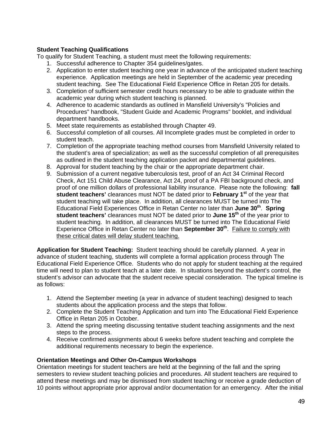#### **Student Teaching Qualifications**

To qualify for Student Teaching, a student must meet the following requirements:

- 1. Successful adherence to Chapter 354 guidelines/gates.
- 2. Application to enter student teaching one year in advance of the anticipated student teaching experience. Application meetings are held in September of the academic year preceding student teaching. See The Educational Field Experience Office in Retan 205 for details.
- 3. Completion of sufficient semester credit hours necessary to be able to graduate within the academic year during which student teaching is planned.
- 4. Adherence to academic standards as outlined in Mansfield University's "Policies and Procedures" handbook, "Student Guide and Academic Programs" booklet, and individual department handbooks.
- 5. Meet state requirements as established through Chapter 49.
- 6. Successful completion of all courses. All Incomplete grades must be completed in order to student teach.
- 7. Completion of the appropriate teaching method courses from Mansfield University related to the student's area of specialization; as well as the successful completion of all prerequisites as outlined in the student teaching application packet and departmental guidelines.
- 8. Approval for student teaching by the chair or the appropriate department chair.
- 9. Submission of a current negative tuberculosis test, proof of an Act 34 Criminal Record Check, Act 151 Child Abuse Clearance, Act 24, proof of a PA FBI background check, and proof of one million dollars of professional liability insurance. Please note the following: **fall student teachers'** clearances must NOT be dated prior to **February 1st** of the year that student teaching will take place. In addition, all clearances MUST be turned into The Educational Field Experiences Office in Retan Center no later than **June 30th**. **Spring student teachers'** clearances must NOT be dated prior to **June 15th** of the year prior to student teaching. In addition, all clearances MUST be turned into The Educational Field Experience Office in Retan Center no later than **September 30th**. Failure to comply with these critical dates will delay student teaching.

**Application for Student Teaching:** Student teaching should be carefully planned. A year in advance of student teaching, students will complete a formal application process through The Educational Field Experience Office. Students who do not apply for student teaching at the required time will need to plan to student teach at a later date. In situations beyond the student's control, the student's advisor can advocate that the student receive special consideration. The typical timeline is as follows:

- 1. Attend the September meeting (a year in advance of student teaching) designed to teach students about the application process and the steps that follow.
- 2. Complete the Student Teaching Application and turn into The Educational Field Experience Office in Retan 205 in October.
- 3. Attend the spring meeting discussing tentative student teaching assignments and the next steps to the process.
- 4. Receive confirmed assignments about 6 weeks before student teaching and complete the additional requirements necessary to begin the experience.

#### **Orientation Meetings and Other On-Campus Workshops**

Orientation meetings for student teachers are held at the beginning of the fall and the spring semesters to review student teaching policies and procedures. All student teachers are required to attend these meetings and may be dismissed from student teaching or receive a grade deduction of 10 points without appropriate prior approval and/or documentation for an emergency.After the initial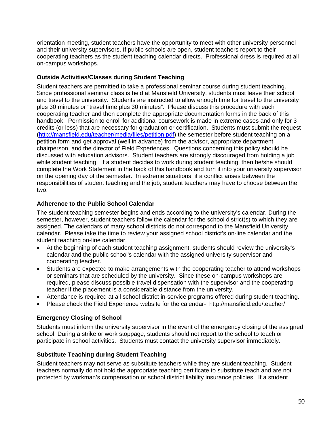orientation meeting, student teachers have the opportunity to meet with other university personnel and their university supervisors. If public schools are open, student teachers report to their cooperating teachers as the student teaching calendar directs. Professional dress is required at all on-campus workshops.

#### **Outside Activities/Classes during Student Teaching**

Student teachers are permitted to take a professional seminar course during student teaching. Since professional seminar class is held at Mansfield University, students must leave their school and travel to the university. Students are instructed to allow enough time for travel to the university plus 30 minutes or "travel time plus 30 minutes". Please discuss this procedure with each cooperating teacher and then complete the appropriate documentation forms in the back of this handbook. Permission to enroll for additional coursework is made in extreme cases and only for 3 credits (or less) that are necessary for graduation or certification. Students must submit the request (http://mansfield.edu/teacher/media/files/petition.pdf) the semester before student teaching on a petition form and get approval (well in advance) from the advisor, appropriate department chairperson, and the director of Field Experiences. Questions concerning this policy should be discussed with education advisors. Student teachers are strongly discouraged from holding a job while student teaching. If a student decides to work during student teaching, then he/she should complete the Work Statement in the back of this handbook and turn it into your university supervisor on the opening day of the semester. In extreme situations, if a conflict arises between the responsibilities of student teaching and the job, student teachers may have to choose between the two.

#### **Adherence to the Public School Calendar**

The student teaching semester begins and ends according to the university's calendar. During the semester, however, student teachers follow the calendar for the school district(s) to which they are assigned. The calendars of many school districts do not correspond to the Mansfield University calendar. Please take the time to review your assigned school district's on-line calendar and the student teaching on-line calendar.

- At the beginning of each student teaching assignment, students should review the university's calendar and the public school's calendar with the assigned university supervisor and cooperating teacher.
- Students are expected to make arrangements with the cooperating teacher to attend workshops or seminars that are scheduled by the university. Since these on-campus workshops are required, please discuss possible travel dispensation with the supervisor and the cooperating teacher if the placement is a considerable distance from the university.
- Attendance is required at all school district in-service programs offered during student teaching.
- Please check the Field Experience website for the calendar- http://mansfield.edu/teacher/

## **Emergency Closing of School**

Students must inform the university supervisor in the event of the emergency closing of the assigned school. During a strike or work stoppage, students should not report to the school to teach or participate in school activities. Students must contact the university supervisor immediately.

#### **Substitute Teaching during Student Teaching**

Student teachers may not serve as substitute teachers while they are student teaching. Student teachers normally do not hold the appropriate teaching certificate to substitute teach and are not protected by workman's compensation or school district liability insurance policies. If a student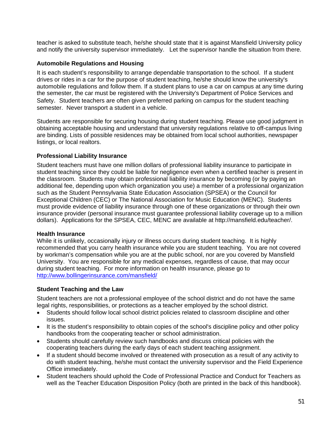teacher is asked to substitute teach, he/she should state that it is against Mansfield University policy and notify the university supervisor immediately. Let the supervisor handle the situation from there.

#### **Automobile Regulations and Housing**

It is each student's responsibility to arrange dependable transportation to the school. If a student drives or rides in a car for the purpose of student teaching, he/she should know the university's automobile regulations and follow them. If a student plans to use a car on campus at any time during the semester, the car must be registered with the University's Department of Police Services and Safety. Student teachers are often given preferred parking on campus for the student teaching semester. Never transport a student in a vehicle.

Students are responsible for securing housing during student teaching. Please use good judgment in obtaining acceptable housing and understand that university regulations relative to off-campus living are binding. Lists of possible residences may be obtained from local school authorities, newspaper listings, or local realtors.

#### **Professional Liability Insurance**

Student teachers must have one million dollars of professional liability insurance to participate in student teaching since they could be liable for negligence even when a certified teacher is present in the classroom. Students may obtain professional liability insurance by becoming (or by paying an additional fee, depending upon which organization you use) a member of a professional organization such as the Student Pennsylvania State Education Association (SPSEA) or the Council for Exceptional Children (CEC) or The National Association for Music Education (MENC). Students must provide evidence of liability insurance through one of these organizations or through their own insurance provider (personal insurance must guarantee professional liability coverage up to a million dollars). Applications for the SPSEA, CEC, MENC are available at http://mansfield.edu/teacher/.

#### **Health Insurance**

While it is unlikely, occasionally injury or illness occurs during student teaching. It is highly recommended that you carry health insurance while you are student teaching. You are not covered by workman's compensation while you are at the public school, nor are you covered by Mansfield University. You are responsible for any medical expenses, regardless of cause, that may occur during student teaching. For more information on health insurance, please go to http://www.bollingerinsurance.com/mansfield/

## **Student Teaching and the Law**

Student teachers are not a professional employee of the school district and do not have the same legal rights, responsibilities, or protections as a teacher employed by the school district.

- Students should follow local school district policies related to classroom discipline and other issues.
- It is the student's responsibility to obtain copies of the school's discipline policy and other policy handbooks from the cooperating teacher or school administration.
- Students should carefully review such handbooks and discuss critical policies with the cooperating teachers during the early days of each student teaching assignment.
- If a student should become involved or threatened with prosecution as a result of any activity to do with student teaching, he/she must contact the university supervisor and the Field Experience Office immediately.
- Student teachers should uphold the Code of Professional Practice and Conduct for Teachers as well as the Teacher Education Disposition Policy (both are printed in the back of this handbook).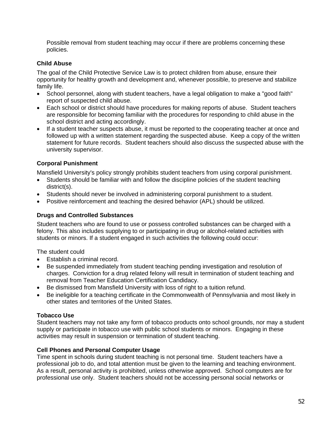Possible removal from student teaching may occur if there are problems concerning these policies.

#### **Child Abuse**

The goal of the Child Protective Service Law is to protect children from abuse, ensure their opportunity for healthy growth and development and, whenever possible, to preserve and stabilize family life.

- School personnel, along with student teachers, have a legal obligation to make a "good faith" report of suspected child abuse.
- Each school or district should have procedures for making reports of abuse. Student teachers are responsible for becoming familiar with the procedures for responding to child abuse in the school district and acting accordingly.
- If a student teacher suspects abuse, it must be reported to the cooperating teacher at once and followed up with a written statement regarding the suspected abuse. Keep a copy of the written statement for future records. Student teachers should also discuss the suspected abuse with the university supervisor.

## **Corporal Punishment**

Mansfield University's policy strongly prohibits student teachers from using corporal punishment.

- Students should be familiar with and follow the discipline policies of the student teaching district(s).
- Students should never be involved in administering corporal punishment to a student.
- Positive reinforcement and teaching the desired behavior (APL) should be utilized.

#### **Drugs and Controlled Substances**

Student teachers who are found to use or possess controlled substances can be charged with a felony. This also includes supplying to or participating in drug or alcohol-related activities with students or minors. If a student engaged in such activities the following could occur:

The student could

- Establish a criminal record.
- Be suspended immediately from student teaching pending investigation and resolution of charges. Conviction for a drug related felony will result in termination of student teaching and removal from Teacher Education Certification Candidacy.
- Be dismissed from Mansfield University with loss of right to a tuition refund.
- Be ineligible for a teaching certificate in the Commonwealth of Pennsylvania and most likely in other states and territories of the United States.

## **Tobacco Use**

Student teachers may not take any form of tobacco products onto school grounds, nor may a student supply or participate in tobacco use with public school students or minors. Engaging in these activities may result in suspension or termination of student teaching.

## **Cell Phones and Personal Computer Usage**

Time spent in schools during student teaching is not personal time. Student teachers have a professional job to do, and total attention must be given to the learning and teaching environment. As a result, personal activity is prohibited, unless otherwise approved. School computers are for professional use only. Student teachers should not be accessing personal social networks or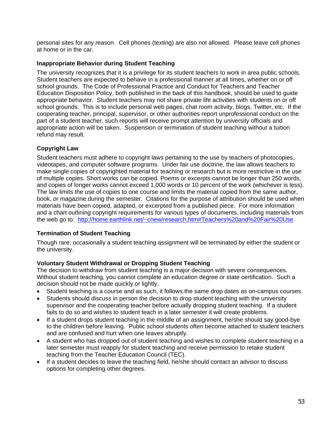personal sites for any reason. Cell phones (texting) are also not allowed. Please leave cell phones at home or in the car.

#### **Inappropriate Behavior during Student Teaching**

The university recognizes that it is a privilege for its student teachers to work in area public schools. Student teachers are expected to behave in a professional manner at all times, whether on or off school grounds. The Code of Professional Practice and Conduct for Teachers and Teacher Education Disposition Policy, both published in the back of this handbook, should be used to guide appropriate behavior. Student teachers may not share private life activities with students on or off school grounds. This is to include personal web pages, chat room activity, blogs, Twitter, etc. If the cooperating teacher, principal, supervisor, or other authorities report unprofessional conduct on the part of a student teacher, such reports will receive prompt attention by university officials and appropriate action will be taken. Suspension or termination of student teaching without a tuition refund may result.

## **Copyright Law**

Student teachers must adhere to copyright laws pertaining to the use by teachers of photocopies, videotapes, and computer software programs. Under fair use doctrine, the law allows teachers to make single copies of copyrighted material for teaching or research but is more restrictive in the use of multiple copies. Short works can be copied. Poems or excerpts cannot be longer than 250 words, and copies of longer works cannot exceed 1,000 words or 10 percent of the work (whichever is less). The law limits the use of copies to one course and limits the material copied from the same author, book, or magazine during the semester. Citations for the purpose of attribution should be used when materials have been copied, adapted, or excerpted from a published piece. For more information and a chart outlining copyright requirements for various types of documents, including materials from the web go to: http://home.earthlink.net/~cnew/research.htm#Teachers%20and%20Fair%20Use

## **Termination of Student Teaching**

Though rare, occasionally a student teaching assignment will be terminated by either the student or the university.

## **Voluntary Student Withdrawal or Dropping Student Teaching**

The decision to withdraw from student teaching is a major decision with severe consequences. Without student teaching, you cannot complete an education degree or state certification. Such a decision should not be made quickly or lightly.

- Student teaching is a course and as such, it follows the same drop dates as on-campus courses.
- Students should discuss in person the decision to drop student teaching with the university supervisor and the cooperating teacher before actually dropping student teaching. If a student fails to do so and wishes to student teach in a later semester it will create problems.
- If a student drops student teaching in the middle of an assignment, he/she should say good-bye to the children before leaving. Public school students often become attached to student teachers and are confused and hurt when one leaves abruptly.
- A student who has dropped out of student teaching and wishes to complete student teaching in a later semester must reapply for student teaching and receive permission to retake student teaching from the Teacher Education Council (TEC).
- If a student decides to leave the teaching field, he/she should contact an advisor to discuss options for completing other degrees.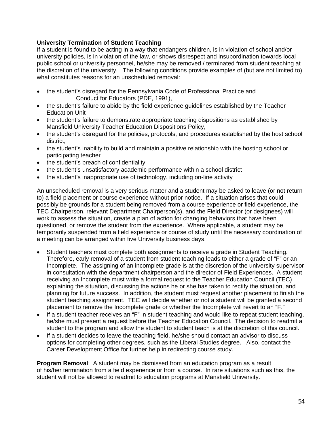#### **University Termination of Student Teaching**

If a student is found to be acting in a way that endangers children, is in violation of school and/or university policies, is in violation of the law, or shows disrespect and insubordination towards local public school or university personnel, he/she may be removed / terminated from student teaching at the discretion of the university. The following conditions provide examples of (but are not limited to) what constitutes reasons for an unscheduled removal:

- the student's disregard for the Pennsylvania Code of Professional Practice and Conduct for Educators (PDE, 1991),
- the student's failure to abide by the field experience guidelines established by the Teacher Education Unit
- the student's failure to demonstrate appropriate teaching dispositions as established by Mansfield University Teacher Education Dispositions Policy,
- the student's disregard for the policies, protocols, and procedures established by the host school district,
- the student's inability to build and maintain a positive relationship with the hosting school or participating teacher
- the student's breach of confidentiality
- the student's unsatisfactory academic performance within a school district
- the student's inappropriate use of technology, including on-line activity

An unscheduled removal is a very serious matter and a student may be asked to leave (or not return to) a field placement or course experience without prior notice. If a situation arises that could possibly be grounds for a student being removed from a course experience or field experience, the TEC Chairperson, relevant Department Chairperson(s), and the Field Director (or designees) will work to assess the situation, create a plan of action for changing behaviors that have been questioned, or remove the student from the experience. Where applicable, a student may be temporarily suspended from a field experience or course of study until the necessary coordination of a meeting can be arranged within five University business days.

- Student teachers must complete both assignments to receive a grade in Student Teaching. Therefore, early removal of a student from student teaching leads to either a grade of "F" or an Incomplete. The assigning of an incomplete grade is at the discretion of the university supervisor in consultation with the department chairperson and the director of Field Experiences. A student receiving an Incomplete must write a formal request to the Teacher Education Council (TEC) explaining the situation, discussing the actions he or she has taken to rectify the situation, and planning for future success. In addition, the student must request another placement to finish the student teaching assignment. TEC will decide whether or not a student will be granted a second placement to remove the Incomplete grade or whether the Incomplete will revert to an "F."
- If a student teacher receives an "F" in student teaching and would like to repeat student teaching, he/she must present a request before the Teacher Education Council. The decision to readmit a student to the program and allow the student to student teach is at the discretion of this council.
- If a student decides to leave the teaching field, he/she should contact an advisor to discuss options for completing other degrees, such as the Liberal Studies degree. Also, contact the Career Development Office for further help in redirecting course study.

**Program Removal**: A student may be dismissed from an education program as a result of his/her termination from a field experience or from a course. In rare situations such as this, the student will not be allowed to readmit to education programs at Mansfield University.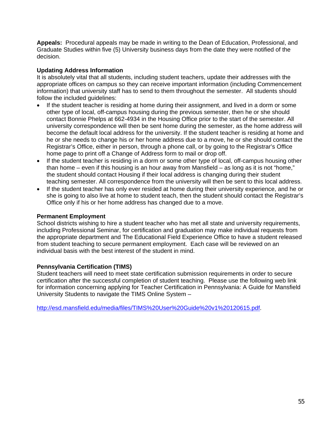**Appeals:** Procedural appeals may be made in writing to the Dean of Education, Professional, and Graduate Studies within five (5) University business days from the date they were notified of the decision.

#### **Updating Address Information**

It is absolutely vital that all students, including student teachers, update their addresses with the appropriate offices on campus so they can receive important information (including Commencement information) that university staff has to send to them throughout the semester. All students should follow the included guidelines:

- If the student teacher is residing at home during their assignment, and lived in a dorm or some other type of local, off-campus housing during the previous semester, then he or she should contact Bonnie Phelps at 662-4934 in the Housing Office prior to the start of the semester. All university correspondence will then be sent home during the semester, as the home address will become the default local address for the university. If the student teacher is residing at home and he or she needs to change his or her home address due to a move, he or she should contact the Registrar's Office, either in person, through a phone call, or by going to the Registrar's Office home page to print off a Change of Address form to mail or drop off.
- If the student teacher is residing in a dorm or some other type of local, off-campus housing other than home – even if this housing is an hour away from Mansfield – as long as it is not "home," the student should contact Housing if their local address is changing during their student teaching semester. All correspondence from the university will then be sent to this local address.
- If the student teacher has only ever resided at home during their university experience, and he or she is going to also live at home to student teach, then the student should contact the Registrar's Office only if his or her home address has changed due to a move.

#### **Permanent Employment**

School districts wishing to hire a student teacher who has met all state and university requirements, including Professional Seminar, for certification and graduation may make individual requests from the appropriate department and The Educational Field Experience Office to have a student released from student teaching to secure permanent employment. Each case will be reviewed on an individual basis with the best interest of the student in mind.

#### **Pennsylvania Certification (TIMS)**

Student teachers will need to meet state certification submission requirements in order to secure certification after the successful completion of student teaching. Please use the following web link for information concerning applying for Teacher Certification in Pennsylvania: A Guide for Mansfield University Students to navigate the TIMS Online System –

http://esd.mansfield.edu/media/files/TIMS%20User%20Guide%20v1%20120615.pdf.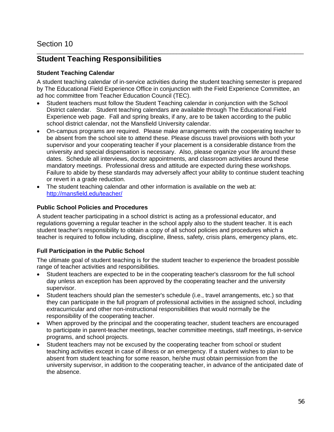#### \_\_\_\_\_\_\_\_\_\_\_\_\_\_\_\_\_\_\_\_\_\_\_\_\_\_\_\_\_\_\_\_\_\_\_\_\_\_\_\_\_\_\_\_\_\_\_\_\_\_\_\_\_\_\_\_\_\_\_\_\_\_\_\_\_\_\_\_\_\_\_\_\_\_\_\_\_\_\_\_\_\_\_\_\_\_\_\_ **Student Teaching Responsibilities**

#### **Student Teaching Calendar**

A student teaching calendar of in-service activities during the student teaching semester is prepared by The Educational Field Experience Office in conjunction with the Field Experience Committee, an ad hoc committee from Teacher Education Council (TEC).

- Student teachers must follow the Student Teaching calendar in conjunction with the School District calendar. Student teaching calendars are available through The Educational Field Experience web page. Fall and spring breaks, if any, are to be taken according to the public school district calendar, not the Mansfield University calendar.
- On-campus programs are required. Please make arrangements with the cooperating teacher to be absent from the school site to attend these. Please discuss travel provisions with both your supervisor and your cooperating teacher if your placement is a considerable distance from the university and special dispensation is necessary. Also, please organize your life around these dates. Schedule all interviews, doctor appointments, and classroom activities around these mandatory meetings. Professional dress and attitude are expected during these workshops. Failure to abide by these standards may adversely affect your ability to continue student teaching or revert in a grade reduction.
- The student teaching calendar and other information is available on the web at: http://mansfield.edu/teacher/

#### **Public School Policies and Procedures**

A student teacher participating in a school district is acting as a professional educator, and regulations governing a regular teacher in the school apply also to the student teacher. It is each student teacher's responsibility to obtain a copy of all school policies and procedures which a teacher is required to follow including, discipline, illness, safety, crisis plans, emergency plans, etc.

## **Full Participation in the Public School**

The ultimate goal of student teaching is for the student teacher to experience the broadest possible range of teacher activities and responsibilities.

- Student teachers are expected to be in the cooperating teacher's classroom for the full school day unless an exception has been approved by the cooperating teacher and the university supervisor.
- Student teachers should plan the semester's schedule (i.e., travel arrangements, etc.) so that they can participate in the full program of professional activities in the assigned school, including extracurricular and other non-instructional responsibilities that would normally be the responsibility of the cooperating teacher.
- When approved by the principal and the cooperating teacher, student teachers are encouraged to participate in parent-teacher meetings, teacher committee meetings, staff meetings, in-service programs, and school projects.
- Student teachers may not be excused by the cooperating teacher from school or student teaching activities except in case of illness or an emergency. If a student wishes to plan to be absent from student teaching for some reason, he/she must obtain permission from the university supervisor, in addition to the cooperating teacher, in advance of the anticipated date of the absence.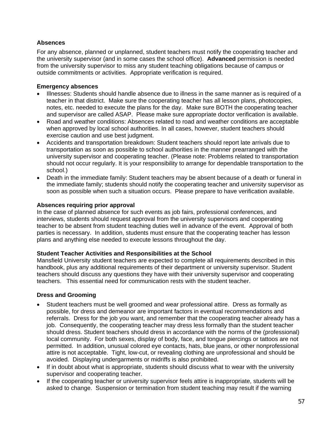#### **Absences**

For any absence, planned or unplanned, student teachers must notify the cooperating teacher and the university supervisor (and in some cases the school office). **Advanced** permission is needed from the university supervisor to miss any student teaching obligations because of campus or outside commitments or activities. Appropriate verification is required.

#### **Emergency absences**

- Illnesses: Students should handle absence due to illness in the same manner as is required of a teacher in that district. Make sure the cooperating teacher has all lesson plans, photocopies, notes, etc. needed to execute the plans for the day. Make sure BOTH the cooperating teacher and supervisor are called ASAP. Please make sure appropriate doctor verification is available.
- Road and weather conditions: Absences related to road and weather conditions are acceptable when approved by local school authorities. In all cases, however, student teachers should exercise caution and use best judgment.
- Accidents and transportation breakdown: Student teachers should report late arrivals due to transportation as soon as possible to school authorities in the manner prearranged with the university supervisor and cooperating teacher. (Please note: Problems related to transportation should not occur regularly. It is your responsibility to arrange for dependable transportation to the school.)
- Death in the immediate family: Student teachers may be absent because of a death or funeral in the immediate family; students should notify the cooperating teacher and university supervisor as soon as possible when such a situation occurs. Please prepare to have verification available.

#### **Absences requiring prior approval**

In the case of planned absence for such events as job fairs, professional conferences, and interviews, students should request approval from the university supervisors and cooperating teacher to be absent from student teaching duties well in advance of the event. Approval of both parties is necessary. In addition, students must ensure that the cooperating teacher has lesson plans and anything else needed to execute lessons throughout the day.

## **Student Teacher Activities and Responsibilities at the School**

Mansfield University student teachers are expected to complete all requirements described in this handbook, plus any additional requirements of their department or university supervisor. Student teachers should discuss any questions they have with their university supervisor and cooperating teachers. This essential need for communication rests with the student teacher.

## **Dress and Grooming**

- Student teachers must be well groomed and wear professional attire. Dress as formally as possible, for dress and demeanor are important factors in eventual recommendations and referrals. Dress for the job you want, and remember that the cooperating teacher already has a job. Consequently, the cooperating teacher may dress less formally than the student teacher should dress. Student teachers should dress in accordance with the norms of the (professional) local community. For both sexes, display of body, face, and tongue piercings or tattoos are not permitted. In addition, unusual colored eye contacts, hats, blue jeans, or other nonprofessional attire is not acceptable. Tight, low-cut, or revealing clothing are unprofessional and should be avoided. Displaying undergarments or midriffs is also prohibited.
- If in doubt about what is appropriate, students should discuss what to wear with the university supervisor and cooperating teacher.
- If the cooperating teacher or university supervisor feels attire is inappropriate, students will be asked to change. Suspension or termination from student teaching may result if the warning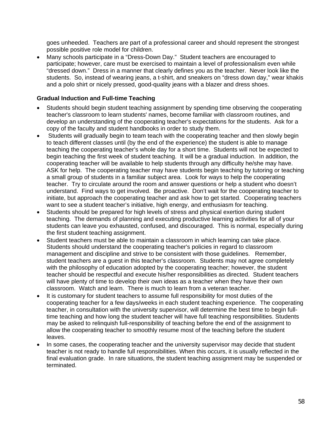goes unheeded. Teachers are part of a professional career and should represent the strongest possible positive role model for children.

 Many schools participate in a "Dress-Down Day." Student teachers are encouraged to participate; however, care must be exercised to maintain a level of professionalism even while "dressed down." Dress in a manner that clearly defines you as the teacher. Never look like the students. So, instead of wearing jeans, a t-shirt, and sneakers on "dress down day," wear khakis and a polo shirt or nicely pressed, good-quality jeans with a blazer and dress shoes.

#### **Gradual Induction and Full-time Teaching**

- Students should begin student teaching assignment by spending time observing the cooperating teacher's classroom to learn students' names, become familiar with classroom routines, and develop an understanding of the cooperating teacher's expectations for the students. Ask for a copy of the faculty and student handbooks in order to study them.
- Students will gradually begin to team teach with the cooperating teacher and then slowly begin to teach different classes until (by the end of the experience) the student is able to manage teaching the cooperating teacher's whole day for a short time. Students will not be expected to begin teaching the first week of student teaching. It will be a gradual induction. In addition, the cooperating teacher will be available to help students through any difficulty he/she may have. ASK for help. The cooperating teacher may have students begin teaching by tutoring or teaching a small group of students in a familiar subject area. Look for ways to help the cooperating teacher. Try to circulate around the room and answer questions or help a student who doesn't understand. Find ways to get involved. Be proactive. Don't wait for the cooperating teacher to initiate, but approach the cooperating teacher and ask how to get started. Cooperating teachers want to see a student teacher's initiative, high energy, and enthusiasm for teaching.
- Students should be prepared for high levels of stress and physical exertion during student teaching. The demands of planning and executing productive learning activities for all of your students can leave you exhausted, confused, and discouraged. This is normal, especially during the first student teaching assignment.
- Student teachers must be able to maintain a classroom in which learning can take place. Students should understand the cooperating teacher's policies in regard to classroom management and discipline and strive to be consistent with those guidelines. Remember, student teachers are a guest in this teacher's classroom. Students may not agree completely with the philosophy of education adopted by the cooperating teacher; however, the student teacher should be respectful and execute his/her responsibilities as directed. Student teachers will have plenty of time to develop their own ideas as a teacher when they have their own classroom. Watch and learn. There is much to learn from a veteran teacher.
- It is customary for student teachers to assume full responsibility for most duties of the cooperating teacher for a few days/weeks in each student teaching experience. The cooperating teacher, in consultation with the university supervisor, will determine the best time to begin fulltime teaching and how long the student teacher will have full teaching responsibilities. Students may be asked to relinquish full-responsibility of teaching before the end of the assignment to allow the cooperating teacher to smoothly resume most of the teaching before the student leaves.
- In some cases, the cooperating teacher and the university supervisor may decide that student teacher is not ready to handle full responsibilities. When this occurs, it is usually reflected in the final evaluation grade. In rare situations, the student teaching assignment may be suspended or terminated.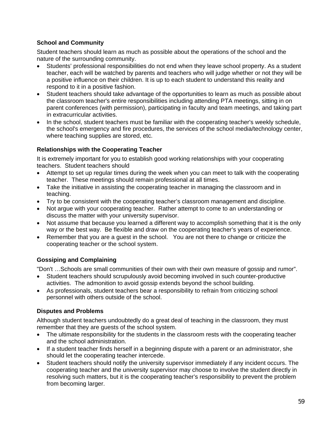## **School and Community**

Student teachers should learn as much as possible about the operations of the school and the nature of the surrounding community.

- Students' professional responsibilities do not end when they leave school property. As a student teacher, each will be watched by parents and teachers who will judge whether or not they will be a positive influence on their children. It is up to each student to understand this reality and respond to it in a positive fashion.
- Student teachers should take advantage of the opportunities to learn as much as possible about the classroom teacher's entire responsibilities including attending PTA meetings, sitting in on parent conferences (with permission), participating in faculty and team meetings, and taking part in extracurricular activities.
- In the school, student teachers must be familiar with the cooperating teacher's weekly schedule, the school's emergency and fire procedures, the services of the school media/technology center, where teaching supplies are stored, etc.

## **Relationships with the Cooperating Teacher**

It is extremely important for you to establish good working relationships with your cooperating teachers. Student teachers should

- Attempt to set up regular times during the week when you can meet to talk with the cooperating teacher. These meetings should remain professional at all times.
- Take the initiative in assisting the cooperating teacher in managing the classroom and in teaching.
- Try to be consistent with the cooperating teacher's classroom management and discipline.
- Not argue with your cooperating teacher. Rather attempt to come to an understanding or discuss the matter with your university supervisor.
- Not assume that because you learned a different way to accomplish something that it is the only way or the best way. Be flexible and draw on the cooperating teacher's years of experience.
- Remember that you are a guest in the school. You are not there to change or criticize the cooperating teacher or the school system.

## **Gossiping and Complaining**

"Don't …Schools are small communities of their own with their own measure of gossip and rumor".

- Student teachers should scrupulously avoid becoming involved in such counter-productive activities. The admonition to avoid gossip extends beyond the school building.
- As professionals, student teachers bear a responsibility to refrain from criticizing school personnel with others outside of the school.

## **Disputes and Problems**

Although student teachers undoubtedly do a great deal of teaching in the classroom, they must remember that they are guests of the school system.

- The ultimate responsibility for the students in the classroom rests with the cooperating teacher and the school administration.
- If a student teacher finds herself in a beginning dispute with a parent or an administrator, she should let the cooperating teacher intercede.
- Student teachers should notify the university supervisor immediately if any incident occurs. The cooperating teacher and the university supervisor may choose to involve the student directly in resolving such matters, but it is the cooperating teacher's responsibility to prevent the problem from becoming larger.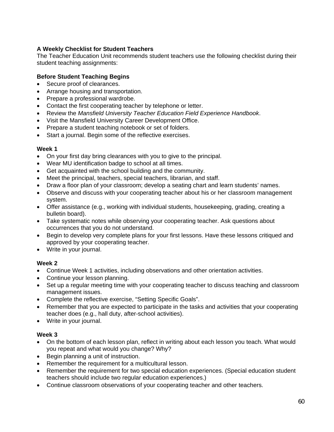## **A Weekly Checklist for Student Teachers**

The Teacher Education Unit recommends student teachers use the following checklist during their student teaching assignments:

## **Before Student Teaching Begins**

- Secure proof of clearances.
- Arrange housing and transportation.
- Prepare a professional wardrobe.
- Contact the first cooperating teacher by telephone or letter.
- Review the *Mansfield University Teacher Education Field Experience Handbook*.
- Visit the Mansfield University Career Development Office.
- Prepare a student teaching notebook or set of folders.
- Start a journal. Begin some of the reflective exercises.

#### **Week 1**

- On your first day bring clearances with you to give to the principal.
- Wear MU identification badge to school at all times.
- Get acquainted with the school building and the community.
- Meet the principal, teachers, special teachers, librarian, and staff.
- Draw a floor plan of your classroom; develop a seating chart and learn students' names.
- Observe and discuss with your cooperating teacher about his or her classroom management system.
- Offer assistance (e.g., working with individual students, housekeeping, grading, creating a bulletin board).
- Take systematic notes while observing your cooperating teacher. Ask questions about occurrences that you do not understand.
- Begin to develop very complete plans for your first lessons. Have these lessons critiqued and approved by your cooperating teacher.
- Write in your journal.

#### **Week 2**

- Continue Week 1 activities, including observations and other orientation activities.
- Continue your lesson planning.
- Set up a regular meeting time with your cooperating teacher to discuss teaching and classroom management issues.
- Complete the reflective exercise, "Setting Specific Goals".
- Remember that you are expected to participate in the tasks and activities that your cooperating teacher does (e.g., hall duty, after-school activities).
- Write in your journal.

## **Week 3**

- On the bottom of each lesson plan, reflect in writing about each lesson you teach. What would you repeat and what would you change? Why?
- Begin planning a unit of instruction.
- Remember the requirement for a multicultural lesson.
- Remember the requirement for two special education experiences. (Special education student teachers should include two regular education experiences.)
- Continue classroom observations of your cooperating teacher and other teachers.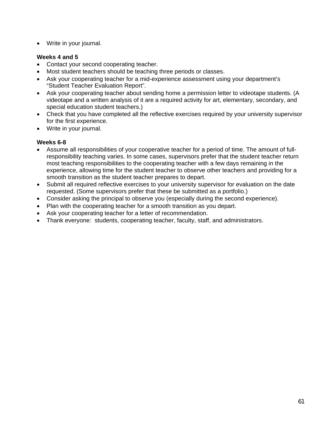Write in your journal.

# **Weeks 4 and 5**

- Contact your second cooperating teacher.
- Most student teachers should be teaching three periods or classes.
- Ask your cooperating teacher for a mid-experience assessment using your department's "Student Teacher Evaluation Report".
- Ask your cooperating teacher about sending home a permission letter to videotape students. (A videotape and a written analysis of it are a required activity for art, elementary, secondary, and special education student teachers.)
- Check that you have completed all the reflective exercises required by your university supervisor for the first experience.
- Write in your journal.

# **Weeks 6-8**

- Assume all responsibilities of your cooperative teacher for a period of time. The amount of fullresponsibility teaching varies. In some cases, supervisors prefer that the student teacher return most teaching responsibilities to the cooperating teacher with a few days remaining in the experience, allowing time for the student teacher to observe other teachers and providing for a smooth transition as the student teacher prepares to depart.
- Submit all required reflective exercises to your university supervisor for evaluation on the date requested. (Some supervisors prefer that these be submitted as a portfolio.)
- Consider asking the principal to observe you (especially during the second experience).
- Plan with the cooperating teacher for a smooth transition as you depart.
- Ask your cooperating teacher for a letter of recommendation.
- Thank everyone: students, cooperating teacher, faculty, staff, and administrators.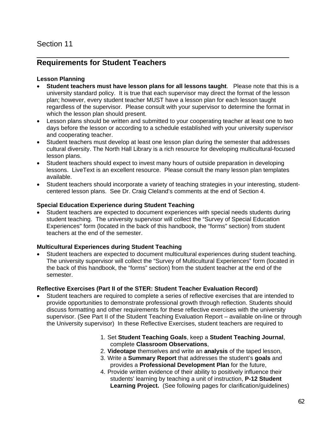# **Requirements for Student Teachers**

#### **Lesson Planning**

 **Student teachers must have lesson plans for all lessons taught**. Please note that this is a university standard policy. It is true that each supervisor may direct the format of the lesson plan; however, every student teacher MUST have a lesson plan for each lesson taught regardless of the supervisor. Please consult with your supervisor to determine the format in which the lesson plan should present.

\_\_\_\_\_\_\_\_\_\_\_\_\_\_\_\_\_\_\_\_\_\_\_\_\_\_\_\_\_\_\_\_\_\_\_\_\_\_\_\_\_\_\_\_\_\_\_\_\_\_\_\_

- Lesson plans should be written and submitted to your cooperating teacher at least one to two days before the lesson or according to a schedule established with your university supervisor and cooperating teacher.
- Student teachers must develop at least one lesson plan during the semester that addresses cultural diversity. The North Hall Library is a rich resource for developing multicultural-focused lesson plans.
- Student teachers should expect to invest many hours of outside preparation in developing lessons. LiveText is an excellent resource. Please consult the many lesson plan templates available.
- Student teachers should incorporate a variety of teaching strategies in your interesting, studentcentered lesson plans. See Dr. Craig Cleland's comments at the end of Section 4.

#### **Special Education Experience during Student Teaching**

 Student teachers are expected to document experiences with special needs students during student teaching. The university supervisor will collect the "Survey of Special Education Experiences" form (located in the back of this handbook, the "forms" section) from student teachers at the end of the semester.

#### **Multicultural Experiences during Student Teaching**

 Student teachers are expected to document multicultural experiences during student teaching. The university supervisor will collect the "Survey of Multicultural Experiences" form (located in the back of this handbook, the "forms" section) from the student teacher at the end of the semester.

#### **Reflective Exercises (Part II of the STER: Student Teacher Evaluation Record)**

- Student teachers are required to complete a series of reflective exercises that are intended to provide opportunities to demonstrate professional growth through reflection. Students should discuss formatting and other requirements for these reflective exercises with the university supervisor. (See Part II of the Student Teaching Evaluation Report – available on-line or through the University supervisor) In these Reflective Exercises, student teachers are required to
	- 1. Set **Student Teaching Goals**, keep a **Student Teaching Journal**, complete **Classroom Observations**,
	- 2. **Videotape** themselves and write an **analysis** of the taped lesson,
	- 3. Write a **Summary Report** that addresses the student's **goals** and provides a **Professional Development Plan** for the future,
	- 4. Provide written evidence of their ability to positively influence their students' learning by teaching a unit of instruction, **P-12 Student Learning Project.** (See following pages for clarification/guidelines)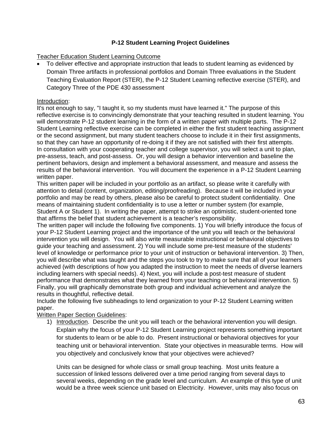#### **P-12 Student Learning Project Guidelines**

#### Teacher Education Student Learning Outcome

• To deliver effective and appropriate instruction that leads to student learning as evidenced by Domain Three artifacts in professional portfolios and Domain Three evaluations in the Student Teaching Evaluation Report (STER), the P-12 Student Learning reflective exercise (STER), and Category Three of the PDE 430 assessment

#### Introduction:

It's not enough to say, "I taught it, so my students must have learned it." The purpose of this reflective exercise is to convincingly demonstrate that your teaching resulted in student learning. You will demonstrate P-12 student learning in the form of a written paper with multiple parts. The P-12 Student Learning reflective exercise can be completed in either the first student teaching assignment or the second assignment, but many student teachers choose to include it in their first assignments, so that they can have an opportunity of re-doing it if they are not satisfied with their first attempts. In consultation with your cooperating teacher and college supervisor, you will select a unit to plan, pre-assess, teach, and post-assess. Or, you will design a behavior intervention and baseline the pertinent behaviors, design and implement a behavioral assessment, and measure and assess the results of the behavioral intervention. You will document the experience in a P-12 Student Learning written paper.

This written paper will be included in your portfolio as an artifact, so please write it carefully with attention to detail (content, organization, editing/proofreading). Because it will be included in your portfolio and may be read by others, please also be careful to protect student confidentiality. One means of maintaining student confidentiality is to use a letter or number system (for example, Student A or Student 1). In writing the paper, attempt to strike an optimistic, student-oriented tone that affirms the belief that student achievement is a teacher's responsibility.

The written paper will include the following five components. 1) You will briefly introduce the focus of your P-12 Student Learning project and the importance of the unit you will teach or the behavioral intervention you will design. You will also write measurable instructional or behavioral objectives to guide your teaching and assessment. 2) You will include some pre-test measure of the students' level of knowledge or performance prior to your unit of instruction or behavioral intervention. 3) Then, you will describe what was taught and the steps you took to try to make sure that all of your learners achieved (with descriptions of how you adapted the instruction to meet the needs of diverse learners including learners with special needs). 4) Next, you will include a post-test measure of student performance that demonstrates what they learned from your teaching or behavioral intervention. 5) Finally, you will graphically demonstrate both group and individual achievement and analyze the results in thoughtful, reflective detail.

Include the following five subheadings to lend organization to your P-12 Student Learning written paper.

#### Written Paper Section Guidelines:

1) Introduction. Describe the unit you will teach or the behavioral intervention you will design. Explain why the focus of your P-12 Student Learning project represents something important for students to learn or be able to do. Present instructional or behavioral objectives for your teaching unit or behavioral intervention. State your objectives in measurable terms. How will you objectively and conclusively know that your objectives were achieved?

Units can be designed for whole class or small group teaching. Most units feature a succession of linked lessons delivered over a time period ranging from several days to several weeks, depending on the grade level and curriculum. An example of this type of unit would be a three week science unit based on Electricity. However, units may also focus on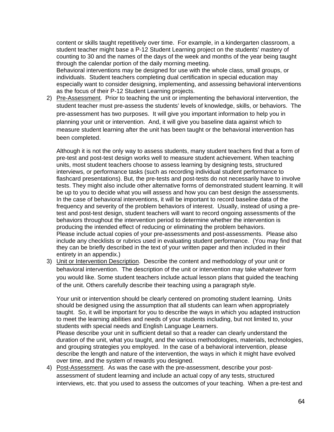content or skills taught repetitively over time. For example, in a kindergarten classroom, a student teacher might base a P-12 Student Learning project on the students' mastery of counting to 30 and the names of the days of the week and months of the year being taught through the calendar portion of the daily morning meeting.

Behavioral interventions may be designed for use with the whole class, small groups, or individuals. Student teachers completing dual certification in special education may especially want to consider designing, implementing, and assessing behavioral interventions as the focus of their P-12 Student Learning projects.

2) Pre-Assessment. Prior to teaching the unit or implementing the behavioral intervention, the student teacher must pre-assess the students' levels of knowledge, skills, or behaviors. The pre-assessment has two purposes. It will give you important information to help you in planning your unit or intervention. And, it will give you baseline data against which to measure student learning after the unit has been taught or the behavioral intervention has been completed.

Although it is not the only way to assess students, many student teachers find that a form of pre-test and post-test design works well to measure student achievement. When teaching units, most student teachers choose to assess learning by designing tests, structured interviews, or performance tasks (such as recording individual student performance to flashcard presentations). But, the pre-tests and post-tests do not necessarily have to involve tests. They might also include other alternative forms of demonstrated student learning. It will be up to you to decide what you will assess and how you can best design the assessments. In the case of behavioral interventions, it will be important to record baseline data of the frequency and severity of the problem behaviors of interest. Usually, instead of using a pretest and post-test design, student teachers will want to record ongoing assessments of the behaviors throughout the intervention period to determine whether the intervention is producing the intended effect of reducing or eliminating the problem behaviors. Please include actual copies of your pre-assessments and post-assessments. Please also include any checklists or rubrics used in evaluating student performance. (You may find that they can be briefly described in the text of your written paper and then included in their entirety in an appendix.)

3) Unit or Intervention Description. Describe the content and methodology of your unit or behavioral intervention. The description of the unit or intervention may take whatever form you would like. Some student teachers include actual lesson plans that guided the teaching of the unit. Others carefully describe their teaching using a paragraph style.

Your unit or intervention should be clearly centered on promoting student learning. Units should be designed using the assumption that all students can learn when appropriately taught. So, it will be important for you to describe the ways in which you adapted instruction to meet the learning abilities and needs of your students including, but not limited to, your students with special needs and English Language Learners.

Please describe your unit in sufficient detail so that a reader can clearly understand the duration of the unit, what you taught, and the various methodologies, materials, technologies, and grouping strategies you employed. In the case of a behavioral intervention, please describe the length and nature of the intervention, the ways in which it might have evolved over time, and the system of rewards you designed.

4) Post-Assessment. As was the case with the pre-assessment, describe your postassessment of student learning and include an actual copy of any tests, structured interviews, etc. that you used to assess the outcomes of your teaching. When a pre-test and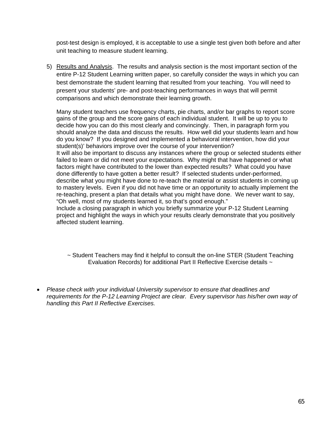post-test design is employed, it is acceptable to use a single test given both before and after unit teaching to measure student learning.

5) Results and Analysis. The results and analysis section is the most important section of the entire P-12 Student Learning written paper, so carefully consider the ways in which you can best demonstrate the student learning that resulted from your teaching. You will need to present your students' pre- and post-teaching performances in ways that will permit comparisons and which demonstrate their learning growth.

Many student teachers use frequency charts, pie charts, and/or bar graphs to report score gains of the group and the score gains of each individual student. It will be up to you to decide how you can do this most clearly and convincingly. Then, in paragraph form you should analyze the data and discuss the results. How well did your students learn and how do you know? If you designed and implemented a behavioral intervention, how did your student(s)' behaviors improve over the course of your intervention? It will also be important to discuss any instances where the group or selected students either failed to learn or did not meet your expectations. Why might that have happened or what factors might have contributed to the lower than expected results? What could you have done differently to have gotten a better result? If selected students under-performed, describe what you might have done to re-teach the material or assist students in coming up to mastery levels. Even if you did not have time or an opportunity to actually implement the re-teaching, present a plan that details what you might have done. We never want to say,

"Oh well, most of my students learned it, so that's good enough."

Include a closing paragraph in which you briefly summarize your P-12 Student Learning project and highlight the ways in which your results clearly demonstrate that you positively affected student learning.

~ Student Teachers may find it helpful to consult the on-line STER (Student Teaching Evaluation Records) for additional Part II Reflective Exercise details ~

 *Please check with your individual University supervisor to ensure that deadlines and requirements for the P-12 Learning Project are clear. Every supervisor has his/her own way of handling this Part II Reflective Exercises.*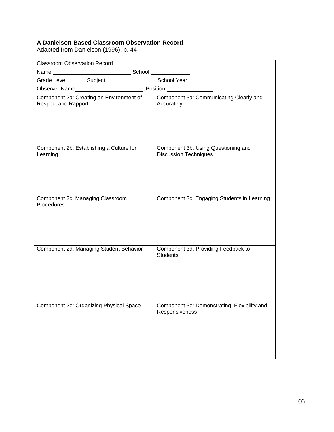#### **A Danielson-Based Classroom Observation Record**

Adapted from Danielson (1996), p. 44

| <b>Classroom Observation Record</b>                                      |                                                                     |  |  |
|--------------------------------------------------------------------------|---------------------------------------------------------------------|--|--|
|                                                                          |                                                                     |  |  |
| Grade Level ________ Subject ________________________ School Year ______ |                                                                     |  |  |
|                                                                          |                                                                     |  |  |
| Component 2a: Creating an Environment of<br><b>Respect and Rapport</b>   | Component 3a: Communicating Clearly and<br>Accurately               |  |  |
| Component 2b: Establishing a Culture for<br>Learning                     | Component 3b: Using Questioning and<br><b>Discussion Techniques</b> |  |  |
| Component 2c: Managing Classroom<br>Procedures                           | Component 3c: Engaging Students in Learning                         |  |  |
| Component 2d: Managing Student Behavior                                  | Component 3d: Providing Feedback to<br><b>Students</b>              |  |  |
| Component 2e: Organizing Physical Space                                  | Component 3e: Demonstrating Flexibility and<br>Responsiveness       |  |  |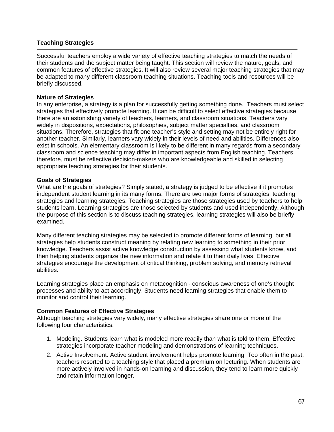#### **Teaching Strategies**

Successful teachers employ a wide variety of effective teaching strategies to match the needs of their students and the subject matter being taught. This section will review the nature, goals, and common features of effective strategies. It will also review several major teaching strategies that may be adapted to many different classroom teaching situations. Teaching tools and resources will be briefly discussed.

#### **Nature of Strategies**

In any enterprise, a strategy is a plan for successfully getting something done. Teachers must select strategies that effectively promote learning. It can be difficult to select effective strategies because there are an astonishing variety of teachers, learners, and classroom situations. Teachers vary widely in dispositions, expectations, philosophies, subject matter specialties, and classroom situations. Therefore, strategies that fit one teacher's style and setting may not be entirely right for another teacher. Similarly, learners vary widely in their levels of need and abilities. Differences also exist in schools. An elementary classroom is likely to be different in many regards from a secondary classroom and science teaching may differ in important aspects from English teaching. Teachers, therefore, must be reflective decision-makers who are knowledgeable and skilled in selecting appropriate teaching strategies for their students.

#### **Goals of Strategies**

What are the goals of strategies? Simply stated, a strategy is judged to be effective if it promotes independent student learning in its many forms. There are two major forms of strategies: teaching strategies and learning strategies. Teaching strategies are those strategies used by teachers to help students learn. Learning strategies are those selected by students and used independently. Although the purpose of this section is to discuss teaching strategies, learning strategies will also be briefly examined.

Many different teaching strategies may be selected to promote different forms of learning, but all strategies help students construct meaning by relating new learning to something in their prior knowledge. Teachers assist active knowledge construction by assessing what students know, and then helping students organize the new information and relate it to their daily lives. Effective strategies encourage the development of critical thinking, problem solving, and memory retrieval abilities.

Learning strategies place an emphasis on metacognition - conscious awareness of one's thought processes and ability to act accordingly. Students need learning strategies that enable them to monitor and control their learning.

#### **Common Features of Effective Strategies**

Although teaching strategies vary widely, many effective strategies share one or more of the following four characteristics:

- 1. Modeling. Students learn what is modeled more readily than what is told to them. Effective strategies incorporate teacher modeling and demonstrations of learning techniques.
- 2. Active Involvement. Active student involvement helps promote learning. Too often in the past, teachers resorted to a teaching style that placed a premium on lecturing. When students are more actively involved in hands-on learning and discussion, they tend to learn more quickly and retain information longer.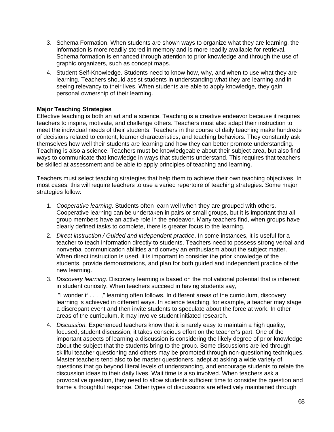- 3. Schema Formation. When students are shown ways to organize what they are learning, the information is more readily stored in memory and is more readily available for retrieval. Schema formation is enhanced through attention to prior knowledge and through the use of graphic organizers, such as concept maps.
- 4. Student Self-Knowledge. Students need to know how, why, and when to use what they are learning. Teachers should assist students in understanding what they are learning and in seeing relevancy to their lives. When students are able to apply knowledge, they gain personal ownership of their learning.

#### **Major Teaching Strategies**

Effective teaching is both an art and a science. Teaching is a creative endeavor because it requires teachers to inspire, motivate, and challenge others. Teachers must also adapt their instruction to meet the individual needs of their students. Teachers in the course of daily teaching make hundreds of decisions related to content, learner characteristics, and teaching behaviors. They constantly ask themselves how well their students are learning and how they can better promote understanding. Teaching is also a science. Teachers must be knowledgeable about their subject area, but also find ways to communicate that knowledge in ways that students understand. This requires that teachers be skilled at assessment and be able to apply principles of teaching and learning.

Teachers must select teaching strategies that help them to achieve their own teaching objectives. In most cases, this will require teachers to use a varied repertoire of teaching strategies. Some major strategies follow:

- 1. *Cooperative learning*. Students often learn well when they are grouped with others. Cooperative learning can be undertaken in pairs or small groups, but it is important that all group members have an active role in the endeavor. Many teachers find, when groups have clearly defined tasks to complete, there is greater focus to the learning.
- 2. *Direct instruction / Guided and independent practice*. In some instances, it is useful for a teacher to teach information directly to students. Teachers need to possess strong verbal and nonverbal communication abilities and convey an enthusiasm about the subject matter. When direct instruction is used, it is important to consider the prior knowledge of the students, provide demonstrations, and plan for both guided and independent practice of the new learning.
- 3. *Discovery learning.* Discovery learning is based on the motivational potential that is inherent in student curiosity. When teachers succeed in having students say,

"I wonder if . . . ," learning often follows. In different areas of the curriculum, discovery learning is achieved in different ways. In science teaching, for example, a teacher may stage a discrepant event and then invite students to speculate about the force at work. In other areas of the curriculum, it may involve student initiated research.

4. *Discussion.* Experienced teachers know that it is rarely easy to maintain a high quality, focused, student discussion; it takes conscious effort on the teacher's part. One of the important aspects of learning a discussion is considering the likely degree of prior knowledge about the subject that the students bring to the group. Some discussions are led through skillful teacher questioning and others may be promoted through non-questioning techniques. Master teachers tend also to be master questioners, adept at asking a wide variety of questions that go beyond literal levels of understanding, and encourage students to relate the discussion ideas to their daily lives. Wait time is also involved. When teachers ask a provocative question, they need to allow students sufficient time to consider the question and frame a thoughtful response. Other types of discussions are effectively maintained through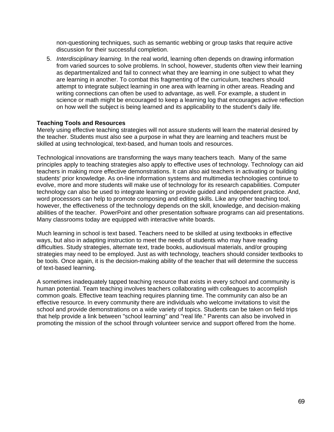non-questioning techniques, such as semantic webbing or group tasks that require active discussion for their successful completion.

5. *Interdisciplinary learning.* In the real world, learning often depends on drawing information from varied sources to solve problems. In school, however, students often view their learning as departmentalized and fail to connect what they are learning in one subject to what they are learning in another. To combat this fragmenting of the curriculum, teachers should attempt to integrate subject learning in one area with learning in other areas. Reading and writing connections can often be used to advantage, as well. For example, a student in science or math might be encouraged to keep a learning log that encourages active reflection on how well the subject is being learned and its applicability to the student's daily life.

#### **Teaching Tools and Resources**

Merely using effective teaching strategies will not assure students will learn the material desired by the teacher. Students must also see a purpose in what they are learning and teachers must be skilled at using technological, text-based, and human tools and resources.

Technological innovations are transforming the ways many teachers teach. Many of the same principles apply to teaching strategies also apply to effective uses of technology. Technology can aid teachers in making more effective demonstrations. It can also aid teachers in activating or building students' prior knowledge. As on-line information systems and multimedia technologies continue to evolve, more and more students will make use of technology for its research capabilities. Computer technology can also be used to integrate learning or provide guided and independent practice. And, word processors can help to promote composing and editing skills. Like any other teaching tool, however, the effectiveness of the technology depends on the skill, knowledge, and decision-making abilities of the teacher. PowerPoint and other presentation software programs can aid presentations. Many classrooms today are equipped with interactive white boards.

Much learning in school is text based. Teachers need to be skilled at using textbooks in effective ways, but also in adapting instruction to meet the needs of students who may have reading difficulties. Study strategies, alternate text, trade books, audiovisual materials, and/or grouping strategies may need to be employed. Just as with technology, teachers should consider textbooks to be tools. Once again, it is the decision-making ability of the teacher that will determine the success of text-based learning.

A sometimes inadequately tapped teaching resource that exists in every school and community is human potential. Team teaching involves teachers collaborating with colleagues to accomplish common goals. Effective team teaching requires planning time. The community can also be an effective resource. In every community there are individuals who welcome invitations to visit the school and provide demonstrations on a wide variety of topics. Students can be taken on field trips that help provide a link between "school learning" and "real life." Parents can also be involved in promoting the mission of the school through volunteer service and support offered from the home.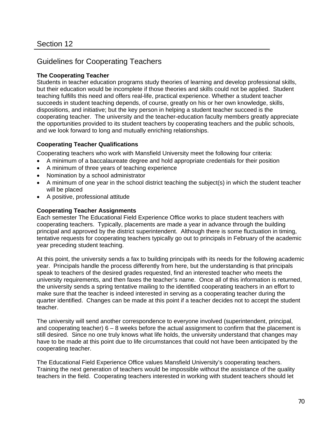# Guidelines for Cooperating Teachers

## **The Cooperating Teacher**

Students in teacher education programs study theories of learning and develop professional skills, but their education would be incomplete if those theories and skills could not be applied. Student teaching fulfills this need and offers real-life, practical experience. Whether a student teacher succeeds in student teaching depends, of course, greatly on his or her own knowledge, skills, dispositions, and initiative; but the key person in helping a student teacher succeed is the cooperating teacher. The university and the teacher-education faculty members greatly appreciate the opportunities provided to its student teachers by cooperating teachers and the public schools, and we look forward to long and mutually enriching relationships.

#### **Cooperating Teacher Qualifications**

Cooperating teachers who work with Mansfield University meet the following four criteria:

- A minimum of a baccalaureate degree and hold appropriate credentials for their position
- A minimum of three years of teaching experience
- Nomination by a school administrator
- A minimum of one year in the school district teaching the subject(s) in which the student teacher will be placed
- A positive, professional attitude

#### **Cooperating Teacher Assignments**

Each semester The Educational Field Experience Office works to place student teachers with cooperating teachers. Typically, placements are made a year in advance through the building principal and approved by the district superintendent. Although there is some fluctuation in timing, tentative requests for cooperating teachers typically go out to principals in February of the academic year preceding student teaching.

At this point, the university sends a fax to building principals with its needs for the following academic year. Principals handle the process differently from here, but the understanding is that principals speak to teachers of the desired grades requested, find an interested teacher who meets the university requirements, and then faxes the teacher's name. Once all of this information is returned, the university sends a spring tentative mailing to the identified cooperating teachers in an effort to make sure that the teacher is indeed interested in serving as a cooperating teacher during the quarter identified. Changes can be made at this point if a teacher decides not to accept the student teacher.

The university will send another correspondence to everyone involved (superintendent, principal, and cooperating teacher) 6 – 8 weeks before the actual assignment to confirm that the placement is still desired. Since no one truly knows what life holds, the university understand that changes may have to be made at this point due to life circumstances that could not have been anticipated by the cooperating teacher.

The Educational Field Experience Office values Mansfield University's cooperating teachers. Training the next generation of teachers would be impossible without the assistance of the quality teachers in the field. Cooperating teachers interested in working with student teachers should let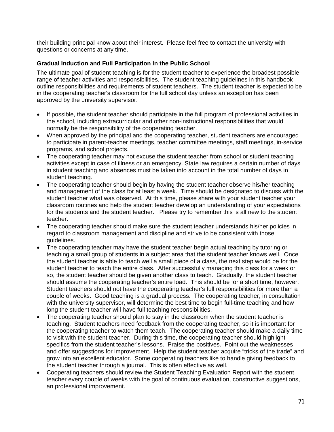their building principal know about their interest. Please feel free to contact the university with questions or concerns at any time.

#### **Gradual Induction and Full Participation in the Public School**

The ultimate goal of student teaching is for the student teacher to experience the broadest possible range of teacher activities and responsibilities. The student teaching guidelines in this handbook outline responsibilities and requirements of student teachers. The student teacher is expected to be in the cooperating teacher's classroom for the full school day unless an exception has been approved by the university supervisor.

- If possible, the student teacher should participate in the full program of professional activities in the school, including extracurricular and other non-instructional responsibilities that would normally be the responsibility of the cooperating teacher.
- When approved by the principal and the cooperating teacher, student teachers are encouraged to participate in parent-teacher meetings, teacher committee meetings, staff meetings, in-service programs, and school projects.
- The cooperating teacher may not excuse the student teacher from school or student teaching activities except in case of illness or an emergency. State law requires a certain number of days in student teaching and absences must be taken into account in the total number of days in student teaching.
- The cooperating teacher should begin by having the student teacher observe his/her teaching and management of the class for at least a week. Time should be designated to discuss with the student teacher what was observed. At this time, please share with your student teacher your classroom routines and help the student teacher develop an understanding of your expectations for the students and the student teacher. Please try to remember this is all new to the student teacher.
- The cooperating teacher should make sure the student teacher understands his/her policies in regard to classroom management and discipline and strive to be consistent with those guidelines.
- The cooperating teacher may have the student teacher begin actual teaching by tutoring or teaching a small group of students in a subject area that the student teacher knows well. Once the student teacher is able to teach well a small piece of a class, the next step would be for the student teacher to teach the entire class. After successfully managing this class for a week or so, the student teacher should be given another class to teach. Gradually, the student teacher should assume the cooperating teacher's entire load. This should be for a short time, however. Student teachers should not have the cooperating teacher's full responsibilities for more than a couple of weeks. Good teaching is a gradual process. The cooperating teacher, in consultation with the university supervisor, will determine the best time to begin full-time teaching and how long the student teacher will have full teaching responsibilities.
- The cooperating teacher should plan to stay in the classroom when the student teacher is teaching. Student teachers need feedback from the cooperating teacher, so it is important for the cooperating teacher to watch them teach. The cooperating teacher should make a daily time to visit with the student teacher. During this time, the cooperating teacher should highlight specifics from the student teacher's lessons. Praise the positives. Point out the weaknesses and offer suggestions for improvement. Help the student teacher acquire "tricks of the trade" and grow into an excellent educator. Some cooperating teachers like to handle giving feedback to the student teacher through a journal. This is often effective as well.
- Cooperating teachers should review the Student Teaching Evaluation Report with the student teacher every couple of weeks with the goal of continuous evaluation, constructive suggestions, an professional improvement.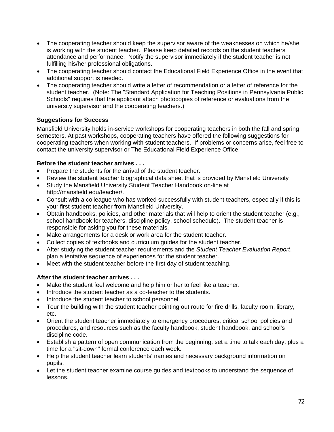- The cooperating teacher should keep the supervisor aware of the weaknesses on which he/she is working with the student teacher. Please keep detailed records on the student teachers attendance and performance. Notify the supervisor immediately if the student teacher is not fulfilling his/her professional obligations.
- The cooperating teacher should contact the Educational Field Experience Office in the event that additional support is needed.
- The cooperating teacher should write a letter of recommendation or a letter of reference for the student teacher. (Note: The "Standard Application for Teaching Positions in Pennsylvania Public Schools" requires that the applicant attach photocopies of reference or evaluations from the university supervisor and the cooperating teachers.)

# **Suggestions for Success**

Mansfield University holds in-service workshops for cooperating teachers in both the fall and spring semesters. At past workshops, cooperating teachers have offered the following suggestions for cooperating teachers when working with student teachers. If problems or concerns arise, feel free to contact the university supervisor or The Educational Field Experience Office.

# **Before the student teacher arrives . . .**

- Prepare the students for the arrival of the student teacher.
- Review the student teacher biographical data sheet that is provided by Mansfield University
- Study the Mansfield University Student Teacher Handbook on-line at http://mansfield.edu/teacher/.
- Consult with a colleague who has worked successfully with student teachers, especially if this is your first student teacher from Mansfield University.
- Obtain handbooks, policies, and other materials that will help to orient the student teacher (e.g., school handbook for teachers, discipline policy, school schedule). The student teacher is responsible for asking you for these materials.
- Make arrangements for a desk or work area for the student teacher.
- Collect copies of textbooks and curriculum guides for the student teacher.
- After studying the student teacher requirements and the *Student Teacher Evaluation Report*, plan a tentative sequence of experiences for the student teacher.
- Meet with the student teacher before the first day of student teaching.

# **After the student teacher arrives . . .**

- Make the student feel welcome and help him or her to feel like a teacher.
- Introduce the student teacher as a co-teacher to the students.
- Introduce the student teacher to school personnel.
- Tour the building with the student teacher pointing out route for fire drills, faculty room, library, etc.
- Orient the student teacher immediately to emergency procedures, critical school policies and procedures, and resources such as the faculty handbook, student handbook, and school's discipline code.
- Establish a pattern of open communication from the beginning; set a time to talk each day, plus a time for a "sit-down" formal conference each week.
- Help the student teacher learn students' names and necessary background information on pupils.
- Let the student teacher examine course guides and textbooks to understand the sequence of lessons.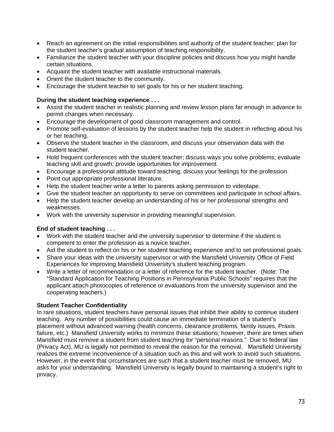- Reach an agreement on the initial responsibilities and authority of the student teacher; plan for the student teacher's gradual assumption of teaching responsibility.
- Familiarize the student teacher with your discipline policies and discuss how you might handle certain situations.
- Acquaint the student teacher with available instructional materials.
- Orient the student teacher to the community.
- Encourage the student teacher to set goals for his or her student teaching.

## **During the student teaching experience . . .**

- Assist the student teacher in realistic planning and review lesson plans far enough in advance to permit changes when necessary.
- Encourage the development of good classroom management and control.
- Promote self-evaluation of lessons by the student teacher help the student in reflecting about his or her teaching.
- Observe the student teacher in the classroom, and discuss your observation data with the student teacher.
- Hold frequent conferences with the student teacher; discuss ways you solve problems; evaluate teaching skill and growth; provide opportunities for improvement.
- Encourage a professional attitude toward teaching; discuss your feelings for the profession.
- Point out appropriate professional literature.
- Help the student teacher write a letter to parents asking permission to videotape.
- Give the student teacher an opportunity to serve on committees and participate in school affairs.
- Help the student teacher develop an understanding of his or her professional strengths and weaknesses.
- Work with the university supervisor in providing meaningful supervision.

# **End of student teaching . . .**

- Work with the student teacher and the university supervisor to determine if the student is competent to enter the profession as a novice teacher.
- Aid the student to reflect on his or her student teaching experience and to set professional goals.
- Share your ideas with the university supervisor or with the Mansfield University Office of Field Experiences for improving Mansfield University's student teaching program.
- Write a letter of recommendation or a letter of reference for the student teacher. (Note: The "Standard Application for Teaching Positions in Pennsylvania Public Schools" requires that the applicant attach photocopies of reference or evaluations from the university supervisor and the cooperating teachers.)

# **Student Teacher Confidentiality**

In rare situations, student teachers have personal issues that inhibit their ability to continue student teaching. Any number of possibilities could cause an immediate termination of a student's placement without advanced warning (health concerns, clearance problems, family issues, Praxis failure, etc.) Mansfield University works to minimize these situations; however, there are times when Mansfield must remove a student from student teaching for "personal reasons." Due to federal law (Privacy Act), MU is legally not permitted to reveal the reason for the removal. Mansfield University realizes the extreme inconvenience of a situation such as this and will work to avoid such situations. However, in the event that circumstances are such that a student teacher must be removed, MU asks for your understanding. Mansfield University is legally bound to maintaining a student's right to privacy.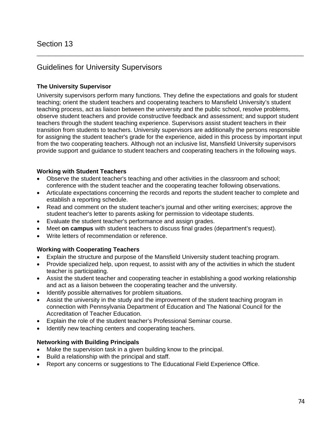# Guidelines for University Supervisors

# **The University Supervisor**

University supervisors perform many functions. They define the expectations and goals for student teaching; orient the student teachers and cooperating teachers to Mansfield University's student teaching process, act as liaison between the university and the public school, resolve problems, observe student teachers and provide constructive feedback and assessment; and support student teachers through the student teaching experience. Supervisors assist student teachers in their transition from students to teachers. University supervisors are additionally the persons responsible for assigning the student teacher's grade for the experience, aided in this process by important input from the two cooperating teachers. Although not an inclusive list, Mansfield University supervisors provide support and guidance to student teachers and cooperating teachers in the following ways.

\_\_\_\_\_\_\_\_\_\_\_\_\_\_\_\_\_\_\_\_\_\_\_\_\_\_\_\_\_\_\_\_\_\_\_\_\_\_\_\_\_\_\_\_\_\_\_\_\_\_\_\_\_\_\_\_\_\_\_\_\_\_\_\_\_\_\_\_\_\_\_\_\_\_\_\_\_\_\_\_\_\_\_\_\_\_\_\_

# **Working with Student Teachers**

- Observe the student teacher's teaching and other activities in the classroom and school; conference with the student teacher and the cooperating teacher following observations.
- Articulate expectations concerning the records and reports the student teacher to complete and establish a reporting schedule.
- Read and comment on the student teacher's journal and other writing exercises; approve the student teacher's letter to parents asking for permission to videotape students.
- Evaluate the student teacher's performance and assign grades.
- Meet **on campus** with student teachers to discuss final grades (department's request).
- Write letters of recommendation or reference.

## **Working with Cooperating Teachers**

- Explain the structure and purpose of the Mansfield University student teaching program.
- Provide specialized help, upon request, to assist with any of the activities in which the student teacher is participating.
- Assist the student teacher and cooperating teacher in establishing a good working relationship and act as a liaison between the cooperating teacher and the university.
- Identify possible alternatives for problem situations.
- Assist the university in the study and the improvement of the student teaching program in connection with Pennsylvania Department of Education and The National Council for the Accreditation of Teacher Education.
- Explain the role of the student teacher's Professional Seminar course.
- Identify new teaching centers and cooperating teachers.

## **Networking with Building Principals**

- Make the supervision task in a given building know to the principal.
- Build a relationship with the principal and staff.
- Report any concerns or suggestions to The Educational Field Experience Office.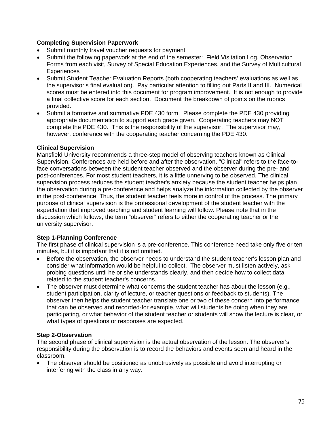## **Completing Supervision Paperwork**

- Submit monthly travel voucher requests for payment
- Submit the following paperwork at the end of the semester: Field Visitation Log, Observation Forms from each visit, Survey of Special Education Experiences, and the Survey of Multicultural **Experiences**
- Submit Student Teacher Evaluation Reports (both cooperating teachers' evaluations as well as the supervisor's final evaluation). Pay particular attention to filling out Parts II and III. Numerical scores must be entered into this document for program improvement. It is not enough to provide a final collective score for each section. Document the breakdown of points on the rubrics provided.
- Submit a formative and summative PDE 430 form. Please complete the PDE 430 providing appropriate documentation to support each grade given. Cooperating teachers may NOT complete the PDE 430. This is the responsibility of the supervisor. The supervisor may, however, conference with the cooperating teacher concerning the PDE 430.

## **Clinical Supervision**

Mansfield University recommends a three-step model of observing teachers known as Clinical Supervision. Conferences are held before and after the observation. "Clinical" refers to the face-toface conversations between the student teacher observed and the observer during the pre- and post-conferences. For most student teachers, it is a little unnerving to be observed. The clinical supervision process reduces the student teacher's anxiety because the student teacher helps plan the observation during a pre-conference and helps analyze the information collected by the observer in the post-conference. Thus, the student teacher feels more in control of the process. The primary purpose of clinical supervision is the professional development of the student teacher with the expectation that improved teaching and student learning will follow. Please note that in the discussion which follows, the term "observer" refers to either the cooperating teacher or the university supervisor.

# **Step 1-Planning Conference**

The first phase of clinical supervision is a pre-conference. This conference need take only five or ten minutes, but it is important that it is not omitted.

- Before the observation, the observer needs to understand the student teacher's lesson plan and consider what information would be helpful to collect. The observer must listen actively, ask probing questions until he or she understands clearly, and then decide how to collect data related to the student teacher's concerns.
- The observer must determine what concerns the student teacher has about the lesson (e.g., student participation, clarity of lecture, or teacher questions or feedback to students). The observer then helps the student teacher translate one or two of these concern into performance that can be observed and recorded-for example, what will students be doing when they are participating, or what behavior of the student teacher or students will show the lecture is clear, or what types of questions or responses are expected.

## **Step 2-Observation**

The second phase of clinical supervision is the actual observation of the lesson. The observer's responsibility during the observation is to record the behaviors and events seen and heard in the classroom.

 The observer should be positioned as unobtrusively as possible and avoid interrupting or interfering with the class in any way.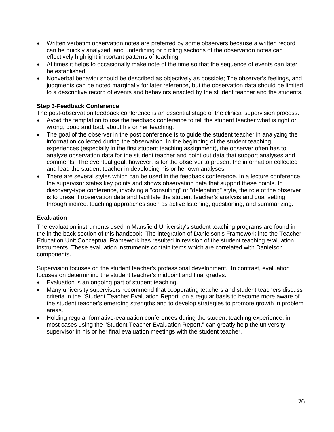- Written verbatim observation notes are preferred by some observers because a written record can be quickly analyzed, and underlining or circling sections of the observation notes can effectively highlight important patterns of teaching.
- At times it helps to occasionally make note of the time so that the sequence of events can later be established.
- Nonverbal behavior should be described as objectively as possible; The observer's feelings, and judgments can be noted marginally for later reference, but the observation data should be limited to a descriptive record of events and behaviors enacted by the student teacher and the students.

# **Step 3-Feedback Conference**

The post-observation feedback conference is an essential stage of the clinical supervision process.

- Avoid the temptation to use the feedback conference to tell the student teacher what is right or wrong, good and bad, about his or her teaching.
- The goal of the observer in the post conference is to guide the student teacher in analyzing the information collected during the observation. In the beginning of the student teaching experiences (especially in the first student teaching assignment), the observer often has to analyze observation data for the student teacher and point out data that support analyses and comments. The eventual goal, however, is for the observer to present the information collected and lead the student teacher in developing his or her own analyses.
- There are several styles which can be used in the feedback conference. In a lecture conference, the supervisor states key points and shows observation data that support these points. In discovery-type conference, involving a "consulting" or "delegating" style, the role of the observer is to present observation data and facilitate the student teacher's analysis and goal setting through indirect teaching approaches such as active listening, questioning, and summarizing.

## **Evaluation**

The evaluation instruments used in Mansfield University's student teaching programs are found in the in the back section of this handbook. The integration of Danielson's Framework into the Teacher Education Unit Conceptual Framework has resulted in revision of the student teaching evaluation instruments. These evaluation instruments contain items which are correlated with Danielson components.

Supervision focuses on the student teacher's professional development. In contrast, evaluation focuses on determining the student teacher's midpoint and final grades.

- Evaluation is an ongoing part of student teaching.
- Many university supervisors recommend that cooperating teachers and student teachers discuss criteria in the "Student Teacher Evaluation Report" on a regular basis to become more aware of the student teacher's emerging strengths and to develop strategies to promote growth in problem areas.
- Holding regular formative-evaluation conferences during the student teaching experience, in most cases using the "Student Teacher Evaluation Report," can greatly help the university supervisor in his or her final evaluation meetings with the student teacher.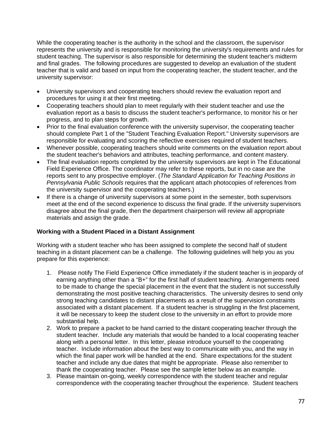While the cooperating teacher is the authority in the school and the classroom, the supervisor represents the university and is responsible for monitoring the university's requirements and rules for student teaching. The supervisor is also responsible for determining the student teacher's midterm and final grades. The following procedures are suggested to develop an evaluation of the student teacher that is valid and based on input from the cooperating teacher, the student teacher, and the university supervisor:

- University supervisors and cooperating teachers should review the evaluation report and procedures for using it at their first meeting.
- Cooperating teachers should plan to meet regularly with their student teacher and use the evaluation report as a basis to discuss the student teacher's performance, to monitor his or her progress, and to plan steps for growth.
- Prior to the final evaluation conference with the university supervisor, the cooperating teacher should complete Part 1 of the "Student Teaching Evaluation Report." University supervisors are responsible for evaluating and scoring the reflective exercises required of student teachers.
- Whenever possible, cooperating teachers should write comments on the evaluation report about the student teacher's behaviors and attributes, teaching performance, and content mastery.
- The final evaluation reports completed by the university supervisors are kept in The Educational Field Experience Office. The coordinator may refer to these reports, but in no case are the reports sent to any prospective employer. (*The Standard Application for Teaching Positions in Pennsylvania Public Schools* requires that the applicant attach photocopies of references from the university supervisor and the cooperating teachers.)
- If there is a change of university supervisors at some point in the semester, both supervisors meet at the end of the second experience to discuss the final grade. If the university supervisors disagree about the final grade, then the department chairperson will review all appropriate materials and assign the grade.

# **Working with a Student Placed in a Distant Assignment**

Working with a student teacher who has been assigned to complete the second half of student teaching in a distant placement can be a challenge. The following guidelines will help you as you prepare for this experience:

- 1. Please notify The Field Experience Office immediately if the student teacher is in jeopardy of earning anything other than a "B+" for the first half of student teaching. Arrangements need to be made to change the special placement in the event that the student is not successfully demonstrating the most positive teaching characteristics. The university desires to send only strong teaching candidates to distant placements as a result of the supervision constraints associated with a distant placement. If a student teacher is struggling in the first placement, it will be necessary to keep the student close to the university in an effort to provide more substantial help.
- 2. Work to prepare a packet to be hand carried to the distant cooperating teacher through the student teacher. Include any materials that would be handed to a local cooperating teacher along with a personal letter. In this letter, please introduce yourself to the cooperating teacher. Include information about the best way to communicate with you, and the way in which the final paper work will be handled at the end. Share expectations for the student teacher and include any due dates that might be appropriate. Please also remember to thank the cooperating teacher. Please see the sample letter below as an example.
- 3. Please maintain on-going, weekly correspondence with the student teacher and regular correspondence with the cooperating teacher throughout the experience. Student teachers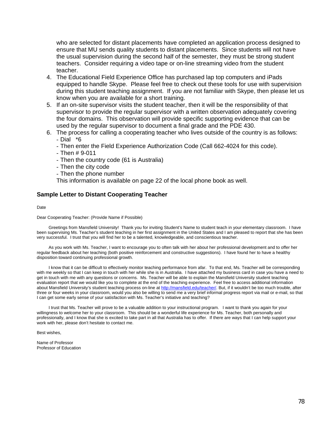who are selected for distant placements have completed an application process designed to ensure that MU sends quality students to distant placements. Since students will not have the usual supervision during the second half of the semester, they must be strong student teachers. Consider requiring a video tape or on-line streaming video from the student teacher.

- 4. The Educational Field Experience Office has purchased lap top computers and iPads equipped to handle Skype. Please feel free to check out these tools for use with supervision during this student teaching assignment. If you are not familiar with Skype, then please let us know when you are available for a short training.
- 5. If an on-site supervisor visits the student teacher, then it will be the responsibility of that supervisor to provide the regular supervisor with a written observation adequately covering the four domains. This observation will provide specific supporting evidence that can be used by the regular supervisor to document a final grade and the PDE 430.
- 6. The process for calling a cooperating teacher who lives outside of the country is as follows: - Dial \*6
	- Then enter the Field Experience Authorization Code (Call 662-4024 for this code).
	- Then # 9-011
	- Then the country code (61 is Australia)
	- Then the city code
	- Then the phone number

This information is available on page 22 of the local phone book as well.

#### **Sample Letter to Distant Cooperating Teacher**

#### Date

#### Dear Cooperating Teacher: (Provide Name if Possible)

 Greetings from Mansfield University! Thank you for inviting Student's Name to student teach in your elementary classroom. I have been supervising Ms. Teacher's student teaching in her first assignment in the United States and I am pleased to report that she has been very successful. I trust that you will find her to be a talented, knowledgeable, and conscientious teacher.

 As you work with Ms. Teacher, I want to encourage you to often talk with her about her professional development and to offer her regular feedback about her teaching (both positive reinforcement and constructive suggestions). I have found her to have a healthy disposition toward continuing professional growth.

 I know that it can be difficult to effectively monitor teaching performance from afar. To that end, Ms. Teacher will be corresponding with me weekly so that I can keep in touch with her while she is in Australia. I have attached my business card in case you have a need to get in touch with me with any questions or concerns. Ms. Teacher will be able to explain the Mansfield University student teaching evaluation report that we would like you to complete at the end of the teaching experience. Feel free to access additional information about Mansfield University's student teaching process on-line at http://mansfield.edu/teacher/. But, if it wouldn't be too much trouble, after three or four weeks in your classroom, would you also be willing to send me a very brief informal progress report via mail or e-mail, so that I can get some early sense of your satisfaction with Ms. Teacher's initiative and teaching?

 I trust that Ms. Teacher will prove to be a valuable addition to your instructional program. I want to thank you again for your willingness to welcome her to your classroom. This should be a wonderful life experience for Ms. Teacher, both personally and professionally, and I know that she is excited to take part in all that Australia has to offer. If there are ways that I can help support your work with her, please don't hesitate to contact me.

Best wishes,

Name of Professor Professor of Education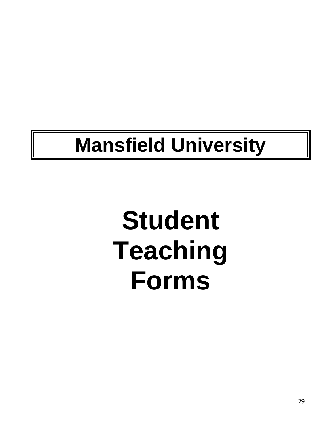# **Mansfield University**

# **Student Teaching Forms**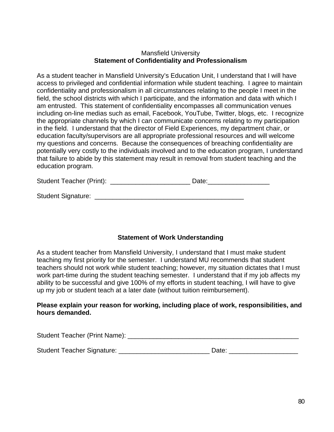# Mansfield University **Statement of Confidentiality and Professionalism**

As a student teacher in Mansfield University's Education Unit, I understand that I will have access to privileged and confidential information while student teaching. I agree to maintain confidentiality and professionalism in all circumstances relating to the people I meet in the field, the school districts with which I participate, and the information and data with which I am entrusted. This statement of confidentiality encompasses all communication venues including on-line medias such as email, Facebook, YouTube, Twitter, blogs, etc. I recognize the appropriate channels by which I can communicate concerns relating to my participation in the field. I understand that the director of Field Experiences, my department chair, or education faculty/supervisors are all appropriate professional resources and will welcome my questions and concerns. Because the consequences of breaching confidentiality are potentially very costly to the individuals involved and to the education program, I understand that failure to abide by this statement may result in removal from student teaching and the education program.

| <b>Student Teacher (Print):</b> | Date: |
|---------------------------------|-------|
|---------------------------------|-------|

| <b>Student Signature:</b> |  |  |
|---------------------------|--|--|
|---------------------------|--|--|

# **Statement of Work Understanding**

As a student teacher from Mansfield University, I understand that I must make student teaching my first priority for the semester. I understand MU recommends that student teachers should not work while student teaching; however, my situation dictates that I must work part-time during the student teaching semester. I understand that if my job affects my ability to be successful and give 100% of my efforts in student teaching, I will have to give up my job or student teach at a later date (without tuition reimbursement).

# **Please explain your reason for working, including place of work, responsibilities, and hours demanded.**

| <b>Student Teacher (Print Name):</b> |  |
|--------------------------------------|--|
|--------------------------------------|--|

| <b>Student Teacher Signature:</b> | Date: |
|-----------------------------------|-------|
|-----------------------------------|-------|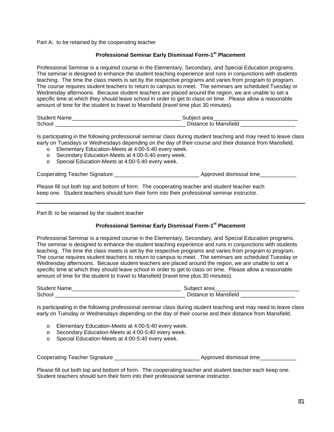Part A: to be retained by the cooperating teacher

#### **Professional Seminar Early Dismissal Form-1st Placement**

Professional Seminar is a required course in the Elementary, Secondary, and Special Education programs. The seminar is designed to enhance the student teaching experience and runs in conjunctions with students teaching. The time the class meets is set by the respective programs and varies from program to program. The course requires student teachers to return to campus to meet. The seminars are scheduled Tuesday or Wednesday afternoons. Because student teachers are placed around the region, we are unable to set a specific time at which they should leave school in order to get to class on time. Please allow a reasonable amount of time for the student to travel to Mansfield (travel time plus 30 minutes).

| <b>Student</b> |                            |
|----------------|----------------------------|
| Schoc          | - 1.4<br>i Distanc⊆<br>пек |

Is participating in the following professional seminar class during student teaching and may need to leave class early on Tuesdays or Wednesdays depending on the day of their course and their distance from Mansfield.

- o Elementary Education-Meets at 4:00-5:40 every week.
- o Secondary Education-Meets at 4:00-5:40 every week.
- o Special Education-Meets at 4:00-5:40 every week.

Cooperating Teacher Signature **Example 20** and the support of Approved dismissal time

Please fill out both top and bottom of form. The cooperating teacher and student teacher each keep one. Student teachers should turn their form into their professional seminar instructor.

Part B: to be retained by the student teacher

## **Professional Seminar Early Dismissal Form-1st Placement**

Professional Seminar is a required course in the Elementary, Secondary, and Special Education programs. The seminar is designed to enhance the student teaching experience and runs in conjunctions with students teaching. The time the class meets is set by the respective programs and varies from program to program. The course requires student teachers to return to campus to meet. The seminars are scheduled Tuesday or Wednesday afternoons. Because student teachers are placed around the region, we are unable to set a specific time at which they should leave school in order to get to class on time. Please allow a reasonable amount of time for the student to travel to Mansfield (travel time plus 30 minutes).

| Studer |                 |
|--------|-----------------|
| Schor. | Man:<br>тг<br>⋯ |

Is participating in the following professional seminar class during student teaching and may need to leave class early on Tuesday or Wednesdays depending on the day of their course and their distance from Mansfield.

- o Elementary Education-Meets at 4:00-5:40 every week.
- o Secondary Education-Meets at 4:00-5:40 every week.
- o Special Education-Meets at 4:00-5:40 every week.

|  | <b>Cooperating Teacher Signature</b> | Approved dismissal time |
|--|--------------------------------------|-------------------------|
|--|--------------------------------------|-------------------------|

Please fill out both top and bottom of form. The cooperating teacher and student teacher each keep one. Student teachers should turn their form into their professional seminar instructor.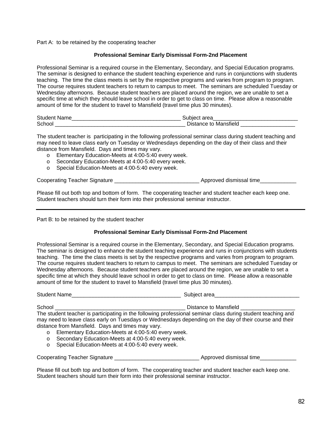Part A: to be retained by the cooperating teacher

#### **Professional Seminar Early Dismissal Form-2nd Placement**

Professional Seminar is a required course in the Elementary, Secondary, and Special Education programs. The seminar is designed to enhance the student teaching experience and runs in conjunctions with students teaching. The time the class meets is set by the respective programs and varies from program to program. The course requires student teachers to return to campus to meet. The seminars are scheduled Tuesday or Wednesday afternoons. Because student teachers are placed around the region, we are unable to set a specific time at which they should leave school in order to get to class on time. Please allow a reasonable amount of time for the student to travel to Mansfield (travel time plus 30 minutes).

| <b>Student Name</b> | Subiect area          |
|---------------------|-----------------------|
| School              | Distance to Mansfield |

The student teacher is participating in the following professional seminar class during student teaching and may need to leave class early on Tuesday or Wednesdays depending on the day of their class and their distance from Mansfield. Days and times may vary.

- o Elementary Education-Meets at 4:00-5:40 every week.
- o Secondary Education-Meets at 4:00-5:40 every week.
- o Special Education-Meets at 4:00-5:40 every week.

Cooperating Teacher Signature \_\_\_\_\_\_\_\_\_\_\_\_\_\_\_\_\_\_\_\_\_\_\_\_\_\_\_\_ Approved dismissal time\_\_\_\_\_\_\_\_\_\_\_\_

Please fill out both top and bottom of form. The cooperating teacher and student teacher each keep one. Student teachers should turn their form into their professional seminar instructor.

Part B: to be retained by the student teacher

#### **Professional Seminar Early Dismissal Form-2nd Placement**

Professional Seminar is a required course in the Elementary, Secondary, and Special Education programs. The seminar is designed to enhance the student teaching experience and runs in conjunctions with students teaching. The time the class meets is set by the respective programs and varies from program to program. The course requires student teachers to return to campus to meet. The seminars are scheduled Tuesday or Wednesday afternoons. Because student teachers are placed around the region, we are unable to set a specific time at which they should leave school in order to get to class on time. Please allow a reasonable amount of time for the student to travel to Mansfield (travel time plus 30 minutes).

| <b>Student Name</b>                                      | Subject area                                                                                                                                                                                                           |
|----------------------------------------------------------|------------------------------------------------------------------------------------------------------------------------------------------------------------------------------------------------------------------------|
| School                                                   | Distance to Mansfield                                                                                                                                                                                                  |
|                                                          | The student teacher is participating in the following professional seminar class during student teaching and<br>may need to leave class early on Tuesdays or Wednesdays depending on the day of their course and their |
| distance from Mansfield. Days and times may vary.        |                                                                                                                                                                                                                        |
| Elementary Education-Meets at 4:00-5:40 every week.<br>O |                                                                                                                                                                                                                        |
| Secondary Education-Meets at 4:00-5:40 every week.<br>O  |                                                                                                                                                                                                                        |
| Special Education-Meets at 4:00-5:40 every week.<br>O    |                                                                                                                                                                                                                        |
| <b>Cooperating Teacher Signature</b>                     | Approved dismissal time                                                                                                                                                                                                |

Please fill out both top and bottom of form. The cooperating teacher and student teacher each keep one. Student teachers should turn their form into their professional seminar instructor.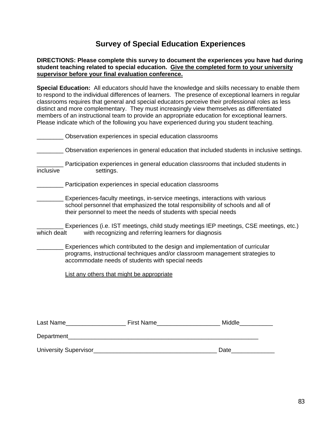# **Survey of Special Education Experiences**

## **DIRECTIONS: Please complete this survey to document the experiences you have had during student teaching related to special education. Give the completed form to your university supervisor before your final evaluation conference.**

**Special Education:** All educators should have the knowledge and skills necessary to enable them to respond to the individual differences of learners. The presence of exceptional learners in regular classrooms requires that general and special educators perceive their professional roles as less distinct and more complementary. They must increasingly view themselves as differentiated members of an instructional team to provide an appropriate education for exceptional learners. Please indicate which of the following you have experienced during you student teaching.

|             | Observation experiences in special education classrooms                                                                                                                                                                             |                                                                                            |  |  |
|-------------|-------------------------------------------------------------------------------------------------------------------------------------------------------------------------------------------------------------------------------------|--------------------------------------------------------------------------------------------|--|--|
|             |                                                                                                                                                                                                                                     | Observation experiences in general education that included students in inclusive settings. |  |  |
| inclusive   | settings.                                                                                                                                                                                                                           | Participation experiences in general education classrooms that included students in        |  |  |
|             | Participation experiences in special education classrooms                                                                                                                                                                           |                                                                                            |  |  |
|             | Experiences-faculty meetings, in-service meetings, interactions with various<br>school personnel that emphasized the total responsibility of schools and all of<br>their personnel to meet the needs of students with special needs |                                                                                            |  |  |
|             | Experiences (i.e. IST meetings, child study meetings IEP meetings, CSE meetings, etc.)<br>which dealt<br>with recognizing and referring learners for diagnosis                                                                      |                                                                                            |  |  |
|             | Experiences which contributed to the design and implementation of curricular<br>programs, instructional techniques and/or classroom management strategies to<br>accommodate needs of students with special needs                    |                                                                                            |  |  |
|             | List any others that might be appropriate                                                                                                                                                                                           |                                                                                            |  |  |
|             |                                                                                                                                                                                                                                     |                                                                                            |  |  |
|             |                                                                                                                                                                                                                                     |                                                                                            |  |  |
|             |                                                                                                                                                                                                                                     | Middle_____                                                                                |  |  |
| Department_ |                                                                                                                                                                                                                                     |                                                                                            |  |  |
|             | <b>University Supervisor</b>                                                                                                                                                                                                        | Date                                                                                       |  |  |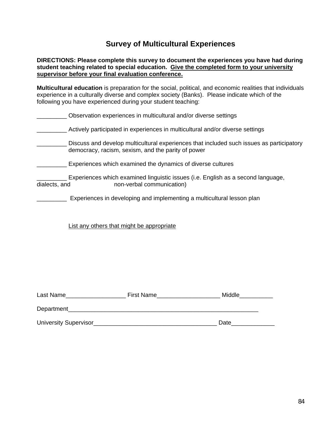# **Survey of Multicultural Experiences**

## **DIRECTIONS: Please complete this survey to document the experiences you have had during student teaching related to special education. Give the completed form to your university supervisor before your final evaluation conference.**

**Multicultural education** is preparation for the social, political, and economic realities that individuals experience in a culturally diverse and complex society (Banks). Please indicate which of the following you have experienced during your student teaching:

|               | Observation experiences in multicultural and/or diverse settings                                                                               |
|---------------|------------------------------------------------------------------------------------------------------------------------------------------------|
|               | Actively participated in experiences in multicultural and/or diverse settings                                                                  |
|               | Discuss and develop multicultural experiences that included such issues as participatory<br>democracy, racism, sexism, and the parity of power |
|               | Experiences which examined the dynamics of diverse cultures                                                                                    |
| dialects, and | Experiences which examined linguistic issues (i.e. English as a second language,<br>non-verbal communication)                                  |
|               | Experiences in developing and implementing a multicultural lesson plan                                                                         |

List any others that might be appropriate

| Last Name                    | First Name | Middle |
|------------------------------|------------|--------|
| Department                   |            |        |
| <b>University Supervisor</b> |            | Date   |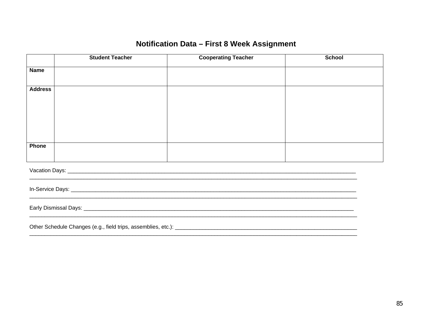# Notification Data - First 8 Week Assignment

|                | <b>Student Teacher</b> | <b>Cooperating Teacher</b> | <b>School</b> |  |
|----------------|------------------------|----------------------------|---------------|--|
| <b>Name</b>    |                        |                            |               |  |
| <b>Address</b> |                        |                            |               |  |
| <b>Phone</b>   |                        |                            |               |  |
|                |                        |                            |               |  |
|                |                        |                            |               |  |
|                |                        |                            |               |  |
|                |                        |                            |               |  |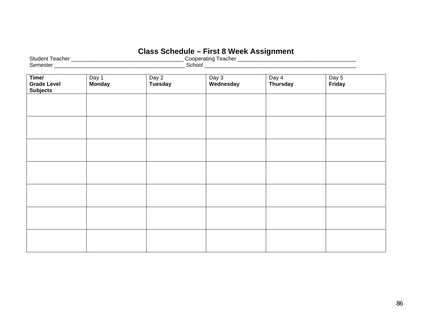# **Class Schedule – First 8 Week Assignment**

| $\sim$<br>eacher<br>Studer   | eacher<br>atinc<br>п |
|------------------------------|----------------------|
| -<br>$\sim$ $\sim$<br>™este. | `choo⊾               |

| Time/<br><b>Grade Level</b><br><b>Subjects</b> | Day 1<br><b>Monday</b> | Day 2<br>Tuesday | Day 3<br>Wednesday | Day 4<br>Thursday | Day 5<br>Friday |  |
|------------------------------------------------|------------------------|------------------|--------------------|-------------------|-----------------|--|
|                                                |                        |                  |                    |                   |                 |  |
|                                                |                        |                  |                    |                   |                 |  |
|                                                |                        |                  |                    |                   |                 |  |
|                                                |                        |                  |                    |                   |                 |  |
|                                                |                        |                  |                    |                   |                 |  |
|                                                |                        |                  |                    |                   |                 |  |
|                                                |                        |                  |                    |                   |                 |  |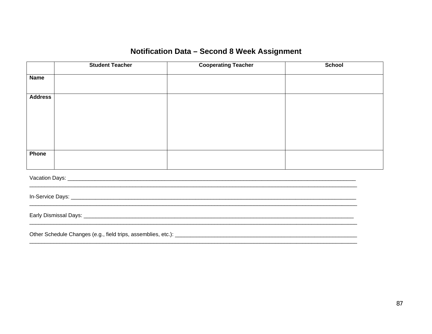# Notification Data - Second 8 Week Assignment

|                | <b>Student Teacher</b> | <b>Cooperating Teacher</b> | <b>School</b> |  |
|----------------|------------------------|----------------------------|---------------|--|
| <b>Name</b>    |                        |                            |               |  |
| <b>Address</b> |                        |                            |               |  |
|                |                        |                            |               |  |
|                |                        |                            |               |  |
|                |                        |                            |               |  |
|                |                        |                            |               |  |
| Phone          |                        |                            |               |  |
|                |                        |                            |               |  |
|                |                        |                            |               |  |
|                |                        |                            |               |  |
|                |                        |                            |               |  |
|                |                        |                            |               |  |
|                |                        |                            |               |  |
|                |                        |                            |               |  |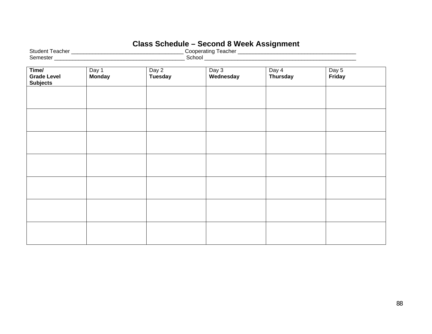# **Class Schedule – Second 8 Week Assignment**

| Time/<br><b>Grade Level</b><br><b>Subjects</b> | Day 1<br><b>Monday</b> | Day 2<br><b>Tuesday</b> | Day 3<br>Wednesday | Day 4<br><b>Thursday</b> | Day $5$<br>Friday |  |
|------------------------------------------------|------------------------|-------------------------|--------------------|--------------------------|-------------------|--|
|                                                |                        |                         |                    |                          |                   |  |
|                                                |                        |                         |                    |                          |                   |  |
|                                                |                        |                         |                    |                          |                   |  |
|                                                |                        |                         |                    |                          |                   |  |
|                                                |                        |                         |                    |                          |                   |  |
|                                                |                        |                         |                    |                          |                   |  |
|                                                |                        |                         |                    |                          |                   |  |
|                                                |                        |                         |                    |                          |                   |  |
|                                                |                        |                         |                    |                          |                   |  |
|                                                |                        |                         |                    |                          |                   |  |
|                                                |                        |                         |                    |                          |                   |  |
|                                                |                        |                         |                    |                          |                   |  |
|                                                |                        |                         |                    |                          |                   |  |
|                                                |                        |                         |                    |                          |                   |  |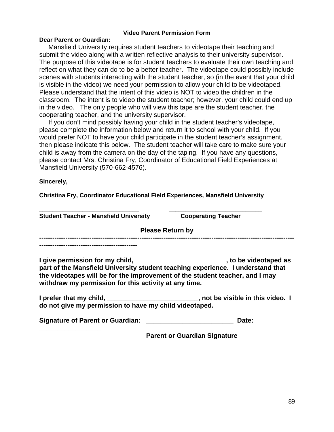## **Video Parent Permission Form**

# **Dear Parent or Guardian:**

 Mansfield University requires student teachers to videotape their teaching and submit the video along with a written reflective analysis to their university supervisor. The purpose of this videotape is for student teachers to evaluate their own teaching and reflect on what they can do to be a better teacher. The videotape could possibly include scenes with students interacting with the student teacher, so (in the event that your child is visible in the video) we need your permission to allow your child to be videotaped. Please understand that the intent of this video is NOT to video the children in the classroom. The intent is to video the student teacher; however, your child could end up in the video. The only people who will view this tape are the student teacher, the cooperating teacher, and the university supervisor.

 If you don't mind possibly having your child in the student teacher's videotape, please complete the information below and return it to school with your child. If you would prefer NOT to have your child participate in the student teacher's assignment, then please indicate this below. The student teacher will take care to make sure your child is away from the camera on the day of the taping. If you have any questions, please contact Mrs. Christina Fry, Coordinator of Educational Field Experiences at Mansfield University (570-662-4576).

**Sincerely,** 

**\_\_\_\_\_\_\_\_\_\_\_\_\_\_\_\_\_** 

**Christina Fry, Coordinator Educational Field Experiences, Mansfield University** 

**\_\_\_\_\_\_\_\_\_\_\_\_\_\_\_\_\_\_\_\_\_\_\_\_\_\_\_\_\_\_ \_\_\_\_\_\_\_\_\_\_\_\_\_\_\_\_\_\_\_\_\_\_\_\_\_\_\_\_** 

| <b>Student Teacher - Mansfield University</b>                                                   | <b>Cooperating Teacher</b>                     |
|-------------------------------------------------------------------------------------------------|------------------------------------------------|
|                                                                                                 | <b>Please Return by</b>                        |
|                                                                                                 |                                                |
| I give permission for my child,<br>part of the Manefield University student togeting experience | to be videotaped as<br><b>Lundorstand that</b> |

**part of the Mansfield University student teaching experience. I understand that the videotapes will be for the improvement of the student teacher, and I may withdraw my permission for this activity at any time.** 

**I prefer that my child, \_\_\_\_\_\_\_\_\_\_\_\_\_\_\_\_\_\_\_\_\_\_\_\_\_, not be visible in this video. I do not give my permission to have my child videotaped.** 

Signature of Parent or Guardian: \_\_\_\_\_\_\_\_\_\_\_\_\_\_\_\_\_\_\_\_\_\_\_\_\_\_\_\_\_\_\_\_ Date:

 **Parent or Guardian Signature**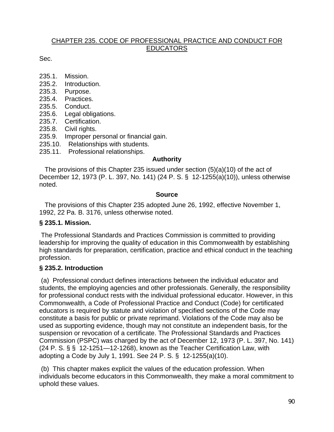# CHAPTER 235. CODE OF PROFESSIONAL PRACTICE AND CONDUCT FOR EDUCATORS

Sec.

- 235.1. Mission.
- 235.2. Introduction.
- 235.3. Purpose.
- 235.4. Practices.
- 235.5. Conduct.
- 235.6. Legal obligations.
- 235.7. Certification.
- 235.8. Civil rights.
- 235.9. Improper personal or financial gain.
- 235.10. Relationships with students.
- 235.11. Professional relationships.

# **Authority**

 The provisions of this Chapter 235 issued under section (5)(a)(10) of the act of December 12, 1973 (P. L. 397, No. 141) (24 P. S. § 12-1255(a)(10)), unless otherwise noted.

# **Source**

 The provisions of this Chapter 235 adopted June 26, 1992, effective November 1, 1992, 22 Pa. B. 3176, unless otherwise noted.

# **§ 235.1. Mission.**

 The Professional Standards and Practices Commission is committed to providing leadership for improving the quality of education in this Commonwealth by establishing high standards for preparation, certification, practice and ethical conduct in the teaching profession.

# **§ 235.2. Introduction**

 (a) Professional conduct defines interactions between the individual educator and students, the employing agencies and other professionals. Generally, the responsibility for professional conduct rests with the individual professional educator. However, in this Commonwealth, a Code of Professional Practice and Conduct (Code) for certificated educators is required by statute and violation of specified sections of the Code may constitute a basis for public or private reprimand. Violations of the Code may also be used as supporting evidence, though may not constitute an independent basis, for the suspension or revocation of a certificate. The Professional Standards and Practices Commission (PSPC) was charged by the act of December 12, 1973 (P. L. 397, No. 141) (24 P. S. § § 12-1251—12-1268), known as the Teacher Certification Law, with adopting a Code by July 1, 1991. See 24 P. S. § 12-1255(a)(10).

 (b) This chapter makes explicit the values of the education profession. When individuals become educators in this Commonwealth, they make a moral commitment to uphold these values.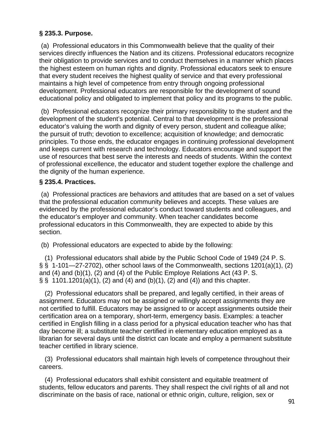# **§ 235.3. Purpose.**

 (a) Professional educators in this Commonwealth believe that the quality of their services directly influences the Nation and its citizens. Professional educators recognize their obligation to provide services and to conduct themselves in a manner which places the highest esteem on human rights and dignity. Professional educators seek to ensure that every student receives the highest quality of service and that every professional maintains a high level of competence from entry through ongoing professional development. Professional educators are responsible for the development of sound educational policy and obligated to implement that policy and its programs to the public.

 (b) Professional educators recognize their primary responsibility to the student and the development of the student's potential. Central to that development is the professional educator's valuing the worth and dignity of every person, student and colleague alike; the pursuit of truth; devotion to excellence; acquisition of knowledge; and democratic principles. To those ends, the educator engages in continuing professional development and keeps current with research and technology. Educators encourage and support the use of resources that best serve the interests and needs of students. Within the context of professional excellence, the educator and student together explore the challenge and the dignity of the human experience.

# **§ 235.4. Practices.**

 (a) Professional practices are behaviors and attitudes that are based on a set of values that the professional education community believes and accepts. These values are evidenced by the professional educator's conduct toward students and colleagues, and the educator's employer and community. When teacher candidates become professional educators in this Commonwealth, they are expected to abide by this section.

(b) Professional educators are expected to abide by the following:

 (1) Professional educators shall abide by the Public School Code of 1949 (24 P. S. § § 1-101—27-2702), other school laws of the Commonwealth, sections 1201(a)(1), (2) and (4) and (b)(1), (2) and (4) of the Public Employe Relations Act (43 P. S.  $\S$ § 1101.1201(a)(1), (2) and (4) and (b)(1), (2) and (4)) and this chapter.

 (2) Professional educators shall be prepared, and legally certified, in their areas of assignment. Educators may not be assigned or willingly accept assignments they are not certified to fulfill. Educators may be assigned to or accept assignments outside their certification area on a temporary, short-term, emergency basis. Examples: a teacher certified in English filling in a class period for a physical education teacher who has that day become ill; a substitute teacher certified in elementary education employed as a librarian for several days until the district can locate and employ a permanent substitute teacher certified in library science.

 (3) Professional educators shall maintain high levels of competence throughout their careers.

 (4) Professional educators shall exhibit consistent and equitable treatment of students, fellow educators and parents. They shall respect the civil rights of all and not discriminate on the basis of race, national or ethnic origin, culture, religion, sex or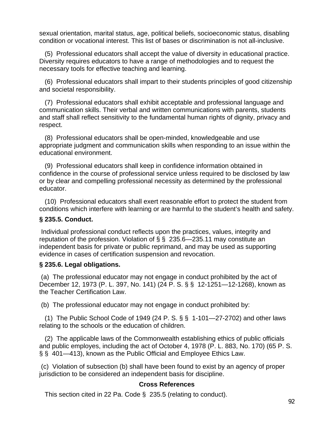sexual orientation, marital status, age, political beliefs, socioeconomic status, disabling condition or vocational interest. This list of bases or discrimination is not all-inclusive.

 (5) Professional educators shall accept the value of diversity in educational practice. Diversity requires educators to have a range of methodologies and to request the necessary tools for effective teaching and learning.

 (6) Professional educators shall impart to their students principles of good citizenship and societal responsibility.

 (7) Professional educators shall exhibit acceptable and professional language and communication skills. Their verbal and written communications with parents, students and staff shall reflect sensitivity to the fundamental human rights of dignity, privacy and respect.

 (8) Professional educators shall be open-minded, knowledgeable and use appropriate judgment and communication skills when responding to an issue within the educational environment.

 (9) Professional educators shall keep in confidence information obtained in confidence in the course of professional service unless required to be disclosed by law or by clear and compelling professional necessity as determined by the professional educator.

 (10) Professional educators shall exert reasonable effort to protect the student from conditions which interfere with learning or are harmful to the student's health and safety.

# **§ 235.5. Conduct.**

 Individual professional conduct reflects upon the practices, values, integrity and reputation of the profession. Violation of  $\S$   $\S$  235.6–235.11 may constitute an independent basis for private or public reprimand, and may be used as supporting evidence in cases of certification suspension and revocation.

# **§ 235.6. Legal obligations.**

 (a) The professional educator may not engage in conduct prohibited by the act of December 12, 1973 (P. L. 397, No. 141) (24 P. S. § § 12-1251—12-1268), known as the Teacher Certification Law.

(b) The professional educator may not engage in conduct prohibited by:

 (1) The Public School Code of 1949 (24 P. S. § § 1-101—27-2702) and other laws relating to the schools or the education of children.

 (2) The applicable laws of the Commonwealth establishing ethics of public officials and public employes, including the act of October 4, 1978 (P. L. 883, No. 170) (65 P. S. § § 401—413), known as the Public Official and Employee Ethics Law.

 (c) Violation of subsection (b) shall have been found to exist by an agency of proper jurisdiction to be considered an independent basis for discipline.

# **Cross References**

This section cited in 22 Pa. Code § 235.5 (relating to conduct).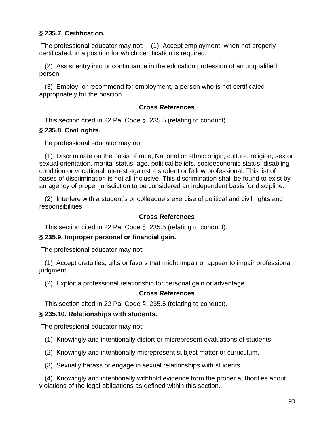# **§ 235.7. Certification.**

 The professional educator may not: (1) Accept employment, when not properly certificated, in a position for which certification is required.

 (2) Assist entry into or continuance in the education profession of an unqualified person.

 (3) Employ, or recommend for employment, a person who is not certificated appropriately for the position.

# **Cross References**

This section cited in 22 Pa. Code § 235.5 (relating to conduct).

# **§ 235.8. Civil rights.**

The professional educator may not:

 (1) Discriminate on the basis of race, National or ethnic origin, culture, religion, sex or sexual orientation, marital status, age, political beliefs, socioeconomic status; disabling condition or vocational interest against a student or fellow professional. This list of bases of discrimination is not all-inclusive. This discrimination shall be found to exist by an agency of proper jurisdiction to be considered an independent basis for discipline.

 (2) Interfere with a student's or colleague's exercise of political and civil rights and responsibilities.

# **Cross References**

This section cited in 22 Pa. Code § 235.5 (relating to conduct).

# **§ 235.9. Improper personal or financial gain.**

The professional educator may not:

 (1) Accept gratuities, gifts or favors that might impair or appear to impair professional judgment.

(2) Exploit a professional relationship for personal gain or advantage.

# **Cross References**

This section cited in 22 Pa. Code § 235.5 (relating to conduct).

# **§ 235.10. Relationships with students.**

The professional educator may not:

- (1) Knowingly and intentionally distort or misrepresent evaluations of students.
- (2) Knowingly and intentionally misrepresent subject matter or curriculum.
- (3) Sexually harass or engage in sexual relationships with students.

 (4) Knowingly and intentionally withhold evidence from the proper authorities about violations of the legal obligations as defined within this section.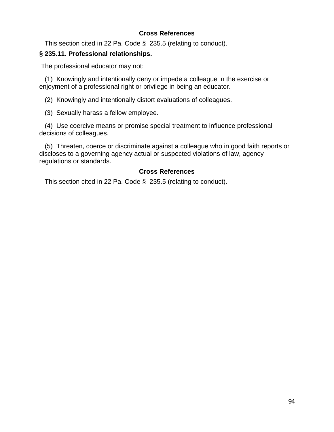# **Cross References**

This section cited in 22 Pa. Code § 235.5 (relating to conduct).

# **§ 235.11. Professional relationships.**

The professional educator may not:

 (1) Knowingly and intentionally deny or impede a colleague in the exercise or enjoyment of a professional right or privilege in being an educator.

(2) Knowingly and intentionally distort evaluations of colleagues.

(3) Sexually harass a fellow employee.

 (4) Use coercive means or promise special treatment to influence professional decisions of colleagues.

 (5) Threaten, coerce or discriminate against a colleague who in good faith reports or discloses to a governing agency actual or suspected violations of law, agency regulations or standards.

# **Cross References**

This section cited in 22 Pa. Code § 235.5 (relating to conduct).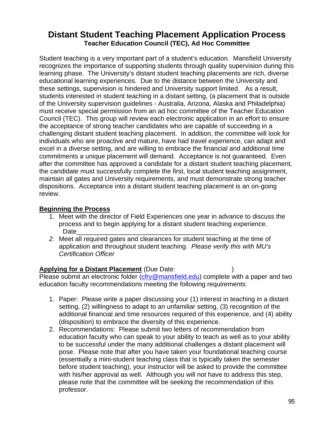# **Distant Student Teaching Placement Application Process Teacher Education Council (TEC), Ad Hoc Committee**

Student teaching is a very important part of a student's education. Mansfield University recognizes the importance of supporting students through quality supervision during this learning phase. The University's distant student teaching placements are rich, diverse educational learning experiences. Due to the distance between the University and these settings, supervision is hindered and University support limited. As a result, students interested in student teaching in a distant setting, (a placement that is outside of the University supervision guidelines - Australia, Arizona, Alaska and Philadelphia) must receive special permission from an ad hoc committee of the Teacher Education Council (TEC). This group will review each electronic application in an effort to ensure the acceptance of strong teacher candidates who are capable of succeeding in a challenging distant student teaching placement. In addition, the committee will look for individuals who are proactive and mature, have had travel experience, can adapt and excel in a diverse setting, and are willing to embrace the financial and additional time commitments a unique placement will demand. Acceptance is not guaranteed. Even after the committee has approved a candidate for a distant student teaching placement, the candidate must successfully complete the first, local student teaching assignment, maintain all gates and University requirements, and must demonstrate strong teacher dispositions. Acceptance into a distant student teaching placement is an on-going review.

# **Beginning the Process**

- 1. Meet with the director of Field Experiences one year in advance to discuss the process and to begin applying for a distant student teaching experience. Date\_\_\_\_\_\_\_\_\_\_\_\_\_\_\_\_\_\_\_\_\_\_\_\_\_\_\_\_\_\_\_\_\_\_\_\_\_\_\_
- *2.* Meet all required gates and clearances for student teaching at the time of application and throughout student teaching. *Please verify this with MU's Certification Officer*

**Applying for a Distant Placement** (Due Date: ) Please submit an electronic folder (cfry@mansfield.edu) complete with a paper and two education faculty recommendations meeting the following requirements:

- 1. Paper: Please write a paper discussing your (1) interest in teaching in a distant setting, (2) willingness to adapt to an unfamiliar setting, (3) recognition of the additional financial and time resources required of this experience, and (4) ability (disposition) to embrace the diversity of this experience.
- 2. Recommendations: Please submit two letters of recommendation from education faculty who can speak to your ability to teach as well as to your ability to be successful under the many additional challenges a distant placement will pose. Please note that after you have taken your foundational teaching course (essentially a mini-student teaching class that is typically taken the semester before student teaching), your instructor will be asked to provide the committee with his/her approval as well. Although you will not have to address this step, please note that the committee will be seeking the recommendation of this professor.